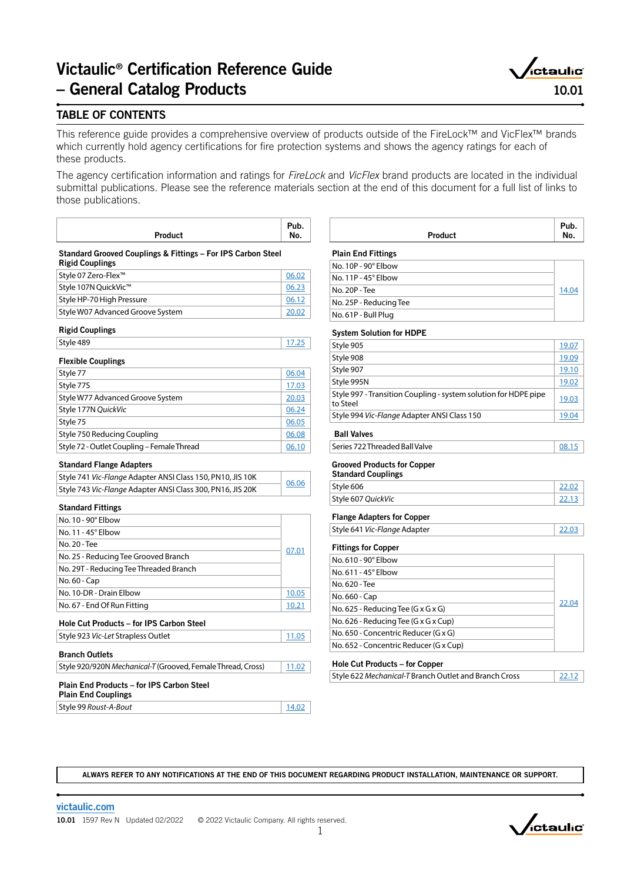# Victaulic® Certification Reference Guide – General Catalog Products



# TABLE OF CONTENTS

This reference guide provides a comprehensive overview of products outside of the FireLock™ and VicFlex™ brands which currently hold agency certifications for fire protection systems and shows the agency ratings for each of these products.

The agency certification information and ratings for *FireLock* and *VicFlex* brand products are located in the individual submittal publications. Please see the reference materials section at the end of this document for a full list of links to those publications.

| Product | uv.<br>IVV. |
|---------|-------------|
|         |             |

| Standard Grooved Couplings & Fittings - For IPS Carbon Steel |  |
|--------------------------------------------------------------|--|
| <b>Rigid Couplings</b>                                       |  |

| ∫Style 07 Zero-Flex™             | 06.02 |
|----------------------------------|-------|
| Style 107N QuickVic™             | 06.23 |
| Style HP-70 High Pressure        | 06.12 |
| Style W07 Advanced Groove System | 20.07 |

# Rigid Couplings

| Style 489 |  |
|-----------|--|
|           |  |

| <b>Flexible Couplings</b>                  |       |
|--------------------------------------------|-------|
| Style 77                                   | 06.04 |
| Style 77S                                  | 17.03 |
| Style W77 Advanced Groove System           | 20.03 |
| Style 177N QuickVic                        | 06.24 |
| Style 75                                   | 06.05 |
| Style 750 Reducing Coupling                | 06.08 |
| Style 72 - Outlet Coupling - Female Thread | 06.10 |

### Standard Flange Adapters

| Style 741 Vic-Flange Adapter ANSI Class 150, PN10, JIS 10K | 06.06 |
|------------------------------------------------------------|-------|
| Style 743 Vic-Flange Adapter ANSI Class 300, PN16, JIS 20K |       |

### Standard Fittings

| No. 10 - 90° Elbow                       |       |  |
|------------------------------------------|-------|--|
| No. $11 - 45^\circ$ Elbow                |       |  |
| No. 20 - Tee                             |       |  |
| No. 25 - Reducing Tee Grooved Branch     |       |  |
| No. 29T - Reducing Tee Threaded Branch   |       |  |
| No. 60 - Cap                             |       |  |
| No. 10-DR - Drain Flbow                  | 10.05 |  |
| No. 67 - End Of Run Fitting              | 10.21 |  |
| Hole Cut Products - for IPS Carbon Steel |       |  |
| Style 923 Vic-Let Strapless Outlet       |       |  |
|                                          |       |  |

### Branch Outlets

| 11.02<br>Style 920/920N Mechanical-T (Grooved, Female Thread, Cross) |
|----------------------------------------------------------------------|
|----------------------------------------------------------------------|

#### Plain End Products – for IPS Carbon Steel Plain End Couplings

| <b>Trail End Couplings</b> |       |
|----------------------------|-------|
| Style 99 Roust-A-Bout      | 14.02 |

|                            | Product | Pub.<br>No. |
|----------------------------|---------|-------------|
| <b>Plain End Fittings</b>  |         |             |
| No. 10P - 90° Elbow        |         |             |
| No. $11P - 45^\circ$ Elbow |         |             |
| No. 20P - Tee              |         | 14.04       |
| No. 25P - Reducing Tee     |         |             |
| No. 61P - Bull Plug        |         |             |

#### System Solution for HDPE

| Style 905                                                                   | 19.07 |
|-----------------------------------------------------------------------------|-------|
| Style 908                                                                   | 19.09 |
| Style 907                                                                   | 19.10 |
| Style 995N                                                                  | 19.02 |
| Style 997 - Transition Coupling - system solution for HDPE pipe<br>to Steel | 19.03 |
| Style 994 Vic-Flange Adapter ANSI Class 150                                 | 19.04 |
|                                                                             |       |

### Ball Valves

| Series 722 Threaded Ball Valve |  |
|--------------------------------|--|
|                                |  |

# Grooved Products for Copper

| <b>Standard Couplings</b> |  |
|---------------------------|--|
| Style 606                 |  |
| Style 607 QuickVic        |  |

# Flange Adapters for Copper

| Style 641 Vic-Flange Adapter | 22.03 |
|------------------------------|-------|
|                              |       |

# Fittings for Copper

| No. 610 - 90° Elbow                              |       |
|--------------------------------------------------|-------|
| No. 611 - 45° Elbow                              |       |
| No. 620 - Tee                                    |       |
| No. 660 - Cap                                    | 22.04 |
| No. 625 - Reducing Tee (G $\times$ G $\times$ G) |       |
| No. 626 - Reducing Tee (G x G x Cup)             |       |
| No. 650 - Concentric Reducer (G x G)             |       |
| No. 652 - Concentric Reducer (G x Cup)           |       |

#### Hole Cut Products – for Copper

| Style 622 Mechanical-T Branch Outlet and Branch Cross | 22.12 |
|-------------------------------------------------------|-------|

ALWAYS REFER TO ANY NOTIFICATIONS AT THE END OF THIS DOCUMENT REGARDING PRODUCT INSTALLATION, MAINTENANCE OR SUPPORT.

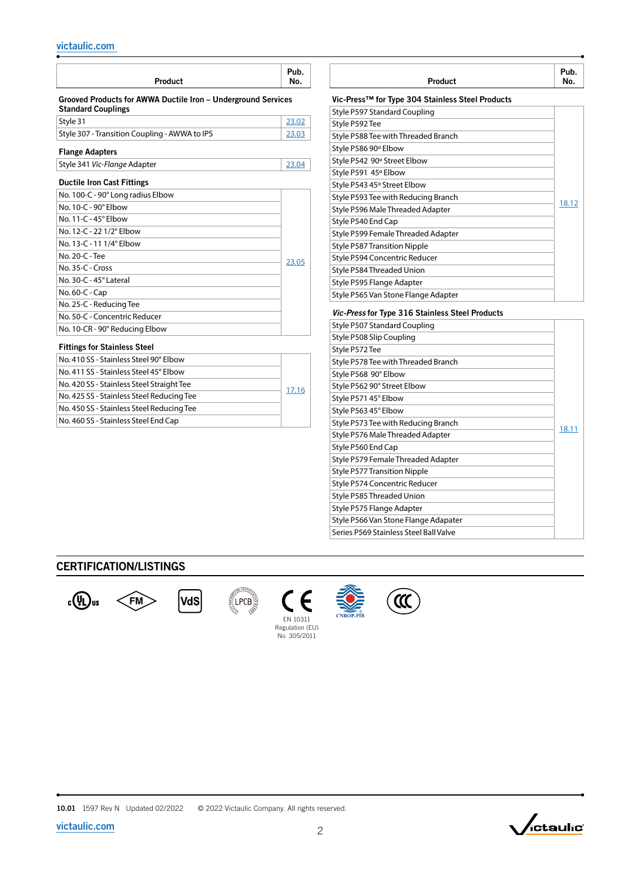| Product                                                                                    | Pub.<br>No. |
|--------------------------------------------------------------------------------------------|-------------|
| Grooved Products for AWWA Ductile Iron - Underground Services<br><b>Standard Couplings</b> |             |
| Style 31                                                                                   | 23.02       |
| Style 307 - Transition Coupling - AWWA to IPS                                              | 23.03       |
| <b>Flange Adapters</b>                                                                     |             |
| Style 341 Vic-Flange Adapter                                                               | 23.04       |
| <b>Ductile Iron Cast Fittings</b>                                                          |             |
| No. 100-C - 90° Long radius Elbow                                                          |             |
| No. 10-C - 90° Elbow                                                                       |             |
| No. 11-C - 45° Elbow                                                                       |             |
| No. 12-C - 22 1/2° Elbow                                                                   |             |
| No. 13-C - 11 1/4° Elbow                                                                   |             |
| No. 20-C - Tee                                                                             | 23.05       |
| No. 35-C - Cross                                                                           |             |
| No. 30-C - 45° Lateral                                                                     |             |
| No. 60-C - Cap                                                                             |             |
| No. 25-C - Reducing Tee                                                                    |             |
| No. 50-C - Concentric Reducer                                                              |             |
| No. 10-CR - 90° Reducing Elbow                                                             |             |
| <b>Fittings for Stainless Steel</b>                                                        |             |
| No. 410 SS - Stainless Steel 90° Flbow                                                     |             |
| No. 411 SS - Stainless Steel 45° Elbow                                                     |             |
| No. 420 SS - Stainless Steel Straight Tee                                                  | 17.16       |
| No. 425 SS - Stainless Steel Reducing Tee                                                  |             |
| No. 450 SS - Stainless Steel Reducing Tee                                                  |             |
| No. 460 SS - Stainless Steel End Cap                                                       |             |

| Product                                          | Pub.<br>No. |
|--------------------------------------------------|-------------|
| Vic-Press™ for Type 304 Stainless Steel Products |             |

| Style P597 Standard Coupling        |       |
|-------------------------------------|-------|
| Style P592 Tee                      |       |
| Style P588 Tee with Threaded Branch |       |
| Style P586 90° Elbow                |       |
| Style P542 90° Street Elbow         |       |
| Style P591 45° Elbow                |       |
| Style P543 45° Street Elbow         |       |
| Style P593 Tee with Reducing Branch | 18.12 |
| Style P596 Male Threaded Adapter    |       |
| Style P540 End Cap                  |       |
| Style P599 Female Threaded Adapter  |       |
| <b>Style P587 Transition Nipple</b> |       |
| Style P594 Concentric Reducer       |       |
| Style P584 Threaded Union           |       |
| Style P595 Flange Adapter           |       |
| Style P565 Van Stone Flange Adapter |       |

### *Vic-Press* for Type 316 Stainless Steel Products

| Style P507 Standard Coupling           |       |
|----------------------------------------|-------|
| Style P508 Slip Coupling               |       |
| Style P572 Tee                         |       |
| Style P578 Tee with Threaded Branch    |       |
| Style P568 90° Elbow                   |       |
| Style P562 90° Street Elbow            |       |
| Style P571 45° Elbow                   |       |
| Style P563 45° Elbow                   |       |
| Style P573 Tee with Reducing Branch    | 18.11 |
| Style P576 Male Threaded Adapter       |       |
| Style P560 End Cap                     |       |
| Style P579 Female Threaded Adapter     |       |
| <b>Style P577 Transition Nipple</b>    |       |
| Style P574 Concentric Reducer          |       |
| Style P585 Threaded Union              |       |
| Style P575 Flange Adapter              |       |
| Style P566 Van Stone Flange Adapater   |       |
| Series P569 Stainless Steel Ball Valve |       |

# CERTIFICATION/LISTINGS





**N CERTI** 





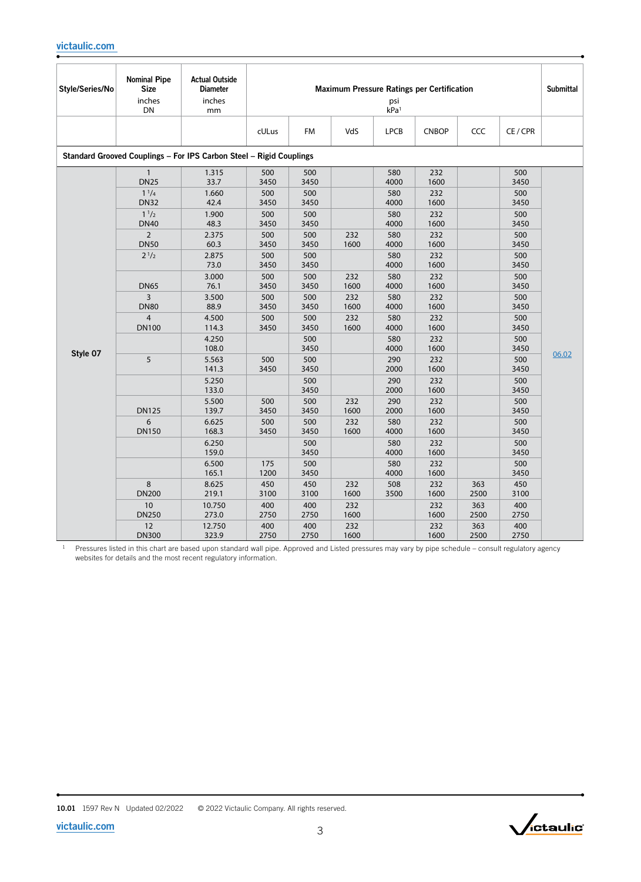| Style/Series/No | <b>Nominal Pipe</b><br><b>Size</b><br>inches<br>DN | <b>Actual Outside</b><br><b>Diameter</b><br>inches<br>mm            | <b>Maximum Pressure Ratings per Certification</b><br>psi<br>kPa <sup>1</sup> |             |             |             |              |             |             | <b>Submittal</b> |
|-----------------|----------------------------------------------------|---------------------------------------------------------------------|------------------------------------------------------------------------------|-------------|-------------|-------------|--------------|-------------|-------------|------------------|
|                 |                                                    |                                                                     | cULus                                                                        | FM          | VdS         | <b>LPCB</b> | <b>CNBOP</b> | CCC         | CE / CPR    |                  |
|                 |                                                    | Standard Grooved Couplings - For IPS Carbon Steel - Rigid Couplings |                                                                              |             |             |             |              |             |             |                  |
|                 | $\mathbf{1}$<br><b>DN25</b>                        | 1.315<br>33.7                                                       | 500<br>3450                                                                  | 500<br>3450 |             | 580<br>4000 | 232<br>1600  |             | 500<br>3450 |                  |
|                 | $1^{1/4}$<br><b>DN32</b>                           | 1.660<br>42.4                                                       | 500<br>3450                                                                  | 500<br>3450 |             | 580<br>4000 | 232<br>1600  |             | 500<br>3450 |                  |
|                 | $1^{1/2}$<br><b>DN40</b>                           | 1.900<br>48.3                                                       | 500<br>3450                                                                  | 500<br>3450 |             | 580<br>4000 | 232<br>1600  |             | 500<br>3450 |                  |
|                 | $\overline{2}$<br><b>DN50</b>                      | 2.375<br>60.3                                                       | 500<br>3450                                                                  | 500<br>3450 | 232<br>1600 | 580<br>4000 | 232<br>1600  |             | 500<br>3450 |                  |
|                 | $2^{1/2}$                                          | 2.875<br>73.0                                                       | 500<br>3450                                                                  | 500<br>3450 |             | 580<br>4000 | 232<br>1600  |             | 500<br>3450 |                  |
|                 | <b>DN65</b>                                        | 3.000<br>76.1                                                       | 500<br>3450                                                                  | 500<br>3450 | 232<br>1600 | 580<br>4000 | 232<br>1600  |             | 500<br>3450 |                  |
|                 | $\overline{3}$                                     | 3.500                                                               | 500                                                                          | 500         | 232         | 580         | 232          |             | 500         |                  |
|                 | <b>DN80</b>                                        | 88.9                                                                | 3450                                                                         | 3450        | 1600        | 4000        | 1600         |             | 3450        |                  |
|                 | $\overline{4}$                                     | 4.500                                                               | 500                                                                          | 500         | 232         | 580         | 232          |             | 500         |                  |
|                 | <b>DN100</b>                                       | 114.3                                                               | 3450                                                                         | 3450        | 1600        | 4000        | 1600         |             | 3450        |                  |
|                 |                                                    | 4.250<br>108.0                                                      |                                                                              | 500<br>3450 |             | 580<br>4000 | 232<br>1600  |             | 500<br>3450 |                  |
| Style 07        | 5                                                  | 5.563<br>141.3                                                      | 500<br>3450                                                                  | 500<br>3450 |             | 290<br>2000 | 232<br>1600  |             | 500<br>3450 | 06.02            |
|                 |                                                    | 5.250<br>133.0                                                      |                                                                              | 500<br>3450 |             | 290<br>2000 | 232<br>1600  |             | 500<br>3450 |                  |
|                 | <b>DN125</b>                                       | 5.500<br>139.7                                                      | 500<br>3450                                                                  | 500<br>3450 | 232<br>1600 | 290<br>2000 | 232<br>1600  |             | 500<br>3450 |                  |
|                 | 6<br><b>DN150</b>                                  | 6.625<br>168.3                                                      | 500<br>3450                                                                  | 500<br>3450 | 232<br>1600 | 580<br>4000 | 232<br>1600  |             | 500<br>3450 |                  |
|                 |                                                    | 6.250<br>159.0                                                      |                                                                              | 500<br>3450 |             | 580<br>4000 | 232<br>1600  |             | 500<br>3450 |                  |
|                 |                                                    | 6.500<br>165.1                                                      | 175<br>1200                                                                  | 500<br>3450 |             | 580<br>4000 | 232<br>1600  |             | 500<br>3450 |                  |
|                 | 8<br><b>DN200</b>                                  | 8.625<br>219.1                                                      | 450<br>3100                                                                  | 450<br>3100 | 232<br>1600 | 508<br>3500 | 232<br>1600  | 363<br>2500 | 450<br>3100 |                  |
|                 | 10<br><b>DN250</b>                                 | 10.750<br>273.0                                                     | 400<br>2750                                                                  | 400<br>2750 | 232<br>1600 |             | 232<br>1600  | 363<br>2500 | 400<br>2750 |                  |
|                 | 12<br><b>DN300</b>                                 | 12.750<br>323.9                                                     | 400<br>2750                                                                  | 400<br>2750 | 232<br>1600 |             | 232<br>1600  | 363<br>2500 | 400<br>2750 |                  |

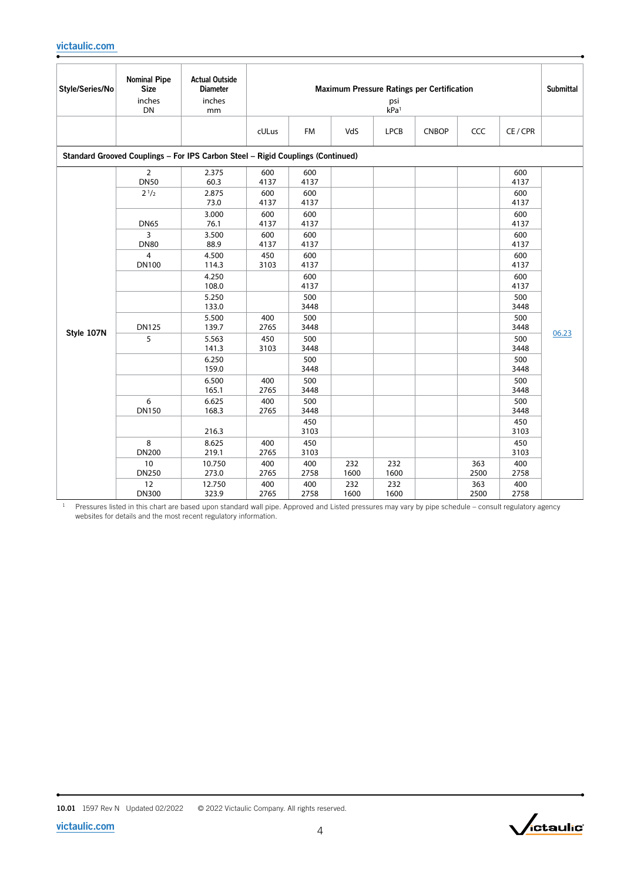| Style/Series/No | <b>Nominal Pipe</b><br><b>Size</b><br>inches<br>DN | <b>Actual Outside</b><br><b>Diameter</b><br>inches<br>mm                        |             | <b>Maximum Pressure Ratings per Certification</b><br>psi<br>kPa <sup>1</sup> |             |             |              |             |             |       |
|-----------------|----------------------------------------------------|---------------------------------------------------------------------------------|-------------|------------------------------------------------------------------------------|-------------|-------------|--------------|-------------|-------------|-------|
|                 |                                                    |                                                                                 | cULus       | <b>FM</b>                                                                    | VdS         | <b>LPCB</b> | <b>CNBOP</b> | CCC         | CE / CPR    |       |
|                 |                                                    | Standard Grooved Couplings - For IPS Carbon Steel - Rigid Couplings (Continued) |             |                                                                              |             |             |              |             |             |       |
|                 | $\overline{2}$<br><b>DN50</b>                      | 2.375<br>60.3                                                                   | 600<br>4137 | 600<br>4137                                                                  |             |             |              |             | 600<br>4137 |       |
|                 | $2^{1/2}$                                          | 2.875<br>73.0                                                                   | 600<br>4137 | 600<br>4137                                                                  |             |             |              |             | 600<br>4137 |       |
|                 | <b>DN65</b>                                        | 3.000<br>76.1                                                                   | 600<br>4137 | 600<br>4137                                                                  |             |             |              |             | 600<br>4137 |       |
|                 | 3<br><b>DN80</b>                                   | 3.500<br>88.9                                                                   | 600<br>4137 | 600<br>4137                                                                  |             |             |              |             | 600<br>4137 |       |
|                 | 4<br><b>DN100</b>                                  | 4.500<br>114.3                                                                  | 450<br>3103 | 600<br>4137                                                                  |             |             |              |             | 600<br>4137 |       |
|                 |                                                    | 4.250<br>108.0                                                                  |             | 600<br>4137                                                                  |             |             |              |             | 600<br>4137 |       |
|                 |                                                    | 5.250<br>133.0                                                                  |             | 500<br>3448                                                                  |             |             |              |             | 500<br>3448 |       |
| Style 107N      | <b>DN125</b>                                       | 5.500<br>139.7                                                                  | 400<br>2765 | 500<br>3448                                                                  |             |             |              |             | 500<br>3448 | 06.23 |
|                 | 5                                                  | 5.563<br>141.3                                                                  | 450<br>3103 | 500<br>3448                                                                  |             |             |              |             | 500<br>3448 |       |
|                 |                                                    | 6.250<br>159.0                                                                  |             | 500<br>3448                                                                  |             |             |              |             | 500<br>3448 |       |
|                 |                                                    | 6.500<br>165.1                                                                  | 400<br>2765 | 500<br>3448                                                                  |             |             |              |             | 500<br>3448 |       |
|                 | 6<br><b>DN150</b>                                  | 6.625<br>168.3                                                                  | 400<br>2765 | 500<br>3448                                                                  |             |             |              |             | 500<br>3448 |       |
|                 |                                                    | 216.3                                                                           |             | 450<br>3103                                                                  |             |             |              |             | 450<br>3103 |       |
|                 | 8<br><b>DN200</b>                                  | 8.625<br>219.1                                                                  | 400<br>2765 | 450<br>3103                                                                  |             |             |              |             | 450<br>3103 |       |
|                 | 10<br><b>DN250</b>                                 | 10.750<br>273.0                                                                 | 400<br>2765 | 400<br>2758                                                                  | 232<br>1600 | 232<br>1600 |              | 363<br>2500 | 400<br>2758 |       |
|                 | 12<br><b>DN300</b>                                 | 12.750<br>323.9                                                                 | 400<br>2765 | 400<br>2758                                                                  | 232<br>1600 | 232<br>1600 |              | 363<br>2500 | 400<br>2758 |       |

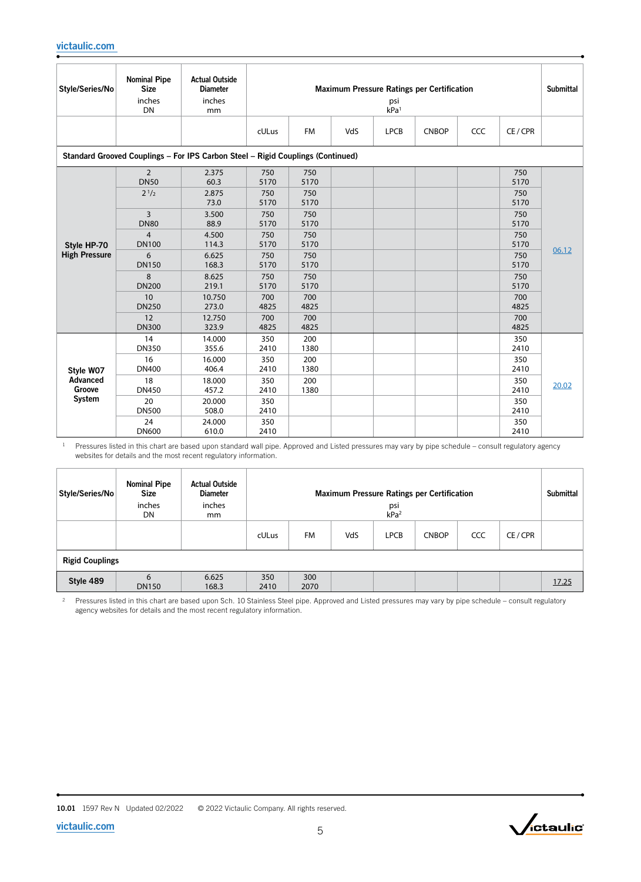| Style/Series/No      | <b>Nominal Pipe</b><br><b>Size</b><br>inches<br><b>DN</b> | <b>Actual Outside</b><br><b>Diameter</b><br>inches<br>mm                        |                            | <b>Maximum Pressure Ratings per Certification</b><br>psi<br>kPa <sup>1</sup> |     |             |              |     |                            |       |
|----------------------|-----------------------------------------------------------|---------------------------------------------------------------------------------|----------------------------|------------------------------------------------------------------------------|-----|-------------|--------------|-----|----------------------------|-------|
|                      |                                                           |                                                                                 | cULus                      | <b>FM</b>                                                                    | VdS | <b>LPCB</b> | <b>CNBOP</b> | CCC | CE/CPR                     |       |
|                      |                                                           | Standard Grooved Couplings - For IPS Carbon Steel - Rigid Couplings (Continued) |                            |                                                                              |     |             |              |     |                            |       |
|                      | $\overline{2}$<br><b>DN50</b><br>$2^{1/2}$                | 2.375<br>60.3<br>2.875<br>73.0                                                  | 750<br>5170<br>750<br>5170 | 750<br>5170<br>750<br>5170                                                   |     |             |              |     | 750<br>5170<br>750<br>5170 |       |
|                      | 3<br><b>DN80</b>                                          | 3.500<br>88.9                                                                   | 750<br>5170                | 750<br>5170                                                                  |     |             |              |     | 750<br>5170                | 06.12 |
| Style HP-70          | $\overline{4}$<br><b>DN100</b>                            | 4.500<br>114.3                                                                  | 750<br>5170                | 750<br>5170                                                                  |     |             |              |     | 750<br>5170                |       |
| <b>High Pressure</b> | 6<br><b>DN150</b>                                         | 6.625<br>168.3                                                                  | 750<br>5170                | 750<br>5170                                                                  |     |             |              |     | 750<br>5170                |       |
|                      | 8<br><b>DN200</b>                                         | 8.625<br>219.1                                                                  | 750<br>5170                | 750<br>5170                                                                  |     |             |              |     | 750<br>5170                |       |
|                      | 10<br><b>DN250</b>                                        | 10.750<br>273.0                                                                 | 700<br>4825                | 700<br>4825                                                                  |     |             |              |     | 700<br>4825                |       |
|                      | 12<br><b>DN300</b>                                        | 12.750<br>323.9                                                                 | 700<br>4825                | 700<br>4825                                                                  |     |             |              |     | 700<br>4825                |       |
|                      | 14<br><b>DN350</b>                                        | 14.000<br>355.6                                                                 | 350<br>2410                | 200<br>1380                                                                  |     |             |              |     | 350<br>2410                |       |
| Style W07            | 16<br><b>DN400</b>                                        | 16.000<br>406.4                                                                 | 350<br>2410                | 200<br>1380                                                                  |     |             |              |     | 350<br>2410                |       |
| Advanced<br>Groove   | 18<br><b>DN450</b>                                        | 18.000<br>457.2                                                                 | 350<br>2410                | 200<br>1380                                                                  |     |             |              |     | 350<br>2410                | 20.02 |
| System               | 20<br><b>DN500</b>                                        | 20.000<br>508.0                                                                 | 350<br>2410                |                                                                              |     |             |              |     | 350<br>2410                |       |
|                      | 24<br><b>DN600</b>                                        | 24.000<br>610.0                                                                 | 350<br>2410                |                                                                              |     |             |              |     | 350<br>2410                |       |

| Style/Series/No        | <b>Nominal Pipe</b><br><b>Size</b><br>inches<br>DN | <b>Actual Outside</b><br><b>Diameter</b><br>inches<br>mm | <b>Maximum Pressure Ratings per Certification</b><br>psi<br>kPa <sup>2</sup> |             |     |             |              |     |        | <b>Submittal</b> |
|------------------------|----------------------------------------------------|----------------------------------------------------------|------------------------------------------------------------------------------|-------------|-----|-------------|--------------|-----|--------|------------------|
|                        |                                                    |                                                          | cULus                                                                        | <b>FM</b>   | VdS | <b>LPCB</b> | <b>CNBOP</b> | CCC | CE/CPR |                  |
| <b>Rigid Couplings</b> |                                                    |                                                          |                                                                              |             |     |             |              |     |        |                  |
| Style 489              | 6<br><b>DN150</b>                                  | 6.625<br>168.3                                           | 350<br>2410                                                                  | 300<br>2070 |     |             |              |     |        | 17.25            |

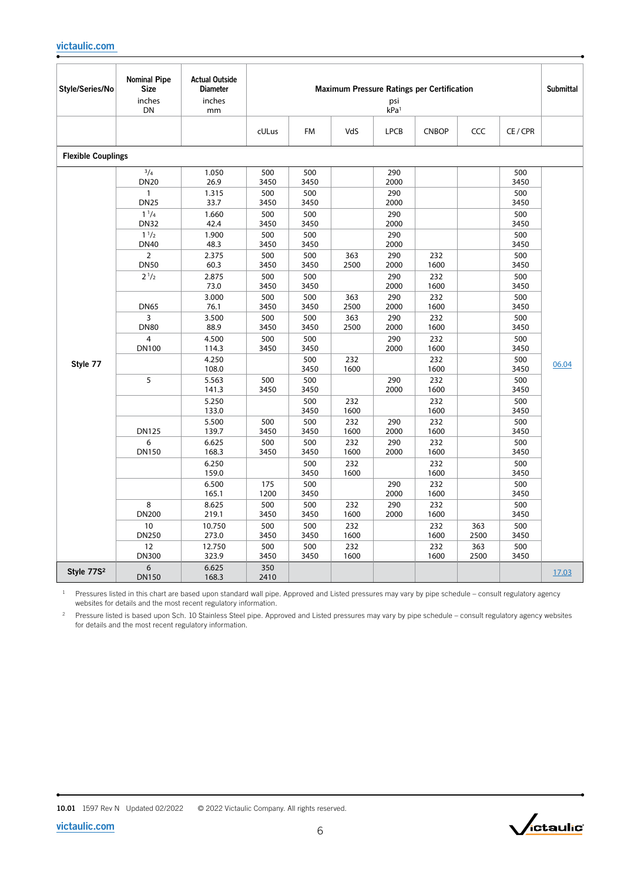| Style/Series/No           | <b>Nominal Pipe</b><br><b>Size</b><br>inches<br>DN | <b>Actual Outside</b><br><b>Diameter</b><br>inches<br>mm |             |             |             | psi<br>kPa <sup>1</sup> | <b>Maximum Pressure Ratings per Certification</b> |             |             | <b>Submittal</b> |
|---------------------------|----------------------------------------------------|----------------------------------------------------------|-------------|-------------|-------------|-------------------------|---------------------------------------------------|-------------|-------------|------------------|
|                           |                                                    |                                                          | cULus       | <b>FM</b>   | VdS         | <b>LPCB</b>             | <b>CNBOP</b>                                      | CCC         | CE/CPR      |                  |
| <b>Flexible Couplings</b> |                                                    |                                                          |             |             |             |                         |                                                   |             |             |                  |
|                           | $^{3}/_{4}$<br><b>DN20</b>                         | 1.050<br>26.9                                            | 500<br>3450 | 500<br>3450 |             | 290<br>2000             |                                                   |             | 500<br>3450 |                  |
|                           | $\mathbf{1}$<br><b>DN25</b>                        | 1.315<br>33.7                                            | 500<br>3450 | 500<br>3450 |             | 290<br>2000             |                                                   |             | 500<br>3450 |                  |
|                           | $1^{1}/4$<br><b>DN32</b>                           | 1.660<br>42.4                                            | 500<br>3450 | 500<br>3450 |             | 290<br>2000             |                                                   |             | 500<br>3450 |                  |
|                           | $1^{1/2}$<br><b>DN40</b>                           | 1.900<br>48.3                                            | 500<br>3450 | 500<br>3450 |             | 290<br>2000             |                                                   |             | 500<br>3450 |                  |
|                           | $\overline{2}$<br><b>DN50</b>                      | 2.375<br>60.3                                            | 500<br>3450 | 500<br>3450 | 363<br>2500 | 290<br>2000             | 232<br>1600                                       |             | 500<br>3450 |                  |
|                           | $2^{1/2}$                                          | 2.875<br>73.0                                            | 500<br>3450 | 500<br>3450 |             | 290<br>2000             | 232<br>1600                                       |             | 500<br>3450 |                  |
|                           | <b>DN65</b>                                        | 3.000<br>76.1                                            | 500<br>3450 | 500<br>3450 | 363<br>2500 | 290<br>2000             | 232<br>1600                                       |             | 500<br>3450 |                  |
|                           | 3<br><b>DN80</b>                                   | 3.500<br>88.9                                            | 500<br>3450 | 500<br>3450 | 363<br>2500 | 290<br>2000             | 232<br>1600                                       |             | 500<br>3450 |                  |
|                           | $\overline{4}$                                     | 4.500                                                    | 500         | 500         |             | 290                     | 232                                               |             | 500         |                  |
|                           | <b>DN100</b>                                       | 114.3                                                    | 3450        | 3450        |             | 2000                    | 1600                                              |             | 3450        |                  |
| Style 77                  |                                                    | 4.250<br>108.0                                           |             | 500<br>3450 | 232<br>1600 |                         | 232<br>1600                                       |             | 500<br>3450 | 06.04            |
|                           | 5                                                  | 5.563<br>141.3                                           | 500<br>3450 | 500<br>3450 |             | 290<br>2000             | 232<br>1600                                       |             | 500<br>3450 |                  |
|                           |                                                    | 5.250<br>133.0                                           |             | 500<br>3450 | 232<br>1600 |                         | 232<br>1600                                       |             | 500<br>3450 |                  |
|                           | <b>DN125</b>                                       | 5.500<br>139.7                                           | 500<br>3450 | 500<br>3450 | 232<br>1600 | 290<br>2000             | 232<br>1600                                       |             | 500<br>3450 |                  |
|                           | 6<br><b>DN150</b>                                  | 6.625<br>168.3                                           | 500<br>3450 | 500<br>3450 | 232<br>1600 | 290<br>2000             | 232<br>1600                                       |             | 500<br>3450 |                  |
|                           |                                                    | 6.250<br>159.0                                           |             | 500<br>3450 | 232<br>1600 |                         | 232<br>1600                                       |             | 500<br>3450 |                  |
|                           |                                                    | 6.500<br>165.1                                           | 175<br>1200 | 500<br>3450 |             | 290<br>2000             | 232<br>1600                                       |             | 500<br>3450 |                  |
|                           | 8<br><b>DN200</b>                                  | 8.625<br>219.1                                           | 500<br>3450 | 500<br>3450 | 232<br>1600 | 290<br>2000             | 232<br>1600                                       |             | 500<br>3450 |                  |
|                           | 10<br><b>DN250</b>                                 | 10.750<br>273.0                                          | 500<br>3450 | 500<br>3450 | 232<br>1600 |                         | 232<br>1600                                       | 363<br>2500 | 500<br>3450 |                  |
|                           | 12<br><b>DN300</b>                                 | 12.750<br>323.9                                          | 500<br>3450 | 500<br>3450 | 232<br>1600 |                         | 232<br>1600                                       | 363<br>2500 | 500<br>3450 |                  |
| Style 77S <sup>2</sup>    | 6<br><b>DN150</b>                                  | 6.625<br>168.3                                           | 350<br>2410 |             |             |                         |                                                   |             |             | 17.03            |

<sup>1</sup> Pressures listed in this chart are based upon standard wall pipe. Approved and Listed pressures may vary by pipe schedule – consult regulatory agency websites for details and the most recent regulatory information.

 Pressure listed is based upon Sch. 10 Stainless Steel pipe. Approved and Listed pressures may vary by pipe schedule – consult regulatory agency websites for details and the most recent regulatory information.

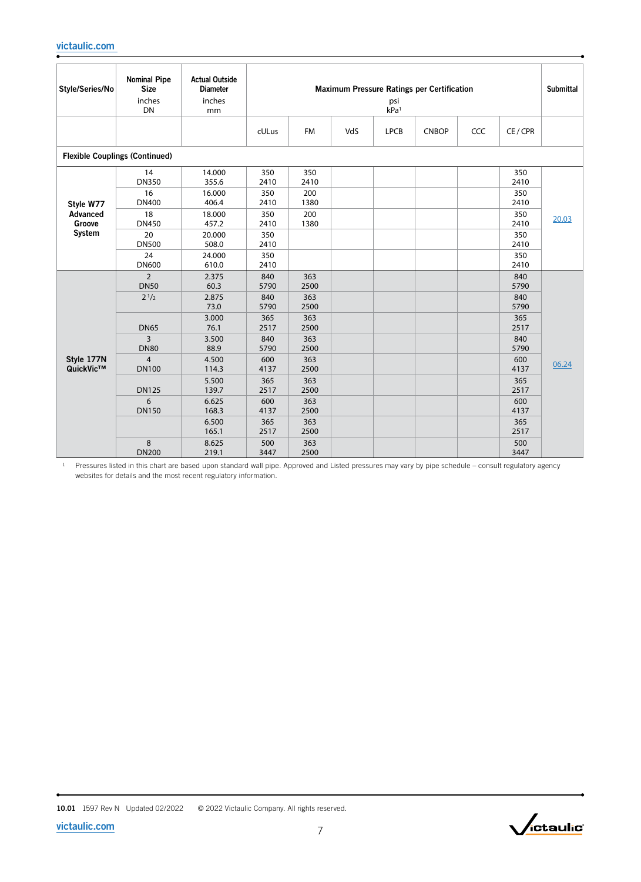| Style/Series/No         | <b>Nominal Pipe</b><br><b>Size</b><br>inches<br>DN | <b>Actual Outside</b><br><b>Diameter</b><br>inches<br>mm |                            |                            |     | psi<br>kPa <sup>1</sup> | <b>Maximum Pressure Ratings per Certification</b> |     |                            | <b>Submittal</b> |
|-------------------------|----------------------------------------------------|----------------------------------------------------------|----------------------------|----------------------------|-----|-------------------------|---------------------------------------------------|-----|----------------------------|------------------|
|                         |                                                    |                                                          | cULus                      | <b>FM</b>                  | VdS | <b>LPCB</b>             | <b>CNBOP</b>                                      | CCC | CE/CPR                     |                  |
|                         | <b>Flexible Couplings (Continued)</b>              |                                                          |                            |                            |     |                         |                                                   |     |                            |                  |
| Style W77               | 14<br><b>DN350</b><br>16<br><b>DN400</b>           | 14.000<br>355.6<br>16.000<br>406.4                       | 350<br>2410<br>350<br>2410 | 350<br>2410<br>200<br>1380 |     |                         |                                                   |     | 350<br>2410<br>350<br>2410 |                  |
| Advanced<br>Groove      | 18<br><b>DN450</b>                                 | 18.000<br>457.2                                          | 350<br>2410                | 200<br>1380                |     |                         |                                                   |     | 350<br>2410                | 20.03            |
| System                  | 20<br><b>DN500</b>                                 | 20.000<br>508.0                                          | 350<br>2410                |                            |     |                         |                                                   |     | 350<br>2410                |                  |
|                         | 24<br><b>DN600</b>                                 | 24.000<br>610.0                                          | 350<br>2410                |                            |     |                         |                                                   |     | 350<br>2410                |                  |
|                         | $\overline{2}$<br><b>DN50</b>                      | 2.375<br>60.3                                            | 840<br>5790                | 363<br>2500                |     |                         |                                                   |     | 840<br>5790                |                  |
|                         | $2^{1/2}$                                          | 2.875<br>73.0                                            | 840<br>5790                | 363<br>2500                |     |                         |                                                   |     | 840<br>5790                |                  |
|                         | <b>DN65</b>                                        | 3.000<br>76.1                                            | 365<br>2517                | 363<br>2500                |     |                         |                                                   |     | 365<br>2517                |                  |
|                         | 3<br><b>DN80</b>                                   | 3.500<br>88.9                                            | 840<br>5790                | 363<br>2500                |     |                         |                                                   |     | 840<br>5790                |                  |
| Style 177N<br>QuickVic™ | $\overline{4}$<br><b>DN100</b>                     | 4.500<br>114.3                                           | 600<br>4137                | 363<br>2500                |     |                         |                                                   |     | 600<br>4137                | 06.24            |
|                         | <b>DN125</b>                                       | 5.500<br>139.7                                           | 365<br>2517                | 363<br>2500                |     |                         |                                                   |     | 365<br>2517                |                  |
|                         | 6<br><b>DN150</b>                                  | 6.625<br>168.3                                           | 600<br>4137                | 363<br>2500                |     |                         |                                                   |     | 600<br>4137                |                  |
|                         |                                                    | 6.500<br>165.1                                           | 365<br>2517                | 363<br>2500                |     |                         |                                                   |     | 365<br>2517                |                  |
|                         | 8<br><b>DN200</b>                                  | 8.625<br>219.1                                           | 500<br>3447                | 363<br>2500                |     |                         |                                                   |     | 500<br>3447                |                  |

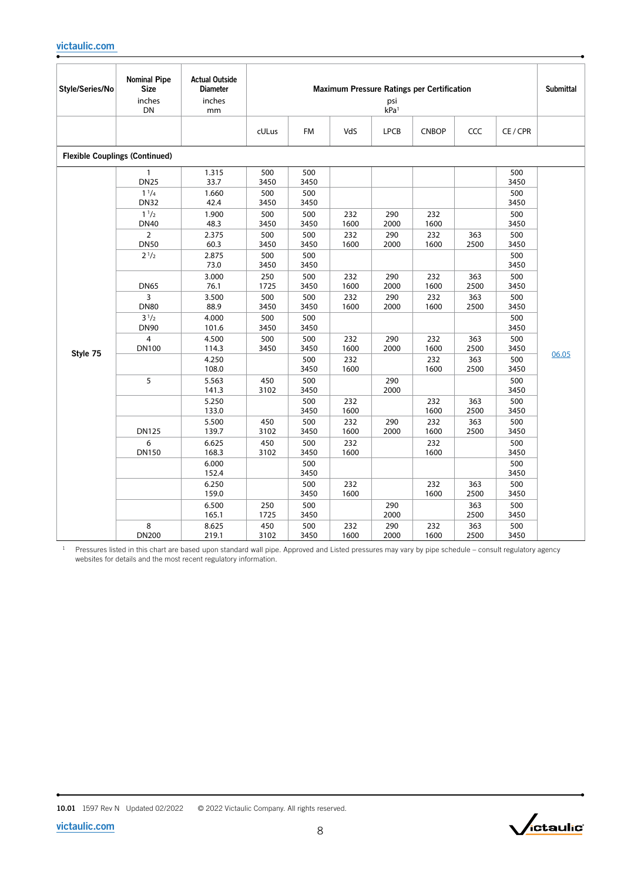| Style/Series/No | <b>Nominal Pipe</b><br><b>Size</b><br>inches<br>DN      | <b>Actual Outside</b><br><b>Diameter</b><br>inches<br>mm |                            |                            |                    | psi<br>kPa <sup>1</sup> | Maximum Pressure Ratings per Certification |                    |                            | Submittal |
|-----------------|---------------------------------------------------------|----------------------------------------------------------|----------------------------|----------------------------|--------------------|-------------------------|--------------------------------------------|--------------------|----------------------------|-----------|
|                 |                                                         |                                                          | cULus                      | <b>FM</b>                  | VdS                | <b>LPCB</b>             | <b>CNBOP</b>                               | CCC                | CE/CPR                     |           |
|                 | <b>Flexible Couplings (Continued)</b>                   |                                                          |                            |                            |                    |                         |                                            |                    |                            |           |
|                 | $\mathbf{1}$<br><b>DN25</b><br>$1^{1/4}$<br><b>DN32</b> | 1.315<br>33.7<br>1.660<br>42.4                           | 500<br>3450<br>500<br>3450 | 500<br>3450<br>500<br>3450 |                    |                         |                                            |                    | 500<br>3450<br>500<br>3450 |           |
|                 | $1^{1/2}$<br><b>DN40</b><br>$\overline{2}$              | 1.900<br>48.3<br>2.375                                   | 500<br>3450<br>500         | 500<br>3450<br>500         | 232<br>1600<br>232 | 290<br>2000<br>290      | 232<br>1600<br>232                         | 363                | 500<br>3450<br>500         |           |
|                 | <b>DN50</b><br>$2^{1/2}$                                | 60.3<br>2.875<br>73.0                                    | 3450<br>500<br>3450        | 3450<br>500<br>3450        | 1600               | 2000                    | 1600                                       | 2500               | 3450<br>500<br>3450        |           |
|                 | <b>DN65</b><br>3                                        | 3.000<br>76.1<br>3.500                                   | 250<br>1725<br>500         | 500<br>3450<br>500         | 232<br>1600<br>232 | 290<br>2000<br>290      | 232<br>1600<br>232                         | 363<br>2500<br>363 | 500<br>3450<br>500         |           |
|                 | <b>DN80</b><br>$3^{1/2}$                                | 88.9<br>4.000                                            | 3450<br>500                | 3450<br>500                | 1600               | 2000                    | 1600                                       | 2500               | 3450<br>500                |           |
|                 | <b>DN90</b><br>$\overline{4}$<br><b>DN100</b>           | 101.6<br>4.500<br>114.3                                  | 3450<br>500<br>3450        | 3450<br>500<br>3450        | 232<br>1600        | 290<br>2000             | 232<br>1600                                | 363<br>2500        | 3450<br>500<br>3450        |           |
| Style 75        |                                                         | 4.250<br>108.0                                           |                            | 500<br>3450                | 232<br>1600        |                         | 232<br>1600                                | 363<br>2500        | 500<br>3450                | 06.05     |
|                 | 5                                                       | 5.563<br>141.3                                           | 450<br>3102                | 500<br>3450                |                    | 290<br>2000             |                                            |                    | 500<br>3450                |           |
|                 |                                                         | 5.250<br>133.0<br>5.500                                  | 450                        | 500<br>3450<br>500         | 232<br>1600<br>232 | 290                     | 232<br>1600<br>232                         | 363<br>2500<br>363 | 500<br>3450<br>500         |           |
|                 | <b>DN125</b><br>6                                       | 139.7<br>6.625                                           | 3102<br>450                | 3450<br>500                | 1600<br>232        | 2000                    | 1600<br>232                                | 2500               | 3450<br>500                |           |
|                 | <b>DN150</b>                                            | 168.3<br>6.000                                           | 3102                       | 3450<br>500                | 1600               |                         | 1600                                       |                    | 3450<br>500                |           |
|                 |                                                         | 152.4                                                    |                            | 3450                       |                    |                         |                                            |                    | 3450                       |           |
|                 |                                                         | 6.250<br>159.0                                           |                            | 500<br>3450                | 232<br>1600        |                         | 232<br>1600                                | 363<br>2500        | 500<br>3450                |           |
|                 |                                                         | 6.500<br>165.1                                           | 250<br>1725                | 500<br>3450                |                    | 290<br>2000             |                                            | 363<br>2500        | 500<br>3450                |           |
|                 | 8<br><b>DN200</b>                                       | 8.625<br>219.1                                           | 450<br>3102                | 500<br>3450                | 232<br>1600        | 290<br>2000             | 232<br>1600                                | 363<br>2500        | 500<br>3450                |           |

<sup>1</sup> Pressures listed in this chart are based upon standard wall pipe. Approved and Listed pressures may vary by pipe schedule – consult regulatory agency websites for details and the most recent regulatory information.

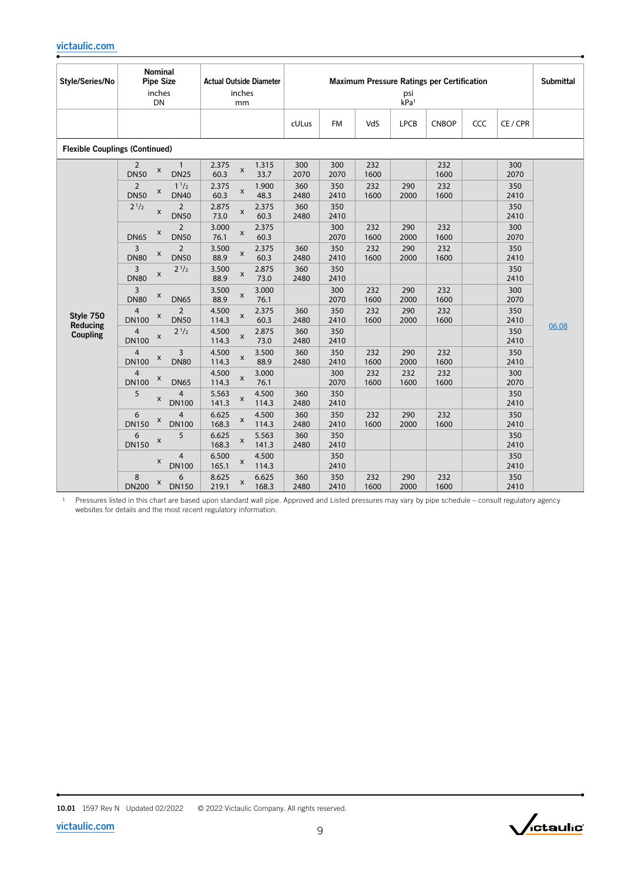| Style/Series/No                       | <b>Nominal</b><br><b>Pipe Size</b><br>inches<br>DN                     | <b>Actual Outside Diameter</b><br>inches<br>mm         |             |             |             | psi<br>kPa <sup>1</sup> | <b>Maximum Pressure Ratings per Certification</b> |     |             | <b>Submittal</b> |
|---------------------------------------|------------------------------------------------------------------------|--------------------------------------------------------|-------------|-------------|-------------|-------------------------|---------------------------------------------------|-----|-------------|------------------|
|                                       |                                                                        |                                                        | cULus       | <b>FM</b>   | VdS         | <b>LPCB</b>             | <b>CNBOP</b>                                      | CCC | CE / CPR    |                  |
| <b>Flexible Couplings (Continued)</b> |                                                                        |                                                        |             |             |             |                         |                                                   |     |             |                  |
|                                       | $\overline{2}$<br>$\mathbf{1}$<br>X<br><b>DN50</b><br><b>DN25</b>      | 2.375<br>1.315<br>X<br>60.3<br>33.7                    | 300<br>2070 | 300<br>2070 | 232<br>1600 |                         | 232<br>1600                                       |     | 300<br>2070 |                  |
|                                       | $\overline{2}$<br>1 <sup>1</sup> /2<br>X<br><b>DN50</b><br><b>DN40</b> | 2.375<br>1.900<br>X<br>60.3<br>48.3                    | 360<br>2480 | 350<br>2410 | 232<br>1600 | 290<br>2000             | 232<br>1600                                       |     | 350<br>2410 |                  |
|                                       | $2^{1/2}$<br>$\overline{2}$<br>$\pmb{\mathsf{x}}$<br><b>DN50</b>       | 2.875<br>2.375<br>$\pmb{\mathsf{x}}$<br>73.0<br>60.3   | 360<br>2480 | 350<br>2410 |             |                         |                                                   |     | 350<br>2410 |                  |
|                                       | $\overline{2}$<br>X<br><b>DN50</b><br><b>DN65</b>                      | 3.000<br>2.375<br>$\pmb{\times}$<br>76.1<br>60.3       |             | 300<br>2070 | 232<br>1600 | 290<br>2000             | 232<br>1600                                       |     | 300<br>2070 |                  |
|                                       | 3<br>$\overline{2}$<br>X<br><b>DN80</b><br><b>DN50</b>                 | 2.375<br>3.500<br>$\pmb{\times}$<br>88.9<br>60.3       | 360<br>2480 | 350<br>2410 | 232<br>1600 | 290<br>2000             | 232<br>1600                                       |     | 350<br>2410 |                  |
|                                       | 3<br>$2^{1/2}$<br>X<br><b>DN80</b>                                     | 3.500<br>2.875<br>$\pmb{\mathsf{x}}$<br>88.9<br>73.0   | 360<br>2480 | 350<br>2410 |             |                         |                                                   |     | 350<br>2410 |                  |
|                                       | 3<br>X<br><b>DN80</b><br><b>DN65</b>                                   | 3.000<br>3.500<br>X<br>88.9<br>76.1                    |             | 300<br>2070 | 232<br>1600 | 290<br>2000             | 232<br>1600                                       |     | 300<br>2070 |                  |
| Style 750<br>Reducing                 | $\overline{4}$<br>$\overline{2}$<br>X<br><b>DN50</b><br><b>DN100</b>   | 4.500<br>2.375<br>$\pmb{\times}$<br>60.3<br>114.3      | 360<br>2480 | 350<br>2410 | 232<br>1600 | 290<br>2000             | 232<br>1600                                       |     | 350<br>2410 | 06.08            |
| <b>Coupling</b>                       | $\overline{4}$<br>$2^{1/2}$<br>$\pmb{\mathsf{X}}$<br><b>DN100</b>      | 4.500<br>2.875<br>X<br>114.3<br>73.0                   | 360<br>2480 | 350<br>2410 |             |                         |                                                   |     | 350<br>2410 |                  |
|                                       | 4<br>3<br>X<br><b>DN80</b><br><b>DN100</b>                             | 3.500<br>4.500<br>$\pmb{\times}$<br>88.9<br>114.3      | 360<br>2480 | 350<br>2410 | 232<br>1600 | 290<br>2000             | 232<br>1600                                       |     | 350<br>2410 |                  |
|                                       | $\overline{4}$<br>X<br><b>DN100</b><br><b>DN65</b>                     | 4.500<br>3.000<br>$\pmb{\mathsf{x}}$<br>114.3<br>76.1  |             | 300<br>2070 | 232<br>1600 | 232<br>1600             | 232<br>1600                                       |     | 300<br>2070 |                  |
|                                       | 5<br>4<br>x<br><b>DN100</b>                                            | 5.563<br>4.500<br>X<br>141.3<br>114.3                  | 360<br>2480 | 350<br>2410 |             |                         |                                                   |     | 350<br>2410 |                  |
|                                       | 6<br>4<br>X<br><b>DN150</b><br><b>DN100</b>                            | 4.500<br>6.625<br>$\pmb{\mathsf{x}}$<br>168.3<br>114.3 | 360<br>2480 | 350<br>2410 | 232<br>1600 | 290<br>2000             | 232<br>1600                                       |     | 350<br>2410 |                  |
|                                       | 6<br>5<br>X<br><b>DN150</b>                                            | 6.625<br>5.563<br>X<br>168.3<br>141.3                  | 360<br>2480 | 350<br>2410 |             |                         |                                                   |     | 350<br>2410 |                  |
|                                       | 4<br>x<br><b>DN100</b>                                                 | 6.500<br>4.500<br>X<br>165.1<br>114.3                  |             | 350<br>2410 |             |                         |                                                   |     | 350<br>2410 |                  |
|                                       | 8<br>6<br>X<br><b>DN200</b><br><b>DN150</b>                            | 8.625<br>6.625<br>$\pmb{\times}$<br>219.1<br>168.3     | 360<br>2480 | 350<br>2410 | 232<br>1600 | 290<br>2000             | 232<br>1600                                       |     | 350<br>2410 |                  |

 Pressures listed in this chart are based upon standard wall pipe. Approved and Listed pressures may vary by pipe schedule – consult regulatory agency websites for details and the most recent regulatory information.

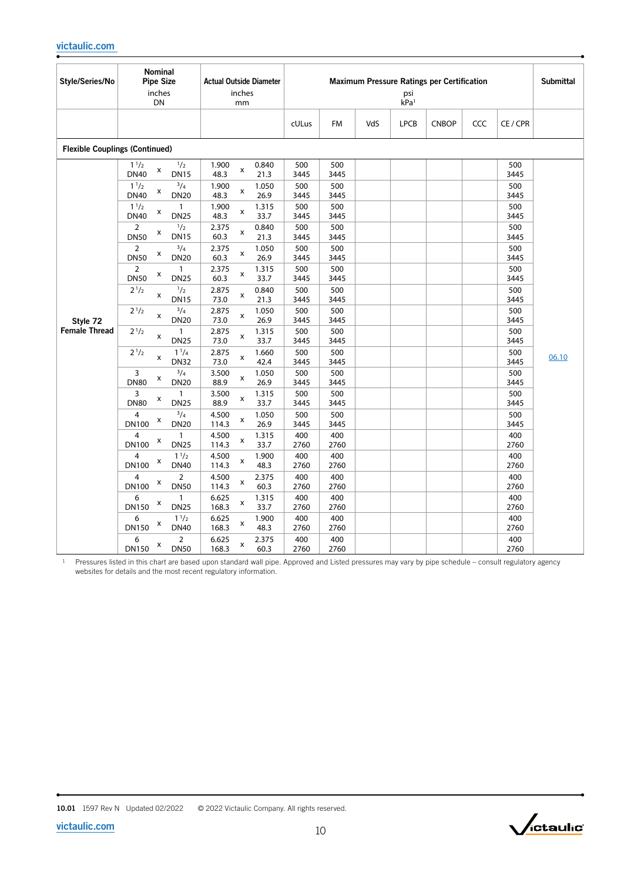| Style/Series/No                       | Nominal<br><b>Pipe Size</b><br>inches<br>DN       |                               | <b>Actual Outside Diameter</b><br>inches<br>mm        | <b>Maximum Pressure Ratings per Certification</b><br>psi<br>kPa <sup>1</sup> |             |     |             |              |     |             |       |
|---------------------------------------|---------------------------------------------------|-------------------------------|-------------------------------------------------------|------------------------------------------------------------------------------|-------------|-----|-------------|--------------|-----|-------------|-------|
|                                       |                                                   |                               |                                                       | cULus                                                                        | <b>FM</b>   | VdS | <b>LPCB</b> | <b>CNBOP</b> | CCC | CE/CPR      |       |
| <b>Flexible Couplings (Continued)</b> |                                                   |                               |                                                       |                                                                              |             |     |             |              |     |             |       |
|                                       | $1^{1/2}$<br>X<br><b>DN40</b><br><b>DN15</b>      | 1/2                           | 0.840<br>1.900<br>$\pmb{\mathsf{x}}$<br>48.3<br>21.3  | 500<br>3445                                                                  | 500<br>3445 |     |             |              |     | 500<br>3445 |       |
|                                       | 11/2<br>X<br><b>DN40</b><br><b>DN20</b>           | $^{3}/_{4}$                   | 1.900<br>1.050<br>$\pmb{\mathsf{x}}$<br>48.3<br>26.9  | 500<br>3445                                                                  | 500<br>3445 |     |             |              |     | 500<br>3445 |       |
|                                       | 11/2<br>X<br><b>DN25</b><br><b>DN40</b>           | $\mathbf{1}$                  | 1.900<br>1.315<br>x<br>48.3<br>33.7                   | 500<br>3445                                                                  | 500<br>3445 |     |             |              |     | 500<br>3445 |       |
|                                       | $\overline{2}$<br>X<br><b>DN50</b><br><b>DN15</b> | $\frac{1}{2}$                 | 2.375<br>0.840<br>X<br>60.3<br>21.3                   | 500<br>3445                                                                  | 500<br>3445 |     |             |              |     | 500<br>3445 |       |
|                                       | $\overline{2}$<br>x<br><b>DN20</b><br><b>DN50</b> | $^{3}/_{4}$                   | 2.375<br>1.050<br>x<br>60.3<br>26.9                   | 500<br>3445                                                                  | 500<br>3445 |     |             |              |     | 500<br>3445 |       |
|                                       | $\overline{2}$<br>x<br><b>DN50</b><br><b>DN25</b> | $\mathbf{1}$                  | 2.375<br>1.315<br>x<br>60.3<br>33.7                   | 500<br>3445                                                                  | 500<br>3445 |     |             |              |     | 500<br>3445 |       |
|                                       | $2^{1/2}$<br>$\pmb{\times}$<br><b>DN15</b>        | $\frac{1}{2}$                 | 2.875<br>0.840<br>x<br>73.0<br>21.3                   | 500<br>3445                                                                  | 500<br>3445 |     |             |              |     | 500<br>3445 |       |
| Style 72                              | $2^{1/2}$<br>$\pmb{\times}$<br><b>DN20</b>        | $^{3}/_{4}$                   | 2.875<br>1.050<br>x<br>73.0<br>26.9                   | 500<br>3445                                                                  | 500<br>3445 |     |             |              |     | 500<br>3445 |       |
| <b>Female Thread</b>                  | $2^{1/2}$<br>$\pmb{\times}$<br><b>DN25</b>        | $\mathbf{1}$                  | 2.875<br>1.315<br>X<br>73.0<br>33.7                   | 500<br>3445                                                                  | 500<br>3445 |     |             |              |     | 500<br>3445 |       |
|                                       | $2^{1/2}$<br>$\pmb{\times}$<br><b>DN32</b>        | $1^{1/4}$                     | 2.875<br>1.660<br>X<br>73.0<br>42.4                   | 500<br>3445                                                                  | 500<br>3445 |     |             |              |     | 500<br>3445 | 06.10 |
|                                       | 3<br>x<br><b>DN80</b><br><b>DN20</b>              | $^{3}/_{4}$                   | 3.500<br>1.050<br>x<br>88.9<br>26.9                   | 500<br>3445                                                                  | 500<br>3445 |     |             |              |     | 500<br>3445 |       |
|                                       | 3<br>X<br><b>DN80</b><br><b>DN25</b>              | $\mathbf{1}$                  | 3.500<br>1.315<br>$\pmb{\mathsf{x}}$<br>88.9<br>33.7  | 500<br>3445                                                                  | 500<br>3445 |     |             |              |     | 500<br>3445 |       |
|                                       | 4<br>X<br><b>DN100</b><br><b>DN20</b>             | $^{3}/_{4}$                   | 4.500<br>1.050<br>$\pmb{\mathsf{x}}$<br>114.3<br>26.9 | 500<br>3445                                                                  | 500<br>3445 |     |             |              |     | 500<br>3445 |       |
|                                       | 4<br>X<br><b>DN25</b><br><b>DN100</b>             | $\mathbf{1}$                  | 1.315<br>4.500<br>x<br>114.3<br>33.7                  | 400<br>2760                                                                  | 400<br>2760 |     |             |              |     | 400<br>2760 |       |
|                                       | 4<br>X<br><b>DN100</b><br><b>DN40</b>             | $1^{1/2}$                     | 4.500<br>1.900<br>X<br>114.3<br>48.3                  | 400<br>2760                                                                  | 400<br>2760 |     |             |              |     | 400<br>2760 |       |
|                                       | 4<br>X<br><b>DN100</b><br><b>DN50</b>             | $\overline{2}$                | 4.500<br>2.375<br>X<br>60.3<br>114.3                  | 400<br>2760                                                                  | 400<br>2760 |     |             |              |     | 400<br>2760 |       |
|                                       | 6<br>X<br>DN150<br><b>DN25</b>                    | $\mathbf{1}$                  | 6.625<br>1.315<br>X<br>168.3<br>33.7                  | 400<br>2760                                                                  | 400<br>2760 |     |             |              |     | 400<br>2760 |       |
|                                       | 6<br>X<br>DN150<br><b>DN40</b>                    | $1^{1/2}$                     | 6.625<br>1.900<br>$\pmb{\mathsf{x}}$<br>168.3<br>48.3 | 400<br>2760                                                                  | 400<br>2760 |     |             |              |     | 400<br>2760 |       |
|                                       | 6<br>X<br><b>DN150</b>                            | $\overline{2}$<br><b>DN50</b> | 6.625<br>2.375<br>X<br>168.3<br>60.3                  | 400<br>2760                                                                  | 400<br>2760 |     |             |              |     | 400<br>2760 |       |

 $1$  Pressures listed in this chart are based upon standard wall pipe. Approved and Listed pressures may vary by pipe schedule – consult regulatory agency websites for details and the most recent regulatory information.

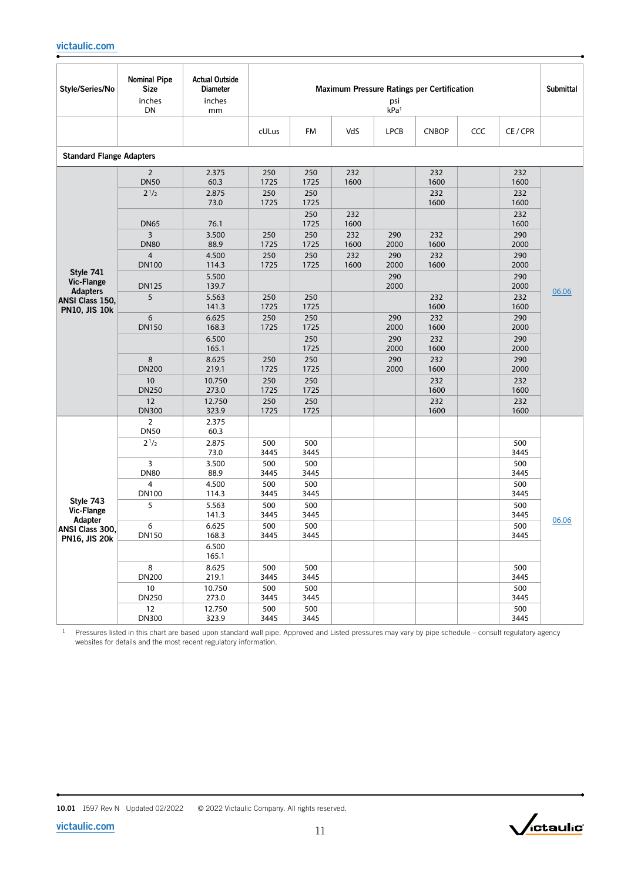| Style/Series/No                                            | <b>Nominal Pipe</b><br><b>Size</b><br>inches<br><b>DN</b> | <b>Actual Outside</b><br><b>Diameter</b><br>inches<br>mm |                     |                     |             | psi<br>kPa <sup>1</sup> | <b>Maximum Pressure Ratings per Certification</b> |     |                     | <b>Submittal</b> |
|------------------------------------------------------------|-----------------------------------------------------------|----------------------------------------------------------|---------------------|---------------------|-------------|-------------------------|---------------------------------------------------|-----|---------------------|------------------|
|                                                            |                                                           |                                                          | cULus               | FM                  | VdS         | <b>LPCB</b>             | <b>CNBOP</b>                                      | CCC | CE / CPR            |                  |
| <b>Standard Flange Adapters</b>                            |                                                           |                                                          |                     |                     |             |                         |                                                   |     |                     |                  |
|                                                            | $\overline{2}$                                            | 2.375                                                    | 250                 | 250                 | 232         |                         | 232                                               |     | 232                 |                  |
|                                                            | <b>DN50</b><br>$2^{1/2}$                                  | 60.3<br>2.875<br>73.0                                    | 1725<br>250<br>1725 | 1725<br>250<br>1725 | 1600        |                         | 1600<br>232<br>1600                               |     | 1600<br>232<br>1600 |                  |
|                                                            | <b>DN65</b>                                               | 76.1                                                     |                     | 250<br>1725         | 232<br>1600 |                         |                                                   |     | 232<br>1600         |                  |
|                                                            | 3<br><b>DN80</b>                                          | 3.500<br>88.9                                            | 250<br>1725         | 250<br>1725         | 232<br>1600 | 290<br>2000             | 232<br>1600                                       |     | 290<br>2000         |                  |
|                                                            | $\overline{4}$<br><b>DN100</b>                            | 4.500<br>114.3                                           | 250<br>1725         | 250<br>1725         | 232<br>1600 | 290<br>2000             | 232<br>1600                                       |     | 290<br>2000         |                  |
| Style 741<br><b>Vic-Flange</b>                             | <b>DN125</b>                                              | 5.500<br>139.7                                           |                     |                     |             | 290<br>2000             |                                                   |     | 290<br>2000         |                  |
| <b>Adapters</b><br>ANSI Class 150,<br><b>PN10, JIS 10k</b> | 5                                                         | 5.563<br>141.3                                           | 250<br>1725         | 250<br>1725         |             |                         | 232<br>1600                                       |     | 232<br>1600         | 06.06            |
|                                                            | 6<br><b>DN150</b>                                         | 6.625<br>168.3                                           | 250<br>1725         | 250<br>1725         |             | 290<br>2000             | 232<br>1600                                       |     | 290<br>2000         |                  |
|                                                            |                                                           | 6.500<br>165.1                                           |                     | 250<br>1725         |             | 290<br>2000             | 232<br>1600                                       |     | 290<br>2000         |                  |
|                                                            | 8<br><b>DN200</b>                                         | 8.625<br>219.1                                           | 250<br>1725         | 250<br>1725         |             | 290<br>2000             | 232<br>1600                                       |     | 290<br>2000         |                  |
|                                                            | 10<br><b>DN250</b>                                        | 10.750<br>273.0                                          | 250<br>1725         | 250<br>1725         |             |                         | 232<br>1600                                       |     | 232<br>1600         |                  |
|                                                            | 12<br><b>DN300</b>                                        | 12.750<br>323.9                                          | 250<br>1725         | 250<br>1725         |             |                         | 232<br>1600                                       |     | 232<br>1600         |                  |
|                                                            | $\overline{2}$<br><b>DN50</b>                             | 2.375<br>60.3                                            |                     |                     |             |                         |                                                   |     |                     |                  |
|                                                            | $2^{1/2}$                                                 | 2.875<br>73.0                                            | 500<br>3445         | 500<br>3445         |             |                         |                                                   |     | 500<br>3445         |                  |
|                                                            | 3<br><b>DN80</b>                                          | 3.500<br>88.9                                            | 500<br>3445         | 500<br>3445         |             |                         |                                                   |     | 500<br>3445         |                  |
|                                                            | $\overline{4}$<br><b>DN100</b>                            | 4.500<br>114.3                                           | 500<br>3445         | 500<br>3445         |             |                         |                                                   |     | 500<br>3445         |                  |
| Style 743<br><b>Vic-Flange</b>                             | 5                                                         | 5.563<br>141.3                                           | 500<br>3445         | 500<br>3445         |             |                         |                                                   |     | 500<br>3445         |                  |
| Adapter<br>ANSI Class 300,                                 | 6<br>DN150                                                | 6.625<br>168.3                                           | 500<br>3445         | 500<br>3445         |             |                         |                                                   |     | 500<br>3445         | 06.06            |
| <b>PN16, JIS 20k</b>                                       |                                                           | 6.500<br>165.1                                           |                     |                     |             |                         |                                                   |     |                     |                  |
|                                                            | 8<br><b>DN200</b>                                         | 8.625<br>219.1                                           | 500<br>3445         | 500<br>3445         |             |                         |                                                   |     | 500<br>3445         |                  |
|                                                            | 10<br><b>DN250</b>                                        | 10.750<br>273.0                                          | 500<br>3445         | 500<br>3445         |             |                         |                                                   |     | 500<br>3445         |                  |
|                                                            | 12<br><b>DN300</b>                                        | 12.750<br>323.9                                          | 500<br>3445         | 500<br>3445         |             |                         |                                                   |     | 500<br>3445         |                  |

<sup>1</sup> Pressures listed in this chart are based upon standard wall pipe. Approved and Listed pressures may vary by pipe schedule – consult regulatory agency websites for details and the most recent regulatory information.

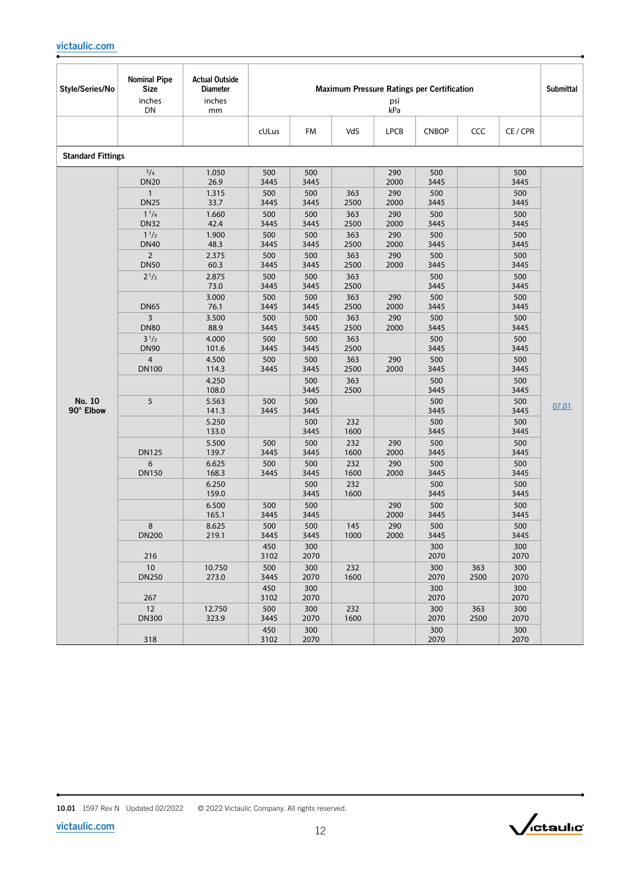| Style/Series/No          | <b>Nominal Pipe</b><br><b>Size</b><br>inches<br>DN | <b>Actual Outside</b><br><b>Diameter</b><br>inches<br>mm |             |             |             | psi<br>kPa  | <b>Maximum Pressure Ratings per Certification</b> |             |             | <b>Submittal</b> |
|--------------------------|----------------------------------------------------|----------------------------------------------------------|-------------|-------------|-------------|-------------|---------------------------------------------------|-------------|-------------|------------------|
|                          |                                                    |                                                          | cULus       | FM          | VdS         | <b>LPCB</b> | <b>CNBOP</b>                                      | CCC         | CE/CPR      |                  |
| <b>Standard Fittings</b> |                                                    |                                                          |             |             |             |             |                                                   |             |             |                  |
|                          | $^{3}/_{4}$<br><b>DN20</b>                         | 1.050<br>26.9                                            | 500<br>3445 | 500<br>3445 |             | 290<br>2000 | 500<br>3445                                       |             | 500<br>3445 |                  |
|                          | $\mathbf{1}$<br><b>DN25</b>                        | 1.315<br>33.7                                            | 500<br>3445 | 500<br>3445 | 363<br>2500 | 290<br>2000 | 500<br>3445                                       |             | 500<br>3445 |                  |
|                          | $1^{1}/4$<br><b>DN32</b>                           | 1.660<br>42.4                                            | 500<br>3445 | 500<br>3445 | 363<br>2500 | 290<br>2000 | 500<br>3445                                       |             | 500<br>3445 |                  |
|                          | $1^{1/2}$<br><b>DN40</b>                           | 1.900<br>48.3                                            | 500<br>3445 | 500<br>3445 | 363<br>2500 | 290<br>2000 | 500<br>3445                                       |             | 500<br>3445 |                  |
|                          | $\overline{2}$<br><b>DN50</b>                      | 2.375<br>60.3                                            | 500<br>3445 | 500<br>3445 | 363<br>2500 | 290<br>2000 | 500<br>3445                                       |             | 500<br>3445 |                  |
|                          | $2^{1/2}$                                          | 2.875<br>73.0                                            | 500<br>3445 | 500<br>3445 | 363<br>2500 |             | 500<br>3445                                       |             | 500<br>3445 |                  |
|                          | <b>DN65</b>                                        | 3.000<br>76.1                                            | 500<br>3445 | 500<br>3445 | 363<br>2500 | 290<br>2000 | 500<br>3445                                       |             | 500<br>3445 |                  |
|                          | $\overline{3}$<br><b>DN80</b>                      | 3.500<br>88.9                                            | 500<br>3445 | 500<br>3445 | 363<br>2500 | 290<br>2000 | 500<br>3445                                       |             | 500<br>3445 |                  |
|                          | $3^{1/2}$<br><b>DN90</b>                           | 4.000<br>101.6                                           | 500<br>3445 | 500<br>3445 | 363<br>2500 |             | 500<br>3445                                       |             | 500<br>3445 |                  |
|                          | $\overline{4}$<br><b>DN100</b>                     | 4.500<br>114.3                                           | 500<br>3445 | 500<br>3445 | 363<br>2500 | 290<br>2000 | 500<br>3445                                       |             | 500<br>3445 |                  |
|                          |                                                    | 4.250<br>108.0                                           |             | 500<br>3445 | 363<br>2500 |             | 500<br>3445                                       |             | 500<br>3445 |                  |
| No. 10<br>90° Elbow      | 5                                                  | 5.563<br>141.3                                           | 500<br>3445 | 500<br>3445 |             |             | 500<br>3445                                       |             | 500<br>3445 | 07.01            |
|                          |                                                    | 5.250<br>133.0                                           |             | 500<br>3445 | 232<br>1600 |             | 500<br>3445                                       |             | 500<br>3445 |                  |
|                          | <b>DN125</b>                                       | 5.500<br>139.7                                           | 500<br>3445 | 500<br>3445 | 232<br>1600 | 290<br>2000 | 500<br>3445                                       |             | 500<br>3445 |                  |
|                          | 6<br><b>DN150</b>                                  | 6.625<br>168.3                                           | 500<br>3445 | 500<br>3445 | 232<br>1600 | 290<br>2000 | 500<br>3445                                       |             | 500<br>3445 |                  |
|                          |                                                    | 6.250<br>159.0                                           |             | 500<br>3445 | 232<br>1600 |             | 500<br>3445                                       |             | 500<br>3445 |                  |
|                          |                                                    | 6.500<br>165.1                                           | 500<br>3445 | 500<br>3445 |             | 290<br>2000 | 500<br>3445                                       |             | 500<br>3445 |                  |
|                          | 8<br><b>DN200</b>                                  | 8.625<br>219.1                                           | 500<br>3445 | 500<br>3445 | 145<br>1000 | 290<br>2000 | 500<br>3445                                       |             | 500<br>3445 |                  |
|                          | 216                                                |                                                          | 450<br>3102 | 300<br>2070 |             |             | 300<br>2070                                       |             | 300<br>2070 |                  |
|                          | 10<br><b>DN250</b>                                 | 10.750<br>273.0                                          | 500<br>3445 | 300<br>2070 | 232<br>1600 |             | 300<br>2070                                       | 363<br>2500 | 300<br>2070 |                  |
|                          | 267                                                |                                                          | 450<br>3102 | 300<br>2070 |             |             | 300<br>2070                                       |             | 300<br>2070 |                  |
|                          | 12<br><b>DN300</b>                                 | 12.750<br>323.9                                          | 500<br>3445 | 300<br>2070 | 232<br>1600 |             | 300<br>2070                                       | 363<br>2500 | 300<br>2070 |                  |
|                          | 318                                                |                                                          | 450<br>3102 | 300<br>2070 |             |             | 300<br>2070                                       |             | 300<br>2070 |                  |

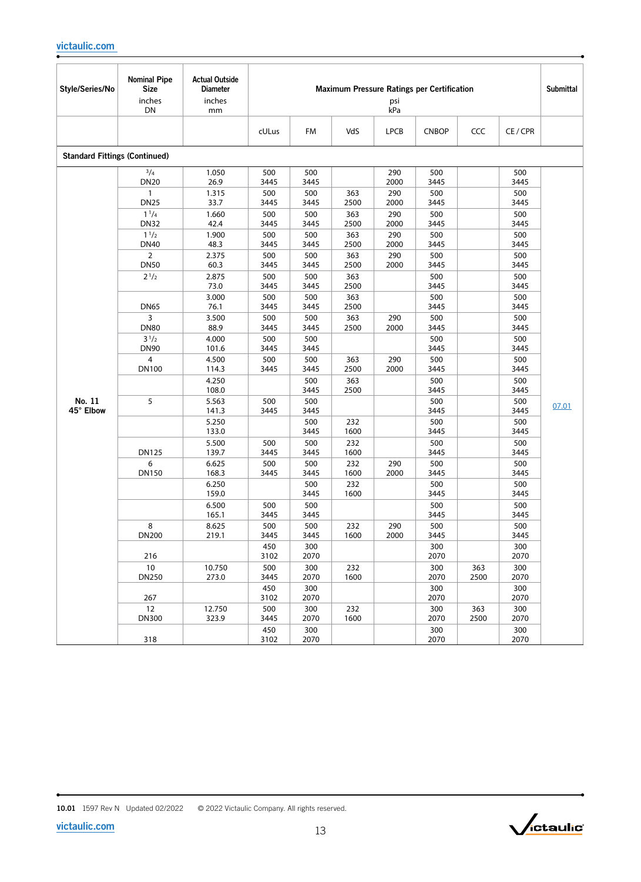| Style/Series/No                      | <b>Nominal Pipe</b><br><b>Size</b><br>inches<br>DN | <b>Actual Outside</b><br><b>Diameter</b><br>inches<br>mm | <b>Maximum Pressure Ratings per Certification</b><br><b>Submittal</b><br>psi<br>kPa |             |             |             |              |             |             |       |  |  |
|--------------------------------------|----------------------------------------------------|----------------------------------------------------------|-------------------------------------------------------------------------------------|-------------|-------------|-------------|--------------|-------------|-------------|-------|--|--|
|                                      |                                                    |                                                          | cULus                                                                               | <b>FM</b>   | VdS         | <b>LPCB</b> | <b>CNBOP</b> | CCC         | CE/CPR      |       |  |  |
| <b>Standard Fittings (Continued)</b> |                                                    |                                                          |                                                                                     |             |             |             |              |             |             |       |  |  |
|                                      | $^{3}/_{4}$<br><b>DN20</b>                         | 1.050<br>26.9                                            | 500<br>3445                                                                         | 500<br>3445 |             | 290<br>2000 | 500<br>3445  |             | 500<br>3445 |       |  |  |
|                                      | $\mathbf{1}$<br><b>DN25</b>                        | 1.315<br>33.7                                            | 500<br>3445                                                                         | 500<br>3445 | 363<br>2500 | 290<br>2000 | 500<br>3445  |             | 500<br>3445 |       |  |  |
|                                      | $1^{1}/4$<br><b>DN32</b>                           | 1.660<br>42.4                                            | 500<br>3445                                                                         | 500<br>3445 | 363<br>2500 | 290<br>2000 | 500<br>3445  |             | 500<br>3445 |       |  |  |
|                                      | $1^{1/2}$<br><b>DN40</b>                           | 1.900<br>48.3                                            | 500<br>3445                                                                         | 500<br>3445 | 363<br>2500 | 290<br>2000 | 500<br>3445  |             | 500<br>3445 |       |  |  |
|                                      | $\overline{2}$<br><b>DN50</b>                      | 2.375<br>60.3                                            | 500<br>3445                                                                         | 500<br>3445 | 363<br>2500 | 290<br>2000 | 500<br>3445  |             | 500<br>3445 |       |  |  |
|                                      | $2^{1/2}$                                          | 2.875<br>73.0                                            | 500<br>3445                                                                         | 500<br>3445 | 363<br>2500 |             | 500<br>3445  |             | 500<br>3445 |       |  |  |
|                                      | <b>DN65</b>                                        | 3.000<br>76.1                                            | 500<br>3445                                                                         | 500<br>3445 | 363<br>2500 |             | 500<br>3445  |             | 500<br>3445 |       |  |  |
|                                      | 3<br><b>DN80</b>                                   | 3.500<br>88.9                                            | 500<br>3445                                                                         | 500<br>3445 | 363<br>2500 | 290<br>2000 | 500<br>3445  |             | 500<br>3445 |       |  |  |
|                                      | $3^{1/2}$<br><b>DN90</b>                           | 4.000<br>101.6                                           | 500<br>3445                                                                         | 500<br>3445 |             |             | 500<br>3445  |             | 500<br>3445 |       |  |  |
|                                      | 4<br><b>DN100</b>                                  | 4.500<br>114.3                                           | 500<br>3445                                                                         | 500<br>3445 | 363<br>2500 | 290<br>2000 | 500<br>3445  |             | 500<br>3445 |       |  |  |
|                                      |                                                    | 4.250<br>108.0                                           |                                                                                     | 500<br>3445 | 363<br>2500 |             | 500<br>3445  |             | 500<br>3445 |       |  |  |
| No. 11<br>45° Elbow                  | 5                                                  | 5.563<br>141.3                                           | 500<br>3445                                                                         | 500<br>3445 |             |             | 500<br>3445  |             | 500<br>3445 | 07.01 |  |  |
|                                      |                                                    | 5.250<br>133.0                                           |                                                                                     | 500<br>3445 | 232<br>1600 |             | 500<br>3445  |             | 500<br>3445 |       |  |  |
|                                      | <b>DN125</b>                                       | 5.500<br>139.7                                           | 500<br>3445                                                                         | 500<br>3445 | 232<br>1600 |             | 500<br>3445  |             | 500<br>3445 |       |  |  |
|                                      | 6<br><b>DN150</b>                                  | 6.625<br>168.3                                           | 500<br>3445                                                                         | 500<br>3445 | 232<br>1600 | 290<br>2000 | 500<br>3445  |             | 500<br>3445 |       |  |  |
|                                      |                                                    | 6.250<br>159.0                                           |                                                                                     | 500<br>3445 | 232<br>1600 |             | 500<br>3445  |             | 500<br>3445 |       |  |  |
|                                      |                                                    | 6.500<br>165.1                                           | 500<br>3445                                                                         | 500<br>3445 |             |             | 500<br>3445  |             | 500<br>3445 |       |  |  |
|                                      | 8<br>DN200                                         | 8.625<br>219.1                                           | 500<br>3445                                                                         | 500<br>3445 | 232<br>1600 | 290<br>2000 | 500<br>3445  |             | 500<br>3445 |       |  |  |
|                                      | 216                                                |                                                          | 450<br>3102                                                                         | 300<br>2070 |             |             | 300<br>2070  |             | 300<br>2070 |       |  |  |
|                                      | 10<br><b>DN250</b>                                 | 10.750<br>273.0                                          | 500<br>3445                                                                         | 300<br>2070 | 232<br>1600 |             | 300<br>2070  | 363<br>2500 | 300<br>2070 |       |  |  |
|                                      | 267                                                |                                                          | 450<br>3102                                                                         | 300<br>2070 |             |             | 300<br>2070  |             | 300<br>2070 |       |  |  |
|                                      | 12<br><b>DN300</b>                                 | 12.750<br>323.9                                          | 500<br>3445                                                                         | 300<br>2070 | 232<br>1600 |             | 300<br>2070  | 363<br>2500 | 300<br>2070 |       |  |  |
|                                      | 318                                                |                                                          | 450<br>3102                                                                         | 300<br>2070 |             |             | 300<br>2070  |             | 300<br>2070 |       |  |  |

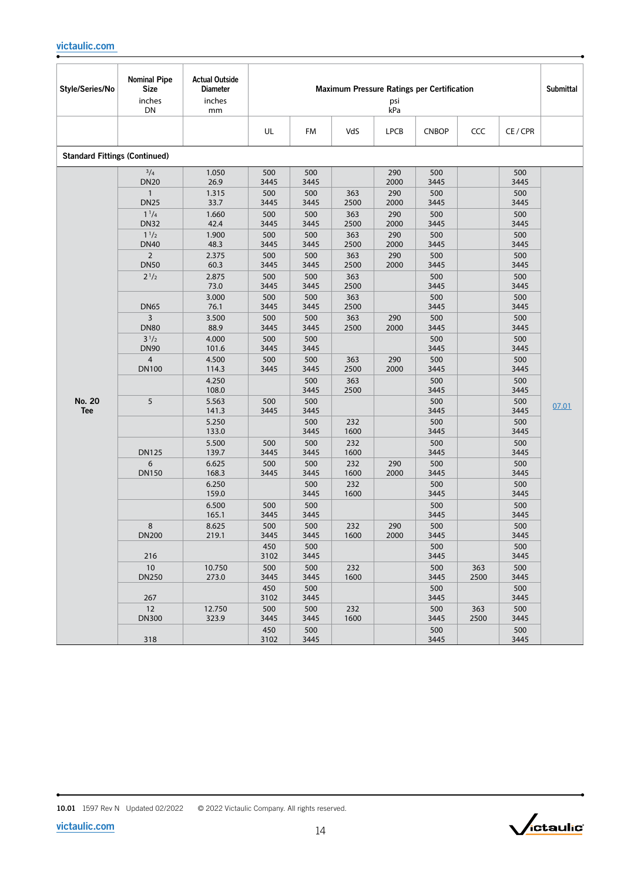| Style/Series/No                      | <b>Nominal Pipe</b><br><b>Size</b><br>inches<br>DN | <b>Actual Outside</b><br><b>Diameter</b><br>inches<br>mm |             |             |             | psi<br>kPa  | Maximum Pressure Ratings per Certification |             |             | <b>Submittal</b> |
|--------------------------------------|----------------------------------------------------|----------------------------------------------------------|-------------|-------------|-------------|-------------|--------------------------------------------|-------------|-------------|------------------|
|                                      |                                                    |                                                          | UL          | FM          | VdS         | <b>LPCB</b> | <b>CNBOP</b>                               | CCC         | CE / CPR    |                  |
| <b>Standard Fittings (Continued)</b> |                                                    |                                                          |             |             |             |             |                                            |             |             |                  |
|                                      | 3/4<br><b>DN20</b>                                 | 1.050<br>26.9                                            | 500<br>3445 | 500<br>3445 |             | 290<br>2000 | 500<br>3445                                |             | 500<br>3445 |                  |
|                                      | $\mathbf{1}$<br><b>DN25</b>                        | 1.315<br>33.7                                            | 500<br>3445 | 500<br>3445 | 363<br>2500 | 290<br>2000 | 500<br>3445                                |             | 500<br>3445 |                  |
|                                      | $1^{1}/4$<br><b>DN32</b>                           | 1.660<br>42.4                                            | 500<br>3445 | 500<br>3445 | 363<br>2500 | 290<br>2000 | 500<br>3445                                |             | 500<br>3445 |                  |
|                                      | $1^{1/2}$<br><b>DN40</b>                           | 1.900<br>48.3                                            | 500<br>3445 | 500<br>3445 | 363<br>2500 | 290<br>2000 | 500<br>3445                                |             | 500<br>3445 |                  |
|                                      | $\overline{2}$<br><b>DN50</b>                      | 2.375<br>60.3                                            | 500<br>3445 | 500<br>3445 | 363<br>2500 | 290<br>2000 | 500<br>3445                                |             | 500<br>3445 |                  |
|                                      | $2^{1/2}$                                          | 2.875<br>73.0                                            | 500<br>3445 | 500<br>3445 | 363<br>2500 |             | 500<br>3445                                |             | 500<br>3445 |                  |
|                                      | <b>DN65</b>                                        | 3.000<br>76.1                                            | 500<br>3445 | 500<br>3445 | 363<br>2500 |             | 500<br>3445                                |             | 500<br>3445 |                  |
|                                      | $\overline{3}$<br><b>DN80</b>                      | 3.500<br>88.9                                            | 500<br>3445 | 500<br>3445 | 363<br>2500 | 290<br>2000 | 500<br>3445                                |             | 500<br>3445 |                  |
|                                      | $3^{1/2}$<br><b>DN90</b>                           | 4.000<br>101.6                                           | 500<br>3445 | 500<br>3445 |             |             | 500<br>3445                                |             | 500<br>3445 |                  |
|                                      | $\overline{4}$<br><b>DN100</b>                     | 4.500<br>114.3                                           | 500<br>3445 | 500<br>3445 | 363<br>2500 | 290<br>2000 | 500<br>3445                                |             | 500<br>3445 |                  |
|                                      |                                                    | 4.250<br>108.0                                           |             | 500<br>3445 | 363<br>2500 |             | 500<br>3445                                |             | 500<br>3445 |                  |
| No. 20<br><b>Tee</b>                 | 5                                                  | 5.563<br>141.3                                           | 500<br>3445 | 500<br>3445 |             |             | 500<br>3445                                |             | 500<br>3445 | 07.01            |
|                                      |                                                    | 5.250<br>133.0                                           |             | 500<br>3445 | 232<br>1600 |             | 500<br>3445                                |             | 500<br>3445 |                  |
|                                      | <b>DN125</b>                                       | 5.500<br>139.7                                           | 500<br>3445 | 500<br>3445 | 232<br>1600 |             | 500<br>3445                                |             | 500<br>3445 |                  |
|                                      | 6<br><b>DN150</b>                                  | 6.625<br>168.3                                           | 500<br>3445 | 500<br>3445 | 232<br>1600 | 290<br>2000 | 500<br>3445                                |             | 500<br>3445 |                  |
|                                      |                                                    | 6.250<br>159.0                                           |             | 500<br>3445 | 232<br>1600 |             | 500<br>3445                                |             | 500<br>3445 |                  |
|                                      |                                                    | 6.500<br>165.1                                           | 500<br>3445 | 500<br>3445 |             |             | 500<br>3445                                |             | 500<br>3445 |                  |
|                                      | 8<br><b>DN200</b>                                  | 8.625<br>219.1                                           | 500<br>3445 | 500<br>3445 | 232<br>1600 | 290<br>2000 | 500<br>3445                                |             | 500<br>3445 |                  |
|                                      | 216                                                |                                                          | 450<br>3102 | 500<br>3445 |             |             | 500<br>3445                                |             | 500<br>3445 |                  |
|                                      | 10<br><b>DN250</b>                                 | 10.750<br>273.0                                          | 500<br>3445 | 500<br>3445 | 232<br>1600 |             | 500<br>3445                                | 363<br>2500 | 500<br>3445 |                  |
|                                      | 267                                                |                                                          | 450<br>3102 | 500<br>3445 |             |             | 500<br>3445                                |             | 500<br>3445 |                  |
|                                      | 12<br><b>DN300</b>                                 | 12.750<br>323.9                                          | 500<br>3445 | 500<br>3445 | 232<br>1600 |             | 500<br>3445                                | 363<br>2500 | 500<br>3445 |                  |
|                                      | 318                                                |                                                          | 450<br>3102 | 500<br>3445 |             |             | 500<br>3445                                |             | 500<br>3445 |                  |

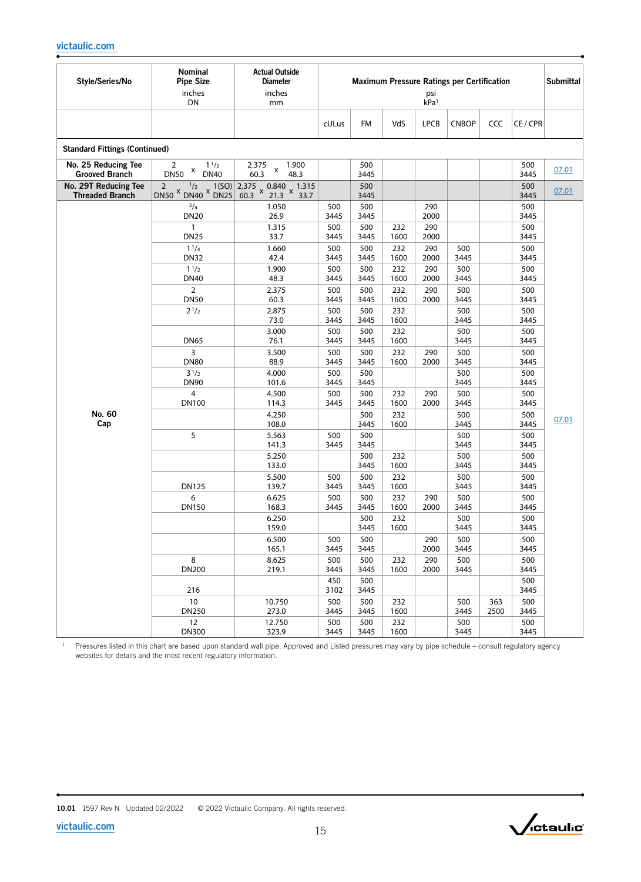| Style/Series/No                                | Nominal<br><b>Pipe Size</b><br>inches<br>DN                    | <b>Actual Outside</b><br><b>Diameter</b><br>inches<br>mm |             |             |             | psi<br>kPa <sup>1</sup> | <b>Maximum Pressure Ratings per Certification</b> |      |             | <b>Submittal</b> |
|------------------------------------------------|----------------------------------------------------------------|----------------------------------------------------------|-------------|-------------|-------------|-------------------------|---------------------------------------------------|------|-------------|------------------|
|                                                |                                                                |                                                          | cULus       | <b>FM</b>   | VdS         | <b>LPCB</b>             | <b>CNBOP</b>                                      | CCC  | CE / CPR    |                  |
| <b>Standard Fittings (Continued)</b>           |                                                                |                                                          |             |             |             |                         |                                                   |      |             |                  |
| No. 25 Reducing Tee<br><b>Grooved Branch</b>   | $\overline{2}$<br>$1^{1/2}$<br>X<br><b>DN50</b><br><b>DN40</b> | 2.375<br>1.900<br>X<br>60.3<br>48.3                      |             | 500<br>3445 |             |                         |                                                   |      | 500<br>3445 | 07.01            |
| No. 29T Reducing Tee<br><b>Threaded Branch</b> | 1/2<br>$\overline{2}$<br>$DNS^x$ DN40 $x$ DN25                 | $1(SO)$ 2.375 x 0.840 x 1.315<br>DN25 60.3 x 21.3 x 33.7 |             | 500<br>3445 |             |                         |                                                   |      | 500<br>3445 | 07.01            |
|                                                | 3/4<br><b>DN20</b>                                             | 1.050<br>26.9                                            | 500<br>3445 | 500<br>3445 |             | 290<br>2000             |                                                   |      | 500<br>3445 |                  |
|                                                | $\mathbf{1}$<br><b>DN25</b>                                    | 1.315<br>33.7                                            | 500<br>3445 | 500<br>3445 | 232<br>1600 | 290<br>2000             |                                                   |      | 500<br>3445 |                  |
|                                                | $1^{1}/4$<br><b>DN32</b>                                       | 1.660<br>42.4                                            | 500<br>3445 | 500<br>3445 | 232<br>1600 | 290<br>2000             | 500<br>3445                                       |      | 500<br>3445 |                  |
|                                                | $1^{1/2}$                                                      | 1.900                                                    | 500         | 500         | 232         | 290                     | 500                                               |      | 500         |                  |
|                                                | <b>DN40</b>                                                    | 48.3                                                     | 3445        | 3445        | 1600        | 2000                    | 3445                                              |      | 3445        |                  |
|                                                | $\overline{2}$<br><b>DN50</b>                                  | 2.375<br>60.3                                            | 500<br>3445 | 500<br>3445 | 232<br>1600 | 290<br>2000             | 500<br>3445                                       |      | 500<br>3445 |                  |
|                                                | $2^{1/2}$                                                      | 2.875                                                    | 500         | 500         | 232         |                         | 500                                               |      | 500         |                  |
|                                                |                                                                | 73.0                                                     | 3445        | 3445        | 1600        |                         | 3445                                              |      | 3445        |                  |
|                                                |                                                                | 3.000                                                    | 500         | 500         | 232         |                         | 500                                               |      | 500         |                  |
|                                                | <b>DN65</b><br>3                                               | 76.1<br>3.500                                            | 3445<br>500 | 3445<br>500 | 1600<br>232 | 290                     | 3445<br>500                                       |      | 3445<br>500 |                  |
|                                                | <b>DN80</b>                                                    | 88.9                                                     | 3445        | 3445        | 1600        | 2000                    | 3445                                              |      | 3445        |                  |
|                                                | $3^{1/2}$                                                      | 4.000                                                    | 500         | 500         |             |                         | 500                                               |      | 500         |                  |
|                                                | <b>DN90</b>                                                    | 101.6                                                    | 3445        | 3445        |             |                         | 3445                                              |      | 3445        |                  |
|                                                | 4<br>DN100                                                     | 4.500<br>114.3                                           | 500<br>3445 | 500<br>3445 | 232<br>1600 | 290<br>2000             | 500<br>3445                                       |      | 500<br>3445 |                  |
| No. 60                                         |                                                                | 4.250                                                    |             | 500         | 232         |                         | 500                                               |      | 500         |                  |
| Cap                                            |                                                                | 108.0                                                    |             | 3445        | 1600        |                         | 3445                                              |      | 3445        | 07.01            |
|                                                | 5                                                              | 5.563<br>141.3                                           | 500<br>3445 | 500<br>3445 |             |                         | 500<br>3445                                       |      | 500<br>3445 |                  |
|                                                |                                                                | 5.250                                                    |             | 500         | 232         |                         | 500                                               |      | 500         |                  |
|                                                |                                                                | 133.0                                                    |             | 3445        | 1600        |                         | 3445                                              |      | 3445        |                  |
|                                                |                                                                | 5.500                                                    | 500         | 500         | 232         |                         | 500                                               |      | 500         |                  |
|                                                | <b>DN125</b><br>6                                              | 139.7<br>6.625                                           | 3445<br>500 | 3445<br>500 | 1600<br>232 | 290                     | 3445<br>500                                       |      | 3445<br>500 |                  |
|                                                | <b>DN150</b>                                                   | 168.3                                                    | 3445        | 3445        | 1600        | 2000                    | 3445                                              |      | 3445        |                  |
|                                                |                                                                | 6.250                                                    |             | 500         | 232         |                         | 500                                               |      | 500         |                  |
|                                                |                                                                | 159.0                                                    |             | 3445        | 1600        |                         | 3445                                              |      | 3445        |                  |
|                                                |                                                                | 6.500<br>165.1                                           | 500<br>3445 | 500<br>3445 |             | 290<br>2000             | 500<br>3445                                       |      | 500<br>3445 |                  |
|                                                | 8                                                              | 8.625                                                    | 500         | 500         | 232         | 290                     | 500                                               |      | 500         |                  |
|                                                | <b>DN200</b>                                                   | 219.1                                                    | 3445        | 3445        | 1600        | 2000                    | 3445                                              |      | 3445        |                  |
|                                                | 216                                                            |                                                          | 450<br>3102 | 500<br>3445 |             |                         |                                                   |      | 500<br>3445 |                  |
|                                                | 10                                                             | 10.750                                                   | 500         | 500         | 232         |                         | 500                                               | 363  | 500         |                  |
|                                                | <b>DN250</b><br>12                                             | 273.0<br>12.750                                          | 3445<br>500 | 3445<br>500 | 1600<br>232 |                         | 3445<br>500                                       | 2500 | 3445<br>500 |                  |
|                                                | <b>DN300</b>                                                   | 323.9                                                    | 3445        | 3445        | 1600        |                         | 3445                                              |      | 3445        |                  |

<sup>1</sup> Pressures listed in this chart are based upon standard wall pipe. Approved and Listed pressures may vary by pipe schedule – consult regulatory agency

websites for details and the most recent regulatory information.

[victaulic.com](http://www.victaulic.com)

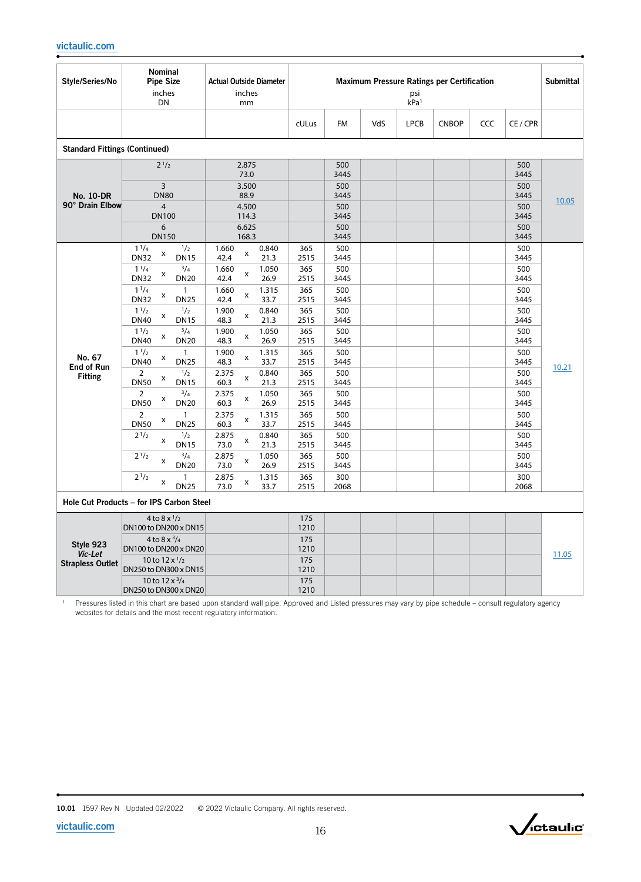| Style/Series/No                      | Nominal<br><b>Pipe Size</b><br>inches<br><b>DN</b>                            | <b>Actual Outside Diameter</b><br>inches<br>mm |             |             |     | psi<br>kPa <sup>1</sup> | Maximum Pressure Ratings per Certification |     |             | <b>Submittal</b> |
|--------------------------------------|-------------------------------------------------------------------------------|------------------------------------------------|-------------|-------------|-----|-------------------------|--------------------------------------------|-----|-------------|------------------|
|                                      |                                                                               |                                                | cULus       | <b>FM</b>   | VdS | <b>LPCB</b>             | <b>CNBOP</b>                               | CCC | CE/CPR      |                  |
| <b>Standard Fittings (Continued)</b> |                                                                               |                                                |             |             |     |                         |                                            |     |             |                  |
|                                      | $2^{1/2}$                                                                     | 2.875<br>73.0                                  |             | 500<br>3445 |     |                         |                                            |     | 500<br>3445 |                  |
| <b>No. 10-DR</b>                     | $\overline{3}$<br><b>DN80</b>                                                 | 3.500<br>88.9                                  |             | 500<br>3445 |     |                         |                                            |     | 500<br>3445 |                  |
| 90° Drain Elbow                      | $\overline{4}$<br><b>DN100</b>                                                | 4.500<br>114.3                                 |             | 500<br>3445 |     |                         |                                            |     | 500<br>3445 | 10.05            |
|                                      | 6<br><b>DN150</b>                                                             | 6.625<br>168.3                                 |             | 500<br>3445 |     |                         |                                            |     | 500<br>3445 |                  |
|                                      | $1^{1}/4$<br>$\frac{1}{2}$<br>X<br><b>DN32</b><br><b>DN15</b>                 | 1.660<br>0.840<br>X<br>42.4<br>21.3            | 365<br>2515 | 500<br>3445 |     |                         |                                            |     | 500<br>3445 |                  |
|                                      | $1^{1}/4$<br>$^{3}/_{4}$<br>x<br><b>DN32</b><br><b>DN20</b>                   | 1.050<br>1.660<br>X<br>42.4<br>26.9            | 365<br>2515 | 500<br>3445 |     |                         |                                            |     | 500<br>3445 |                  |
|                                      | $1^{1}/4$<br>$\mathbf{1}$<br>x<br><b>DN32</b><br><b>DN25</b>                  | 1.660<br>1.315<br>x<br>42.4<br>33.7            | 365<br>2515 | 500<br>3445 |     |                         |                                            |     | 500<br>3445 |                  |
|                                      | 1 <sup>1</sup> /2<br>1/2<br>X<br><b>DN40</b><br><b>DN15</b>                   | 1.900<br>0.840<br>х<br>48.3<br>21.3            | 365<br>2515 | 500<br>3445 |     |                         |                                            |     | 500<br>3445 |                  |
|                                      | $^{3}/_{4}$<br>$1^{1/2}$<br>x<br><b>DN40</b><br><b>DN20</b>                   | 1.050<br>1.900<br>x<br>26.9<br>48.3            | 365<br>2515 | 500<br>3445 |     |                         |                                            |     | 500<br>3445 |                  |
| No. 67<br>End of Run                 | $1^{1/2}$<br>$\mathbf{1}$<br>$\pmb{\mathsf{x}}$<br><b>DN40</b><br><b>DN25</b> | 1.900<br>1.315<br>x<br>48.3<br>33.7            | 365<br>2515 | 500<br>3445 |     |                         |                                            |     | 500<br>3445 | 10.21            |
| <b>Fitting</b>                       | 1/2<br>2<br>x<br><b>DN50</b><br><b>DN15</b>                                   | 2.375<br>0.840<br>x<br>60.3<br>21.3            | 365<br>2515 | 500<br>3445 |     |                         |                                            |     | 500<br>3445 |                  |
|                                      | $^{3}/_{4}$<br>2<br>X<br><b>DN50</b><br><b>DN20</b>                           | 2.375<br>1.050<br>X<br>26.9<br>60.3            | 365<br>2515 | 500<br>3445 |     |                         |                                            |     | 500<br>3445 |                  |
|                                      | $\overline{2}$<br>$\mathbf{1}$<br>X<br><b>DN50</b><br><b>DN25</b>             | 2.375<br>1.315<br>x<br>33.7<br>60.3            | 365<br>2515 | 500<br>3445 |     |                         |                                            |     | 500<br>3445 |                  |
|                                      | 1/2<br>$2^{1/2}$<br>x<br><b>DN15</b>                                          | 2.875<br>0.840<br>x<br>73.0<br>21.3            | 365<br>2515 | 500<br>3445 |     |                         |                                            |     | 500<br>3445 |                  |
|                                      | $2^{1/2}$<br>$^{3}/_{4}$<br>X<br><b>DN20</b>                                  | 2.875<br>1.050<br>X<br>26.9<br>73.0            | 365<br>2515 | 500<br>3445 |     |                         |                                            |     | 500<br>3445 |                  |
|                                      | $2^{1/2}$<br>$\mathbf{1}$<br>X<br><b>DN25</b>                                 | 2.875<br>1.315<br>X<br>73.0<br>33.7            | 365<br>2515 | 300<br>2068 |     |                         |                                            |     | 300<br>2068 |                  |
|                                      | Hole Cut Products - for IPS Carbon Steel                                      |                                                |             |             |     |                         |                                            |     |             |                  |
|                                      | 4 to $8 \times \frac{1}{2}$<br>DN100 to DN200 x DN15                          |                                                | 175<br>1210 |             |     |                         |                                            |     |             |                  |
| Style 923                            | 4 to $8 \times \frac{3}{4}$<br>DN100 to DN200 x DN20                          |                                                | 175<br>1210 |             |     |                         |                                            |     |             |                  |
| Vic-Let<br><b>Strapless Outlet</b>   | 10 to $12 \times \frac{1}{2}$<br>DN250 to DN300 x DN15                        |                                                | 175<br>1210 |             |     |                         |                                            |     |             | 11.05            |
|                                      | 10 to $12 \times \frac{3}{4}$<br>DN250 to DN300 x DN20                        |                                                | 175<br>1210 |             |     |                         |                                            |     |             |                  |



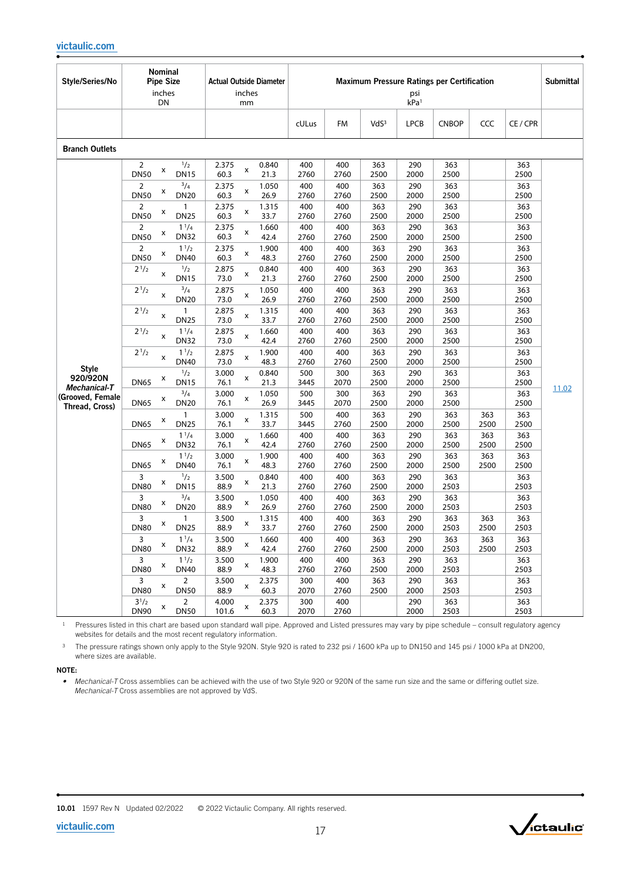| Style/Series/No                                    | <b>Nominal</b><br><b>Pipe Size</b><br>inches<br>DN                | <b>Actual Outside Diameter</b><br>inches<br>mm | <b>Maximum Pressure Ratings per Certification</b><br>psi<br>kPa <sup>1</sup> |             |                  |             |              |             |             |       |
|----------------------------------------------------|-------------------------------------------------------------------|------------------------------------------------|------------------------------------------------------------------------------|-------------|------------------|-------------|--------------|-------------|-------------|-------|
|                                                    |                                                                   |                                                | cULus                                                                        | <b>FM</b>   | VdS <sup>3</sup> | <b>LPCB</b> | <b>CNBOP</b> | <b>CCC</b>  | CE / CPR    |       |
| <b>Branch Outlets</b>                              |                                                                   |                                                |                                                                              |             |                  |             |              |             |             |       |
|                                                    | 1/2<br>2<br>x<br><b>DN50</b><br><b>DN15</b>                       | 2.375<br>0.840<br>x<br>60.3<br>21.3            | 400<br>2760                                                                  | 400<br>2760 | 363<br>2500      | 290<br>2000 | 363<br>2500  |             | 363<br>2500 |       |
|                                                    | $^{3}/_{4}$<br>2<br>x<br><b>DN50</b><br><b>DN20</b>               | 2.375<br>1.050<br>x<br>26.9<br>60.3            | 400<br>2760                                                                  | 400<br>2760 | 363<br>2500      | 290<br>2000 | 363<br>2500  |             | 363<br>2500 |       |
|                                                    | $\overline{2}$<br>$\mathbf{1}$<br>x<br><b>DN50</b><br><b>DN25</b> | 2.375<br>1.315<br>x<br>60.3<br>33.7            | 400<br>2760                                                                  | 400<br>2760 | 363<br>2500      | 290<br>2000 | 363<br>2500  |             | 363<br>2500 |       |
|                                                    | $1^{1}/4$<br>2<br>x<br><b>DN50</b><br><b>DN32</b>                 | 2.375<br>1.660<br>x<br>60.3<br>42.4            | 400<br>2760                                                                  | 400<br>2760 | 363<br>2500      | 290<br>2000 | 363<br>2500  |             | 363<br>2500 |       |
|                                                    | $1^{1/2}$<br>2<br>x<br><b>DN50</b><br><b>DN40</b>                 | 2.375<br>1.900<br>x<br>48.3<br>60.3            | 400<br>2760                                                                  | 400<br>2760 | 363<br>2500      | 290<br>2000 | 363<br>2500  |             | 363<br>2500 |       |
|                                                    | 1/2<br>$2^{1/2}$<br>x<br><b>DN15</b>                              | 2.875<br>0.840<br>x<br>73.0<br>21.3            | 400<br>2760                                                                  | 400<br>2760 | 363<br>2500      | 290<br>2000 | 363<br>2500  |             | 363<br>2500 |       |
|                                                    | $^{3}/_{4}$<br>$2^{1/2}$<br>x<br><b>DN20</b>                      | 2.875<br>1.050<br>x<br>73.0<br>26.9            | 400<br>2760                                                                  | 400<br>2760 | 363<br>2500      | 290<br>2000 | 363<br>2500  |             | 363<br>2500 |       |
|                                                    | $2^{1/2}$<br>1<br>x<br><b>DN25</b>                                | 2.875<br>1.315<br>x<br>73.0<br>33.7            | 400<br>2760                                                                  | 400<br>2760 | 363<br>2500      | 290<br>2000 | 363<br>2500  |             | 363<br>2500 |       |
|                                                    | $2^{1/2}$<br>$1^{1}/4$<br>x<br><b>DN32</b>                        | 2.875<br>1.660<br>X<br>73.0<br>42.4            | 400<br>2760                                                                  | 400<br>2760 | 363<br>2500      | 290<br>2000 | 363<br>2500  |             | 363<br>2500 |       |
|                                                    | $2^{1/2}$<br>$1^{1/2}$<br>x<br><b>DN40</b>                        | 2.875<br>1.900<br>x<br>73.0<br>48.3            | 400<br>2760                                                                  | 400<br>2760 | 363<br>2500      | 290<br>2000 | 363<br>2500  |             | 363<br>2500 |       |
| <b>Style</b><br>920/920N                           | 1/2<br>x<br><b>DN65</b><br><b>DN15</b>                            | 3.000<br>0.840<br>X<br>76.1<br>21.3            | 500<br>3445                                                                  | 300<br>2070 | 363<br>2500      | 290<br>2000 | 363<br>2500  |             | 363<br>2500 |       |
| Mechanical-T<br>(Grooved, Female<br>Thread, Cross) | $^{3}/_{4}$<br>x<br><b>DN65</b><br><b>DN20</b>                    | 3.000<br>1.050<br>X<br>26.9<br>76.1            | 500<br>3445                                                                  | 300<br>2070 | 363<br>2500      | 290<br>2000 | 363<br>2500  |             | 363<br>2500 | 11.02 |
|                                                    | $\mathbf{1}$<br>x<br><b>DN25</b><br><b>DN65</b>                   | 3.000<br>1.315<br>x<br>76.1<br>33.7            | 500<br>3445                                                                  | 400<br>2760 | 363<br>2500      | 290<br>2000 | 363<br>2500  | 363<br>2500 | 363<br>2500 |       |
|                                                    | $1^{1/4}$<br>x<br><b>DN65</b><br><b>DN32</b>                      | 3.000<br>1.660<br>x<br>76.1<br>42.4            | 400<br>2760                                                                  | 400<br>2760 | 363<br>2500      | 290<br>2000 | 363<br>2500  | 363<br>2500 | 363<br>2500 |       |
|                                                    | $1^{1/2}$<br>x<br><b>DN65</b><br><b>DN40</b>                      | 3.000<br>1.900<br>x<br>48.3<br>76.1            | 400<br>2760                                                                  | 400<br>2760 | 363<br>2500      | 290<br>2000 | 363<br>2500  | 363<br>2500 | 363<br>2500 |       |
|                                                    | 1/2<br>3<br>x<br><b>DN80</b><br><b>DN15</b>                       | 3.500<br>0.840<br>x<br>88.9<br>21.3            | 400<br>2760                                                                  | 400<br>2760 | 363<br>2500      | 290<br>2000 | 363<br>2503  |             | 363<br>2503 |       |
|                                                    | $^{3}/_{4}$<br>3<br>x<br><b>DN80</b><br><b>DN20</b>               | 1.050<br>3.500<br>x<br>26.9<br>88.9            | 400<br>2760                                                                  | 400<br>2760 | 363<br>2500      | 290<br>2000 | 363<br>2503  |             | 363<br>2503 |       |
|                                                    | 3<br>1<br>x<br><b>DN80</b><br><b>DN25</b>                         | 3.500<br>1.315<br>x<br>88.9<br>33.7            | 400<br>2760                                                                  | 400<br>2760 | 363<br>2500      | 290<br>2000 | 363<br>2503  | 363<br>2500 | 363<br>2503 |       |
|                                                    | 3<br>$1^{1/4}$<br>x<br><b>DN80</b><br><b>DN32</b>                 | 3.500<br>1.660<br>x<br>88.9<br>42.4            | 400<br>2760                                                                  | 400<br>2760 | 363<br>2500      | 290<br>2000 | 363<br>2503  | 363<br>2500 | 363<br>2503 |       |
|                                                    | $1^{1/2}$<br>3<br>X<br><b>DN80</b><br><b>DN40</b>                 | 3.500<br>1.900<br>X<br>88.9<br>48.3            | 400<br>2760                                                                  | 400<br>2760 | 363<br>2500      | 290<br>2000 | 363<br>2503  |             | 363<br>2503 |       |
|                                                    | 3<br>$\overline{2}$<br>x<br><b>DN80</b><br><b>DN50</b>            | 3.500<br>2.375<br>x<br>88.9<br>60.3            | 300<br>2070                                                                  | 400<br>2760 | 363<br>2500      | 290<br>2000 | 363<br>2503  |             | 363<br>2503 |       |
|                                                    | $3^{1}/2$<br>$\overline{2}$<br>X<br><b>DN90</b><br><b>DN50</b>    | 4.000<br>2.375<br>X<br>101.6<br>60.3           | 300<br>2070                                                                  | 400<br>2760 |                  | 290<br>2000 | 363<br>2503  |             | 363<br>2503 |       |

<sup>3</sup> The pressure ratings shown only apply to the Style 920N. Style 920 is rated to 232 psi / 1600 kPa up to DN150 and 145 psi / 1000 kPa at DN200, where sizes are available.

#### NOTE:

• Mechanical-T Cross assemblies can be achieved with the use of two Style 920 or 920N of the same run size and the same or differing outlet size. *Mechanical-T* Cross assemblies are not approved by VdS.

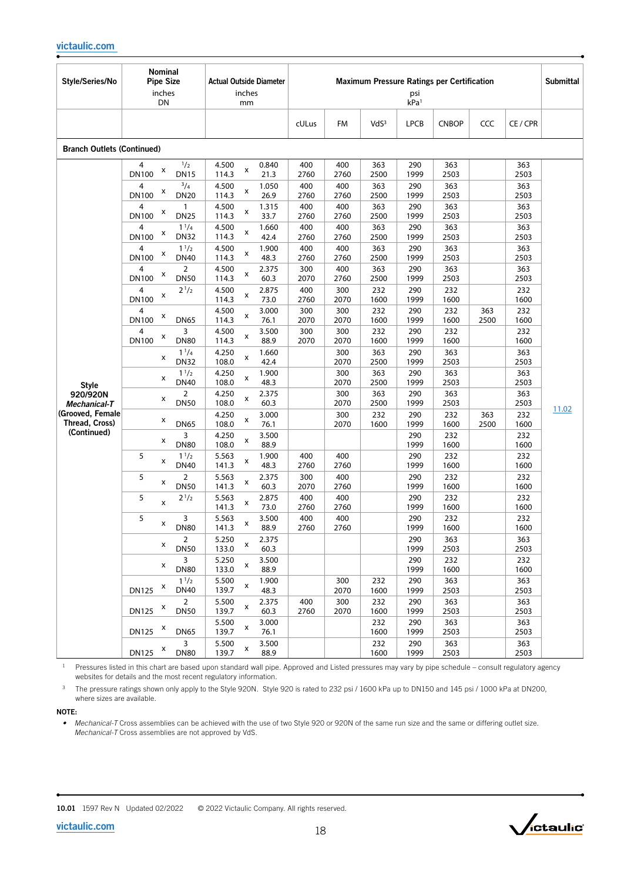| Style/Series/No                    | Nominal<br><b>Pipe Size</b><br>inches<br>DN             | <b>Actual Outside Diameter</b><br>inches<br>mm |             |             |                  | psi<br>kPa <sup>1</sup> | <b>Maximum Pressure Ratings per Certification</b> |             |             | <b>Submittal</b> |
|------------------------------------|---------------------------------------------------------|------------------------------------------------|-------------|-------------|------------------|-------------------------|---------------------------------------------------|-------------|-------------|------------------|
|                                    |                                                         |                                                | cULus       | <b>FM</b>   | VdS <sup>3</sup> | <b>LPCB</b>             | <b>CNBOP</b>                                      | CCC         | CE / CPR    |                  |
| <b>Branch Outlets (Continued)</b>  |                                                         |                                                |             |             |                  |                         |                                                   |             |             |                  |
|                                    | 1/2<br>4<br>X<br><b>DN100</b><br><b>DN15</b>            | 4.500<br>0.840<br>x<br>114.3<br>21.3           | 400<br>2760 | 400<br>2760 | 363<br>2500      | 290<br>1999             | 363<br>2503                                       |             | 363<br>2503 |                  |
|                                    | $^{3}/_{4}$<br>4<br>x<br><b>DN100</b><br><b>DN20</b>    | 4.500<br>1.050<br>x<br>26.9<br>114.3           | 400<br>2760 | 400<br>2760 | 363<br>2500      | 290<br>1999             | 363<br>2503                                       |             | 363<br>2503 |                  |
|                                    | $\mathbf{1}$<br>4<br>X<br><b>DN25</b><br><b>DN100</b>   | 4.500<br>1.315<br>x<br>114.3<br>33.7           | 400<br>2760 | 400<br>2760 | 363<br>2500      | 290<br>1999             | 363<br>2503                                       |             | 363<br>2503 |                  |
|                                    | $1^{1/4}$<br>4<br>X<br><b>DN100</b><br><b>DN32</b>      | 4.500<br>1.660<br>x<br>114.3<br>42.4           | 400<br>2760 | 400<br>2760 | 363<br>2500      | 290<br>1999             | 363<br>2503                                       |             | 363<br>2503 |                  |
|                                    | $1^{1/2}$<br>4<br>X<br><b>DN100</b><br><b>DN40</b>      | 4.500<br>1.900<br>x<br>48.3<br>114.3           | 400<br>2760 | 400<br>2760 | 363<br>2500      | 290<br>1999             | 363<br>2503                                       |             | 363<br>2503 |                  |
|                                    | $\overline{2}$<br>4<br>X<br><b>DN100</b><br><b>DN50</b> | 4.500<br>2.375<br>х<br>60.3<br>114.3           | 300<br>2070 | 400<br>2760 | 363<br>2500      | 290<br>1999             | 363<br>2503                                       |             | 363<br>2503 |                  |
|                                    | $2^{1/2}$<br>4<br>X<br><b>DN100</b>                     | 4.500<br>2.875<br>x<br>114.3<br>73.0           | 400<br>2760 | 300<br>2070 | 232<br>1600      | 290<br>1999             | 232<br>1600                                       |             | 232<br>1600 |                  |
|                                    | 4<br>X<br><b>DN100</b><br><b>DN65</b>                   | 4.500<br>3.000<br>x<br>114.3<br>76.1           | 300<br>2070 | 300<br>2070 | 232<br>1600      | 290<br>1999             | 232<br>1600                                       | 363<br>2500 | 232<br>1600 |                  |
| <b>Style</b>                       | 3<br>X<br><b>DN100</b><br><b>DN80</b>                   | 4.500<br>3.500<br>x<br>88.9<br>114.3           | 300<br>2070 | 300<br>2070 | 232<br>1600      | 290<br>1999             | 232<br>1600                                       |             | 232<br>1600 |                  |
|                                    | $1^{1/4}$<br>x<br><b>DN32</b>                           | 4.250<br>1.660<br>x<br>108.0<br>42.4           |             | 300<br>2070 | 363<br>2500      | 290<br>1999             | 363<br>2503                                       |             | 363<br>2503 |                  |
|                                    | $1^{1/2}$<br>x<br><b>DN40</b>                           | 4.250<br>1.900<br>x<br>108.0<br>48.3           |             | 300<br>2070 | 363<br>2500      | 290<br>1999             | 363<br>2503                                       |             | 363<br>2503 |                  |
| 920/920N<br>Mechanical-T           | $\overline{2}$<br>X<br><b>DN50</b>                      | 4.250<br>2.375<br>x<br>108.0<br>60.3           |             | 300<br>2070 | 363<br>2500      | 290<br>1999             | 363<br>2503                                       |             | 363<br>2503 |                  |
| (Grooved, Female<br>Thread, Cross) | х<br><b>DN65</b>                                        | 4.250<br>3.000<br>x<br>108.0<br>76.1           |             | 300<br>2070 | 232<br>1600      | 290<br>1999             | 232<br>1600                                       | 363<br>2500 | 232<br>1600 | 11.02            |
| (Continued)                        | 3<br>х<br><b>DN80</b>                                   | 4.250<br>3.500<br>x<br>88.9<br>108.0           |             |             |                  | 290<br>1999             | 232<br>1600                                       |             | 232<br>1600 |                  |
|                                    | 5<br>$1^{1/2}$<br>x<br><b>DN40</b>                      | 5.563<br>1.900<br>x<br>48.3<br>141.3           | 400<br>2760 | 400<br>2760 |                  | 290<br>1999             | 232<br>1600                                       |             | 232<br>1600 |                  |
|                                    | 5<br>$\overline{2}$<br>x<br><b>DN50</b>                 | 5.563<br>2.375<br>х<br>141.3<br>60.3           | 300<br>2070 | 400<br>2760 |                  | 290<br>1999             | 232<br>1600                                       |             | 232<br>1600 |                  |
|                                    | 5<br>$2^{1/2}$<br>x                                     | 5.563<br>2.875<br>x<br>141.3<br>73.0           | 400<br>2760 | 400<br>2760 |                  | 290<br>1999             | 232<br>1600                                       |             | 232<br>1600 |                  |
|                                    | 5<br>3<br>X<br><b>DN80</b>                              | 5.563<br>3.500<br>x<br>88.9<br>141.3           | 400<br>2760 | 400<br>2760 |                  | 290<br>1999             | 232<br>1600                                       |             | 232<br>1600 |                  |
|                                    | $\overline{2}$<br>x<br><b>DN50</b>                      | 5.250<br>2.375<br>x<br>133.0<br>60.3           |             |             |                  | 290<br>1999             | 363<br>2503                                       |             | 363<br>2503 |                  |
|                                    | 3<br>x<br><b>DN80</b>                                   | 5.250<br>3.500<br>x<br>133.0<br>88.9           |             |             |                  | 290<br>1999             | 232<br>1600                                       |             | 232<br>1600 |                  |
|                                    | $1^{1/2}$<br>x<br><b>DN125</b><br><b>DN40</b>           | 5.500<br>1.900<br>x<br>139.7<br>48.3           |             | 300<br>2070 | 232<br>1600      | 290<br>1999             | 363<br>2503                                       |             | 363<br>2503 |                  |
|                                    | $\overline{2}$<br>X<br><b>DN125</b><br><b>DN50</b>      | 5.500<br>2.375<br>x<br>139.7<br>60.3           | 400<br>2760 | 300<br>2070 | 232<br>1600      | 290<br>1999             | 363<br>2503                                       |             | 363<br>2503 |                  |
|                                    | X<br><b>DN125</b><br><b>DN65</b>                        | 5.500<br>3.000<br>x<br>139.7<br>76.1           |             |             | 232<br>1600      | 290<br>1999             | 363<br>2503                                       |             | 363<br>2503 |                  |
|                                    | 3<br>X<br><b>DN125</b><br><b>DN80</b>                   | 5.500<br>3.500<br>x<br>88.9<br>139.7           |             |             | 232<br>1600      | 290<br>1999             | 363<br>2503                                       |             | 363<br>2503 |                  |

<sup>3</sup> The pressure ratings shown only apply to the Style 920N. Style 920 is rated to 232 psi / 1600 kPa up to DN150 and 145 psi / 1000 kPa at DN200, where sizes are available.

#### NOTE:

*• Mechanical-T* Cross assemblies can be achieved with the use of two Style 920 or 920N of the same run size and the same or differing outlet size. *Mechanical-T* Cross assemblies are not approved by VdS.





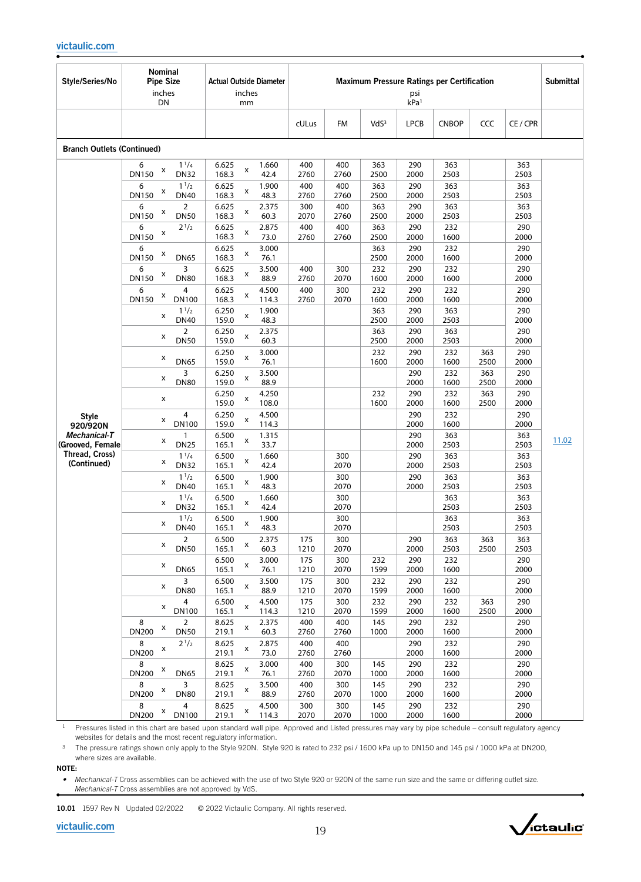| Style/Series/No                                                                               | Nominal<br><b>Pipe Size</b><br>inches<br>DN                                                                                                                                                                                                                                                                                                                                                                                                                                                                                                                                                                                                                                                                       | <b>Actual Outside Diameter</b><br>inches<br>mm                                                                                                                                                                                                                                                                                                                                                                                                                                                                                                                                                                                                                                                                                                                                                                                                                          |                                                                                                                                                                                                                                                                                                                                        | psi<br>kPa <sup>1</sup>                                                                                                                                                                                                                                                                                                                                                                                                                                                                      | <b>Maximum Pressure Ratings per Certification</b>                                                                                                                                                                                                                                                                                                                                   |                                                                                                                                                                                                                                                                                                                         | <b>Submittal</b> |
|-----------------------------------------------------------------------------------------------|-------------------------------------------------------------------------------------------------------------------------------------------------------------------------------------------------------------------------------------------------------------------------------------------------------------------------------------------------------------------------------------------------------------------------------------------------------------------------------------------------------------------------------------------------------------------------------------------------------------------------------------------------------------------------------------------------------------------|-------------------------------------------------------------------------------------------------------------------------------------------------------------------------------------------------------------------------------------------------------------------------------------------------------------------------------------------------------------------------------------------------------------------------------------------------------------------------------------------------------------------------------------------------------------------------------------------------------------------------------------------------------------------------------------------------------------------------------------------------------------------------------------------------------------------------------------------------------------------------|----------------------------------------------------------------------------------------------------------------------------------------------------------------------------------------------------------------------------------------------------------------------------------------------------------------------------------------|----------------------------------------------------------------------------------------------------------------------------------------------------------------------------------------------------------------------------------------------------------------------------------------------------------------------------------------------------------------------------------------------------------------------------------------------------------------------------------------------|-------------------------------------------------------------------------------------------------------------------------------------------------------------------------------------------------------------------------------------------------------------------------------------------------------------------------------------------------------------------------------------|-------------------------------------------------------------------------------------------------------------------------------------------------------------------------------------------------------------------------------------------------------------------------------------------------------------------------|------------------|
|                                                                                               |                                                                                                                                                                                                                                                                                                                                                                                                                                                                                                                                                                                                                                                                                                                   |                                                                                                                                                                                                                                                                                                                                                                                                                                                                                                                                                                                                                                                                                                                                                                                                                                                                         | cULus<br><b>FM</b>                                                                                                                                                                                                                                                                                                                     | VdS <sup>3</sup><br><b>LPCB</b>                                                                                                                                                                                                                                                                                                                                                                                                                                                              | <b>CNBOP</b><br>CCC                                                                                                                                                                                                                                                                                                                                                                 | CE / CPR                                                                                                                                                                                                                                                                                                                |                  |
| <b>Branch Outlets (Continued)</b>                                                             |                                                                                                                                                                                                                                                                                                                                                                                                                                                                                                                                                                                                                                                                                                                   |                                                                                                                                                                                                                                                                                                                                                                                                                                                                                                                                                                                                                                                                                                                                                                                                                                                                         |                                                                                                                                                                                                                                                                                                                                        |                                                                                                                                                                                                                                                                                                                                                                                                                                                                                              |                                                                                                                                                                                                                                                                                                                                                                                     |                                                                                                                                                                                                                                                                                                                         |                  |
| <b>Style</b><br>920/920N<br>Mechanical-T<br>(Grooved, Female<br>Thread, Cross)<br>(Continued) | $1^{1/4}$<br>6<br>x<br><b>DN32</b><br>DN150<br>6<br>$1^{1/2}$<br>x<br>DN150<br><b>DN40</b><br>$\overline{2}$<br>6<br>X<br>DN150<br><b>DN50</b><br>$2^{1/2}$<br>6<br>X<br>DN150<br>6<br>x<br>DN150<br><b>DN65</b><br>3<br>6<br>x<br>DN150<br><b>DN80</b><br>$\overline{4}$<br>6<br>X<br><b>DN150</b><br><b>DN100</b><br>$1^{1/2}$<br>x<br><b>DN40</b><br>$\overline{2}$<br>x<br><b>DN50</b><br>x<br><b>DN65</b><br>3<br>x<br><b>DN80</b><br>x<br>4<br>x<br><b>DN100</b><br>1<br>x<br><b>DN25</b><br>$1^{1}/4$<br>x<br><b>DN32</b><br>$1^{1/2}$<br>x<br><b>DN40</b><br>$1^{1/4}$<br>x<br><b>DN32</b><br>11/2<br>x<br><b>DN40</b><br>$\overline{2}$<br>x<br><b>DN50</b><br>x<br><b>DN65</b><br>3<br>x<br><b>DN80</b> | 6.625<br>1.660<br>x<br>168.3<br>42.4<br>6.625<br>1.900<br>x<br>48.3<br>168.3<br>6.625<br>2.375<br>x<br>168.3<br>60.3<br>6.625<br>2.875<br>x<br>168.3<br>73.0<br>6.625<br>3.000<br>x<br>168.3<br>76.1<br>6.625<br>3.500<br>x<br>168.3<br>88.9<br>6.625<br>4.500<br>x<br>168.3<br>114.3<br>6.250<br>1.900<br>x<br>159.0<br>48.3<br>6.250<br>2.375<br>x<br>159.0<br>60.3<br>6.250<br>3.000<br>x<br>159.0<br>76.1<br>6.250<br>3.500<br>x<br>159.0<br>88.9<br>6.250<br>4.250<br>X<br>159.0<br>108.0<br>6.250<br>4.500<br>x<br>159.0<br>114.3<br>6.500<br>1.315<br>x<br>165.1<br>33.7<br>6.500<br>1.660<br>x<br>165.1<br>42.4<br>6.500<br>1.900<br>x<br>165.1<br>48.3<br>6.500<br>1.660<br>х<br>165.1<br>42.4<br>6.500<br>1.900<br>x<br>165.1<br>48.3<br>6.500<br>2.375<br>x<br>165.1<br>60.3<br>6.500<br>3.000<br>X<br>165.1<br>76.1<br>6.500<br>3.500<br>x<br>165.1<br>88.9 | 400<br>400<br>2760<br>2760<br>400<br>400<br>2760<br>2760<br>300<br>400<br>2070<br>2760<br>400<br>400<br>2760<br>2760<br>400<br>300<br>2760<br>2070<br>400<br>300<br>2760<br>2070<br>300<br>2070<br>300<br>2070<br>300<br>2070<br>300<br>2070<br>175<br>300<br>1210<br>2070<br>175<br>300<br>1210<br>2070<br>175<br>300<br>1210<br>2070 | 363<br>290<br>2000<br>2500<br>363<br>290<br>2500<br>2000<br>363<br>290<br>2500<br>2000<br>290<br>363<br>2500<br>2000<br>363<br>290<br>2500<br>2000<br>232<br>290<br>1600<br>2000<br>290<br>232<br>1600<br>2000<br>363<br>290<br>2500<br>2000<br>363<br>290<br>2500<br>2000<br>232<br>290<br>2000<br>1600<br>290<br>2000<br>232<br>290<br>1600<br>2000<br>290<br>2000<br>290<br>2000<br>290<br>2000<br>290<br>2000<br>290<br>2000<br>232<br>290<br>1599<br>2000<br>232<br>290<br>1599<br>2000 | 363<br>2503<br>363<br>2503<br>363<br>2503<br>232<br>1600<br>232<br>1600<br>232<br>1600<br>232<br>1600<br>363<br>2503<br>363<br>2503<br>232<br>363<br>1600<br>2500<br>232<br>363<br>2500<br>1600<br>232<br>363<br>1600<br>2500<br>232<br>1600<br>363<br>2503<br>363<br>2503<br>363<br>2503<br>363<br>2503<br>363<br>2503<br>363<br>363<br>2503<br>2500<br>232<br>1600<br>232<br>1600 | 363<br>2503<br>363<br>2503<br>363<br>2503<br>290<br>2000<br>290<br>2000<br>290<br>2000<br>290<br>2000<br>290<br>2000<br>290<br>2000<br>290<br>2000<br>290<br>2000<br>290<br>2000<br>290<br>2000<br>363<br>2503<br>363<br>2503<br>363<br>2503<br>363<br>2503<br>363<br>2503<br>363<br>2503<br>290<br>2000<br>290<br>2000 | 11.02            |
|                                                                                               | 4<br>x<br><b>DN100</b><br>$\overline{2}$<br>8<br>X<br><b>DN200</b><br><b>DN50</b><br>8<br>$2^{1/2}$                                                                                                                                                                                                                                                                                                                                                                                                                                                                                                                                                                                                               | 6.500<br>4.500<br>x<br>165.1<br>114.3<br>8.625<br>2.375<br>x<br>219.1<br>60.3<br>8.625<br>2.875<br>x                                                                                                                                                                                                                                                                                                                                                                                                                                                                                                                                                                                                                                                                                                                                                                    | 175<br>300<br>1210<br>2070<br>400<br>400<br>2760<br>2760<br>400<br>400                                                                                                                                                                                                                                                                 | 232<br>290<br>1599<br>2000<br>145<br>290<br>1000<br>2000<br>290                                                                                                                                                                                                                                                                                                                                                                                                                              | 232<br>363<br>1600<br>2500<br>232<br>1600<br>232                                                                                                                                                                                                                                                                                                                                    | 290<br>2000<br>290<br>2000<br>290                                                                                                                                                                                                                                                                                       |                  |
|                                                                                               | x<br><b>DN200</b><br>8<br>X<br><b>DN200</b><br><b>DN65</b><br>3<br>8<br>X<br><b>DN200</b><br><b>DN80</b><br>8<br>$\overline{4}$                                                                                                                                                                                                                                                                                                                                                                                                                                                                                                                                                                                   | 219.1<br>73.0<br>8.625<br>3.000<br>x<br>219.1<br>76.1<br>8.625<br>3.500<br>x<br>219.1<br>88.9<br>8.625<br>4.500<br>x                                                                                                                                                                                                                                                                                                                                                                                                                                                                                                                                                                                                                                                                                                                                                    | 2760<br>2760<br>400<br>300<br>2760<br>2070<br>400<br>300<br>2760<br>2070<br>300<br>300                                                                                                                                                                                                                                                 | 2000<br>290<br>145<br>1000<br>2000<br>145<br>290<br>1000<br>2000<br>145<br>290                                                                                                                                                                                                                                                                                                                                                                                                               | 1600<br>232<br>1600<br>232<br>1600<br>232                                                                                                                                                                                                                                                                                                                                           | 2000<br>290<br>2000<br>290<br>2000<br>290                                                                                                                                                                                                                                                                               |                  |
|                                                                                               | x<br><b>DN200</b><br><b>DN100</b>                                                                                                                                                                                                                                                                                                                                                                                                                                                                                                                                                                                                                                                                                 | 219.1<br>114.3                                                                                                                                                                                                                                                                                                                                                                                                                                                                                                                                                                                                                                                                                                                                                                                                                                                          | 2070<br>2070                                                                                                                                                                                                                                                                                                                           | 1000<br>2000                                                                                                                                                                                                                                                                                                                                                                                                                                                                                 | 1600                                                                                                                                                                                                                                                                                                                                                                                | 2000                                                                                                                                                                                                                                                                                                                    |                  |

<sup>3</sup> The pressure ratings shown only apply to the Style 920N. Style 920 is rated to 232 psi / 1600 kPa up to DN150 and 145 psi / 1000 kPa at DN200, where sizes are available.

NOTE:

• Mechanical-T Cross assemblies can be achieved with the use of two Style 920 or 920N of the same run size and the same or differing outlet size. *Mechanical-T* Cross assemblies are not approved by VdS.

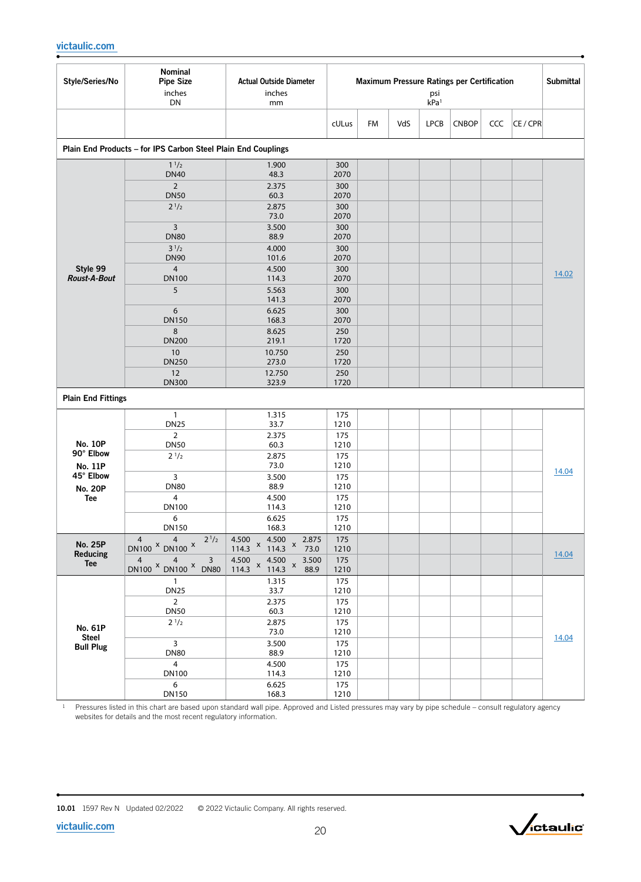| Style/Series/No                 | Nominal<br><b>Pipe Size</b><br>inches<br>DN                   | <b>Actual Outside Diameter</b><br>inches<br>mm                                                                            | <b>Maximum Pressure Ratings per Certification</b><br>psi<br>kPa <sup>1</sup> |    |     |             |              |     | <b>Submittal</b> |       |
|---------------------------------|---------------------------------------------------------------|---------------------------------------------------------------------------------------------------------------------------|------------------------------------------------------------------------------|----|-----|-------------|--------------|-----|------------------|-------|
|                                 |                                                               |                                                                                                                           | cULus                                                                        | FM | VdS | <b>LPCB</b> | <b>CNBOP</b> | CCC | CE / CPR         |       |
|                                 | Plain End Products - for IPS Carbon Steel Plain End Couplings |                                                                                                                           |                                                                              |    |     |             |              |     |                  |       |
|                                 | $1^{1/2}$<br><b>DN40</b>                                      | 1.900<br>48.3                                                                                                             | 300<br>2070                                                                  |    |     |             |              |     |                  |       |
|                                 | $\overline{2}$                                                | 2.375                                                                                                                     | 300                                                                          |    |     |             |              |     |                  |       |
|                                 | <b>DN50</b><br>$2^{1/2}$                                      | 60.3<br>2.875                                                                                                             | 2070<br>300                                                                  |    |     |             |              |     |                  |       |
|                                 |                                                               | 73.0                                                                                                                      | 2070                                                                         |    |     |             |              |     |                  |       |
|                                 | 3<br><b>DN80</b>                                              | 3.500<br>88.9                                                                                                             | 300<br>2070                                                                  |    |     |             |              |     |                  |       |
|                                 | $3^{1/2}$                                                     | 4.000                                                                                                                     | 300                                                                          |    |     |             |              |     |                  |       |
|                                 | <b>DN90</b>                                                   | 101.6                                                                                                                     | 2070                                                                         |    |     |             |              |     |                  |       |
| Style 99<br><b>Roust-A-Bout</b> | $\overline{4}$<br><b>DN100</b>                                | 4.500<br>114.3                                                                                                            | 300<br>2070                                                                  |    |     |             |              |     |                  | 14.02 |
|                                 | 5                                                             | 5.563                                                                                                                     | 300                                                                          |    |     |             |              |     |                  |       |
|                                 | 6                                                             | 141.3<br>6.625                                                                                                            | 2070<br>300                                                                  |    |     |             |              |     |                  |       |
|                                 | <b>DN150</b>                                                  | 168.3                                                                                                                     | 2070                                                                         |    |     |             |              |     |                  |       |
|                                 | 8<br><b>DN200</b>                                             | 8.625<br>219.1                                                                                                            | 250<br>1720                                                                  |    |     |             |              |     |                  |       |
|                                 | 10                                                            | 10.750                                                                                                                    | 250                                                                          |    |     |             |              |     |                  |       |
|                                 | <b>DN250</b><br>12                                            | 273.0<br>12.750                                                                                                           | 1720<br>250                                                                  |    |     |             |              |     |                  |       |
|                                 | <b>DN300</b>                                                  | 323.9                                                                                                                     | 1720                                                                         |    |     |             |              |     |                  |       |
| <b>Plain End Fittings</b>       |                                                               |                                                                                                                           |                                                                              |    |     |             |              |     |                  |       |
|                                 | $\mathbf{1}$                                                  | 1.315                                                                                                                     | 175                                                                          |    |     |             |              |     |                  |       |
|                                 | <b>DN25</b><br>$\overline{2}$                                 | 33.7<br>2.375                                                                                                             | 1210<br>175                                                                  |    |     |             |              |     |                  |       |
| No. 10P                         | <b>DN50</b>                                                   | 60.3                                                                                                                      | 1210                                                                         |    |     |             |              |     |                  |       |
| 90° Elbow<br>No. 11P            | $2^{1/2}$                                                     | 2.875<br>73.0                                                                                                             | 175<br>1210                                                                  |    |     |             |              |     |                  |       |
| 45° Elbow                       | 3                                                             | 3.500                                                                                                                     | 175                                                                          |    |     |             |              |     |                  | 14.04 |
| <b>No. 20P</b>                  | <b>DN80</b>                                                   | 88.9                                                                                                                      | 1210                                                                         |    |     |             |              |     |                  |       |
| <b>Tee</b>                      | $\overline{4}$<br>DN100                                       | 4.500<br>114.3                                                                                                            | 175<br>1210                                                                  |    |     |             |              |     |                  |       |
|                                 | 6<br><b>DN150</b>                                             | 6.625                                                                                                                     | 175                                                                          |    |     |             |              |     |                  |       |
| <b>No. 25P</b>                  | 4 <sup>1</sup><br>$\overline{4}$<br>$2^{1/2}$                 | 168.3<br>4.500 $\sqrt{ }$<br>4.500 $\times$ 4.500 $\times$ 114.3 $\times$<br>2.875                                        | 1210<br>175                                                                  |    |     |             |              |     |                  |       |
| Reducing                        | DN100 <sup>x</sup> DN100 <sup>x</sup><br>$\overline{4}$       | 73.0                                                                                                                      | 1210                                                                         |    |     |             |              |     |                  | 14.04 |
| Tee                             | $\overline{4}$<br>3<br>DN100 X DN100 X DN80                   | $\begin{array}{cc} 4.500 & x \\ 114.3 & \end{array}$<br>$\begin{array}{cc} 4.500 \\ 114.3 \end{array}$ x<br>3.500<br>88.9 | 175<br>1210                                                                  |    |     |             |              |     |                  |       |
|                                 | $\mathbf{1}$<br><b>DN25</b>                                   | 1.315<br>33.7                                                                                                             | 175<br>1210                                                                  |    |     |             |              |     |                  |       |
|                                 | $2^{\circ}$                                                   | 2.375                                                                                                                     | 175                                                                          |    |     |             |              |     |                  |       |
|                                 | <b>DN50</b>                                                   | 60.3                                                                                                                      | 1210                                                                         |    |     |             |              |     |                  |       |
| No. 61P                         | $2^{1/2}$                                                     | 2.875<br>73.0                                                                                                             | 175<br>1210                                                                  |    |     |             |              |     |                  |       |
| Steel<br><b>Bull Plug</b>       | $\mathbf{3}$                                                  | 3.500                                                                                                                     | 175                                                                          |    |     |             |              |     |                  | 14.04 |
|                                 | <b>DN80</b><br>$\overline{4}$                                 | 88.9<br>4.500                                                                                                             | 1210<br>175                                                                  |    |     |             |              |     |                  |       |
|                                 | DN100                                                         | 114.3                                                                                                                     | 1210                                                                         |    |     |             |              |     |                  |       |
|                                 | 6<br><b>DN150</b>                                             | 6.625<br>168.3                                                                                                            | 175<br>1210                                                                  |    |     |             |              |     |                  |       |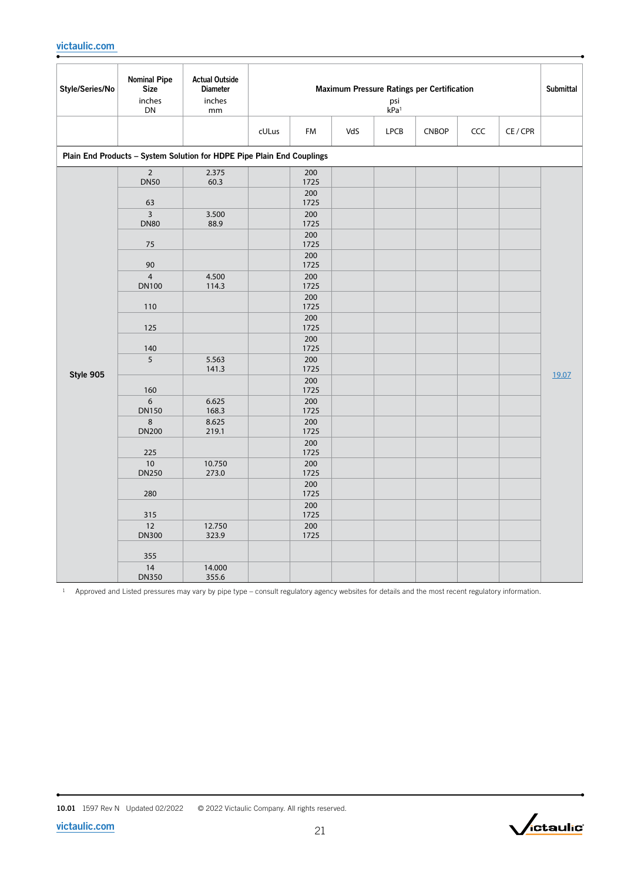| Style/Series/No | <b>Nominal Pipe</b><br><b>Size</b><br>inches<br>DN | <b>Actual Outside</b><br><b>Diameter</b><br>inches<br>mm               | Maximum Pressure Ratings per Certification<br>psi<br>kPa <sup>1</sup> |                    |     |             |              |     |          |       |  |
|-----------------|----------------------------------------------------|------------------------------------------------------------------------|-----------------------------------------------------------------------|--------------------|-----|-------------|--------------|-----|----------|-------|--|
|                 |                                                    |                                                                        | cULus                                                                 | FM                 | VdS | <b>LPCB</b> | <b>CNBOP</b> | CCC | CE / CPR |       |  |
|                 |                                                    | Plain End Products - System Solution for HDPE Pipe Plain End Couplings |                                                                       |                    |     |             |              |     |          |       |  |
|                 | $\overline{2}$<br><b>DN50</b>                      | 2.375<br>60.3                                                          |                                                                       | 200<br>1725        |     |             |              |     |          |       |  |
|                 | 63                                                 |                                                                        |                                                                       | 200<br>1725        |     |             |              |     |          |       |  |
|                 | $\overline{\mathbf{3}}$<br><b>DN80</b>             | 3.500<br>88.9                                                          |                                                                       | 200<br>1725        |     |             |              |     |          |       |  |
|                 | 75                                                 |                                                                        |                                                                       | 200<br>1725<br>200 |     |             |              |     |          |       |  |
|                 | 90                                                 |                                                                        |                                                                       | 1725               |     |             |              |     |          |       |  |
|                 | $\overline{4}$<br><b>DN100</b>                     | 4.500<br>114.3                                                         |                                                                       | 200<br>1725        |     |             |              |     |          |       |  |
|                 | 110                                                |                                                                        |                                                                       | 200<br>1725        |     |             |              |     |          |       |  |
|                 | 125                                                |                                                                        |                                                                       | 200<br>1725        |     |             |              |     |          |       |  |
|                 | 140                                                |                                                                        |                                                                       | 200<br>1725        |     |             |              |     |          |       |  |
| Style 905       | 5                                                  | 5.563<br>141.3                                                         |                                                                       | 200<br>1725        |     |             |              |     |          |       |  |
|                 | 160                                                |                                                                        |                                                                       | 200<br>1725        |     |             |              |     |          | 19.07 |  |
|                 | 6<br><b>DN150</b>                                  | 6.625<br>168.3                                                         |                                                                       | 200<br>1725        |     |             |              |     |          |       |  |
|                 | 8<br><b>DN200</b>                                  | 8.625<br>219.1                                                         |                                                                       | 200<br>1725        |     |             |              |     |          |       |  |
|                 | 225                                                |                                                                        |                                                                       | 200<br>1725        |     |             |              |     |          |       |  |
|                 | 10<br><b>DN250</b>                                 | 10.750<br>273.0                                                        |                                                                       | 200<br>1725        |     |             |              |     |          |       |  |
|                 | 280                                                |                                                                        |                                                                       | 200<br>1725        |     |             |              |     |          |       |  |
|                 | 315                                                |                                                                        |                                                                       | 200<br>1725        |     |             |              |     |          |       |  |
|                 | 12<br><b>DN300</b>                                 | 12.750<br>323.9                                                        |                                                                       | 200<br>1725        |     |             |              |     |          |       |  |
|                 | 355                                                |                                                                        |                                                                       |                    |     |             |              |     |          |       |  |
|                 | 14<br><b>DN350</b>                                 | 14.000<br>355.6                                                        |                                                                       |                    |     |             |              |     |          |       |  |

<sup>1</sup> Approved and Listed pressures may vary by pipe type – consult regulatory agency websites for details and the most recent regulatory information.

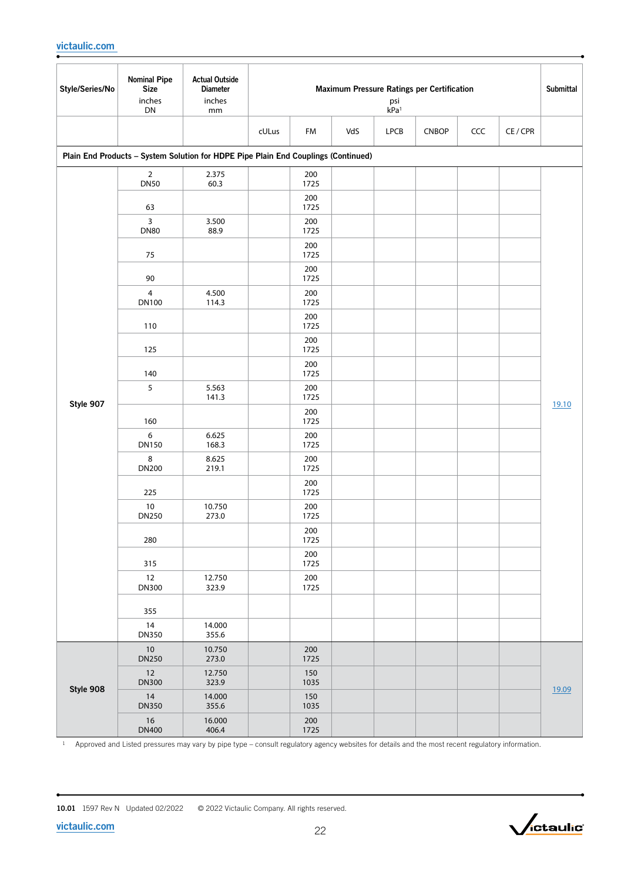| Style/Series/No | <b>Nominal Pipe</b><br><b>Size</b><br>inches | <b>Actual Outside</b><br><b>Diameter</b><br>inches                                 | Maximum Pressure Ratings per Certification<br>psi<br>kPa <sup>1</sup> |             |  |  |  |  |  |       |  |  |  |  |
|-----------------|----------------------------------------------|------------------------------------------------------------------------------------|-----------------------------------------------------------------------|-------------|--|--|--|--|--|-------|--|--|--|--|
|                 | ${\sf DN}$                                   | mm                                                                                 | cULus<br>VdS<br><b>CNBOP</b><br>CCC<br>CE / CPR<br>FM<br><b>LPCB</b>  |             |  |  |  |  |  |       |  |  |  |  |
|                 |                                              |                                                                                    |                                                                       |             |  |  |  |  |  |       |  |  |  |  |
|                 |                                              | Plain End Products - System Solution for HDPE Pipe Plain End Couplings (Continued) |                                                                       |             |  |  |  |  |  |       |  |  |  |  |
|                 | $\overline{2}$<br><b>DN50</b>                | 2.375<br>60.3                                                                      |                                                                       | 200<br>1725 |  |  |  |  |  |       |  |  |  |  |
|                 | 63                                           |                                                                                    |                                                                       | 200<br>1725 |  |  |  |  |  |       |  |  |  |  |
|                 | 3<br><b>DN80</b>                             | 3.500<br>88.9                                                                      |                                                                       | 200<br>1725 |  |  |  |  |  |       |  |  |  |  |
|                 | 75                                           |                                                                                    |                                                                       | 200<br>1725 |  |  |  |  |  |       |  |  |  |  |
|                 | 90                                           |                                                                                    |                                                                       | 200<br>1725 |  |  |  |  |  |       |  |  |  |  |
|                 | $\overline{4}$<br><b>DN100</b>               | 4.500<br>114.3                                                                     |                                                                       | 200<br>1725 |  |  |  |  |  |       |  |  |  |  |
|                 | 110                                          |                                                                                    |                                                                       | 200<br>1725 |  |  |  |  |  |       |  |  |  |  |
|                 | 125                                          |                                                                                    |                                                                       | 200<br>1725 |  |  |  |  |  |       |  |  |  |  |
|                 | 140                                          |                                                                                    |                                                                       | 200<br>1725 |  |  |  |  |  |       |  |  |  |  |
| Style 907       | 5                                            | 5.563<br>141.3                                                                     |                                                                       | 200<br>1725 |  |  |  |  |  |       |  |  |  |  |
|                 | 160                                          |                                                                                    |                                                                       | 200<br>1725 |  |  |  |  |  | 19.10 |  |  |  |  |
|                 | 6<br><b>DN150</b>                            | 6.625<br>168.3                                                                     |                                                                       | 200<br>1725 |  |  |  |  |  |       |  |  |  |  |
|                 | 8<br>DN200                                   | 8.625<br>219.1                                                                     |                                                                       | 200<br>1725 |  |  |  |  |  |       |  |  |  |  |
|                 | 225                                          |                                                                                    |                                                                       | 200<br>1725 |  |  |  |  |  |       |  |  |  |  |
|                 | $10\,$<br><b>DN250</b>                       | 10.750<br>273.0                                                                    |                                                                       | 200<br>1725 |  |  |  |  |  |       |  |  |  |  |
|                 | 280                                          |                                                                                    |                                                                       | 200<br>1725 |  |  |  |  |  |       |  |  |  |  |
|                 | 315                                          |                                                                                    |                                                                       | 200<br>1725 |  |  |  |  |  |       |  |  |  |  |
|                 | 12<br><b>DN300</b>                           | 12.750<br>323.9                                                                    |                                                                       | 200<br>1725 |  |  |  |  |  |       |  |  |  |  |
|                 | 355                                          |                                                                                    |                                                                       |             |  |  |  |  |  |       |  |  |  |  |
|                 | 14<br><b>DN350</b>                           | 14.000<br>355.6                                                                    |                                                                       |             |  |  |  |  |  |       |  |  |  |  |
|                 | 10<br><b>DN250</b>                           | 10.750<br>273.0                                                                    |                                                                       | 200<br>1725 |  |  |  |  |  |       |  |  |  |  |
| Style 908       | 12<br><b>DN300</b>                           | 12.750<br>323.9                                                                    |                                                                       | 150<br>1035 |  |  |  |  |  | 19.09 |  |  |  |  |
|                 | 14<br><b>DN350</b>                           | 14.000<br>355.6                                                                    |                                                                       | 150<br>1035 |  |  |  |  |  |       |  |  |  |  |
|                 | $16\,$<br><b>DN400</b>                       | 16.000<br>406.4                                                                    |                                                                       | 200<br>1725 |  |  |  |  |  |       |  |  |  |  |

 $1$  Approved and Listed pressures may vary by pipe type – consult regulatory agency websites for details and the most recent regulatory information.

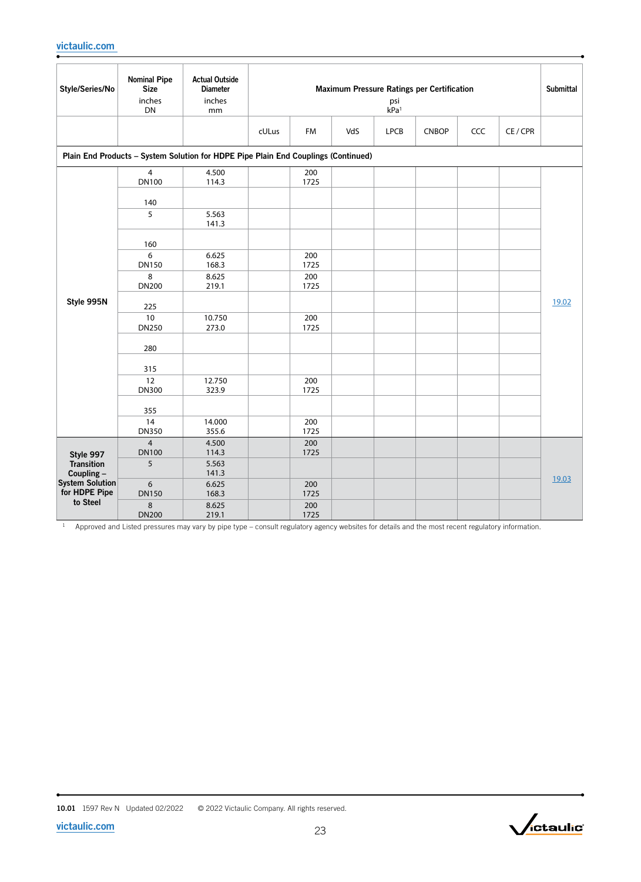| Style/Series/No                                     | <b>Nominal Pipe</b><br><b>Size</b><br>inches<br>DN | <b>Actual Outside</b><br><b>Diameter</b><br>inches<br>mm                           | Maximum Pressure Ratings per Certification<br>psi<br>kPa <sup>1</sup> |                     |     |             |              |     |          |       |
|-----------------------------------------------------|----------------------------------------------------|------------------------------------------------------------------------------------|-----------------------------------------------------------------------|---------------------|-----|-------------|--------------|-----|----------|-------|
|                                                     |                                                    |                                                                                    | cULus                                                                 | FM                  | VdS | <b>LPCB</b> | <b>CNBOP</b> | CCC | CE / CPR |       |
|                                                     |                                                    | Plain End Products - System Solution for HDPE Pipe Plain End Couplings (Continued) |                                                                       |                     |     |             |              |     |          |       |
|                                                     | $\overline{4}$<br><b>DN100</b>                     | 4.500<br>114.3                                                                     |                                                                       | 200<br>1725         |     |             |              |     |          |       |
|                                                     | 140<br>5                                           | 5.563<br>141.3                                                                     |                                                                       |                     |     |             |              |     |          |       |
|                                                     | 160<br>6                                           | 6.625                                                                              |                                                                       | 200                 |     |             |              |     |          |       |
| Style 995N                                          | <b>DN150</b><br>8<br><b>DN200</b>                  | 168.3<br>8.625<br>219.1                                                            |                                                                       | 1725<br>200<br>1725 |     |             |              |     |          |       |
|                                                     | 225                                                |                                                                                    |                                                                       |                     |     |             |              |     |          | 19.02 |
|                                                     | 10<br><b>DN250</b>                                 | 10.750<br>273.0                                                                    |                                                                       | 200<br>1725         |     |             |              |     |          |       |
|                                                     | 280                                                |                                                                                    |                                                                       |                     |     |             |              |     |          |       |
|                                                     | 315                                                |                                                                                    |                                                                       |                     |     |             |              |     |          |       |
|                                                     | 12<br><b>DN300</b>                                 | 12.750<br>323.9                                                                    |                                                                       | 200<br>1725         |     |             |              |     |          |       |
|                                                     | 355                                                |                                                                                    |                                                                       |                     |     |             |              |     |          |       |
|                                                     | 14<br><b>DN350</b>                                 | 14.000<br>355.6                                                                    |                                                                       | 200<br>1725         |     |             |              |     |          |       |
| Style 997                                           | $\overline{4}$<br><b>DN100</b>                     | 4.500<br>114.3                                                                     |                                                                       | 200<br>1725         |     |             |              |     |          |       |
| <b>Transition</b><br>Coupling-                      | 5                                                  | 5.563<br>141.3                                                                     |                                                                       |                     |     |             |              |     |          | 19.03 |
| <b>System Solution</b><br>for HDPE Pipe<br>to Steel | 6<br><b>DN150</b>                                  | 6.625<br>168.3                                                                     |                                                                       | 200<br>1725         |     |             |              |     |          |       |
|                                                     | 8<br><b>DN200</b>                                  | 8.625<br>219.1                                                                     |                                                                       | 200<br>1725         |     |             |              |     |          |       |

 $1$  Approved and Listed pressures may vary by pipe type – consult regulatory agency websites for details and the most recent regulatory information.

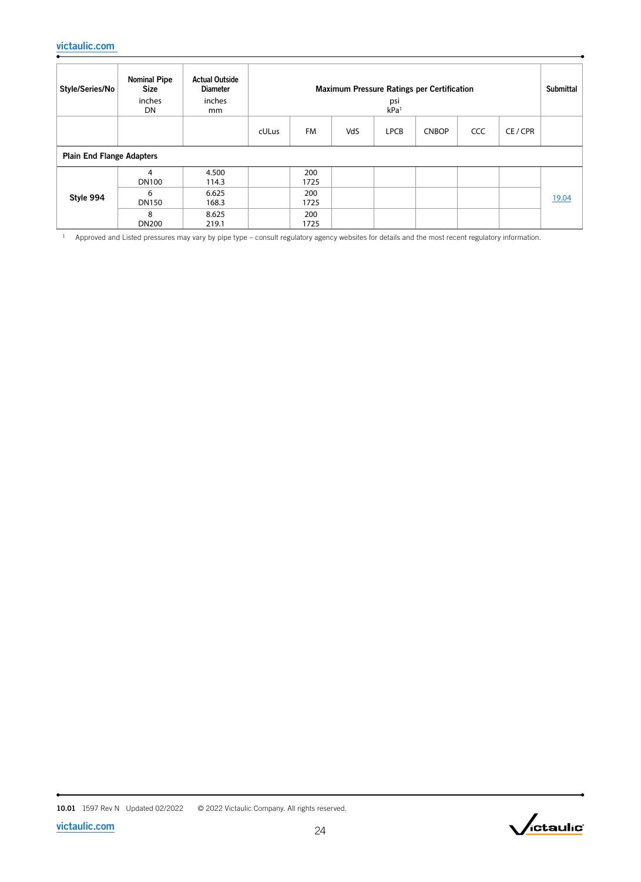| Style/Series/No                  | <b>Nominal Pipe</b><br><b>Size</b><br>inches<br>DN | <b>Actual Outside</b><br><b>Diameter</b><br>inches<br>mm | <b>Maximum Pressure Ratings per Certification</b><br>psi<br>kPa <sup>1</sup> |             |     |             |              |     |        |       |
|----------------------------------|----------------------------------------------------|----------------------------------------------------------|------------------------------------------------------------------------------|-------------|-----|-------------|--------------|-----|--------|-------|
|                                  |                                                    |                                                          | cULus                                                                        | <b>FM</b>   | VdS | <b>LPCB</b> | <b>CNBOP</b> | CCC | CE/CPR |       |
| <b>Plain End Flange Adapters</b> |                                                    |                                                          |                                                                              |             |     |             |              |     |        |       |
|                                  | 4<br><b>DN100</b>                                  | 4.500<br>114.3                                           |                                                                              | 200<br>1725 |     |             |              |     |        |       |
| Style 994                        | 6<br><b>DN150</b>                                  | 6.625<br>168.3                                           |                                                                              | 200<br>1725 |     |             |              |     |        | 19.04 |
|                                  | 8<br><b>DN200</b>                                  | 8.625<br>219.1                                           |                                                                              | 200<br>1725 |     |             |              |     |        |       |

<sup>1</sup> Approved and Listed pressures may vary by pipe type – consult regulatory agency websites for details and the most recent regulatory information.

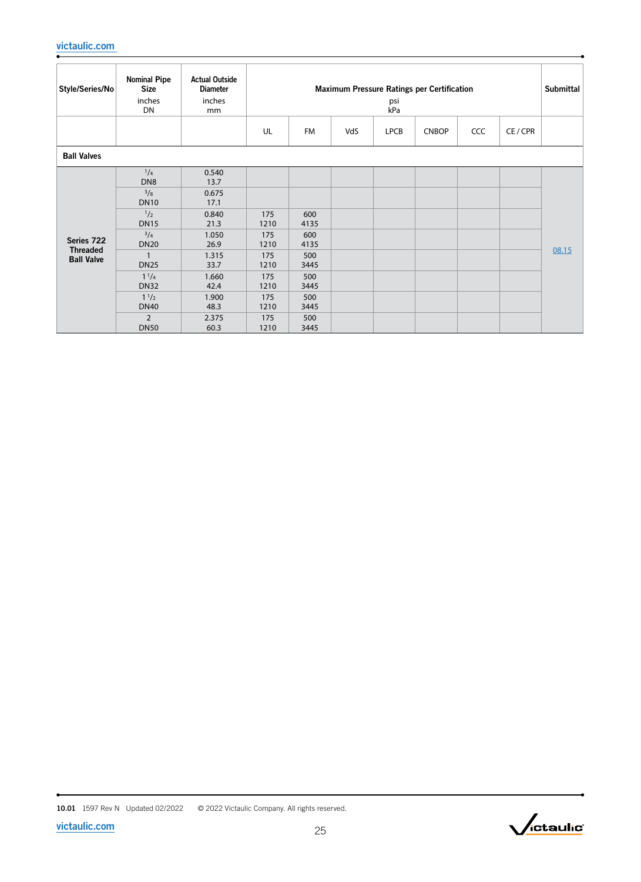| Style/Series/No               | <b>Nominal Pipe</b><br><b>Size</b><br>inches<br>DN | <b>Actual Outside</b><br><b>Diameter</b><br>inches<br>mm | Maximum Pressure Ratings per Certification<br>psi<br>kPa |             |     |             |              |     |          | <b>Submittal</b> |
|-------------------------------|----------------------------------------------------|----------------------------------------------------------|----------------------------------------------------------|-------------|-----|-------------|--------------|-----|----------|------------------|
|                               |                                                    |                                                          | UL                                                       | <b>FM</b>   | VdS | <b>LPCB</b> | <b>CNBOP</b> | CCC | CE / CPR |                  |
| <b>Ball Valves</b>            |                                                    |                                                          |                                                          |             |     |             |              |     |          |                  |
|                               | $^{1}/_{4}$<br>DN <sub>8</sub>                     | 0.540<br>13.7                                            |                                                          |             |     |             |              |     |          |                  |
|                               | 3/8<br><b>DN10</b>                                 | 0.675<br>17.1                                            |                                                          |             |     |             |              |     |          |                  |
|                               | 1/2<br><b>DN15</b>                                 | 0.840<br>21.3                                            | 175<br>1210                                              | 600<br>4135 |     |             |              |     |          |                  |
| Series 722<br><b>Threaded</b> | $^{3}/_{4}$<br><b>DN20</b>                         | 1.050<br>26.9                                            | 175<br>1210                                              | 600<br>4135 |     |             |              |     |          |                  |
| <b>Ball Valve</b>             | <b>DN25</b>                                        | 1.315<br>33.7                                            | 175<br>1210                                              | 500<br>3445 |     |             |              |     |          | 08.15            |
|                               | $1^{1}/4$<br><b>DN32</b>                           | 1.660<br>42.4                                            | 175<br>1210                                              | 500<br>3445 |     |             |              |     |          |                  |
|                               | $1^{1/2}$<br><b>DN40</b>                           | 1.900<br>48.3                                            | 175<br>1210                                              | 500<br>3445 |     |             |              |     |          |                  |
|                               | $\overline{2}$<br><b>DN50</b>                      | 2.375<br>60.3                                            | 175<br>1210                                              | 500<br>3445 |     |             |              |     |          |                  |

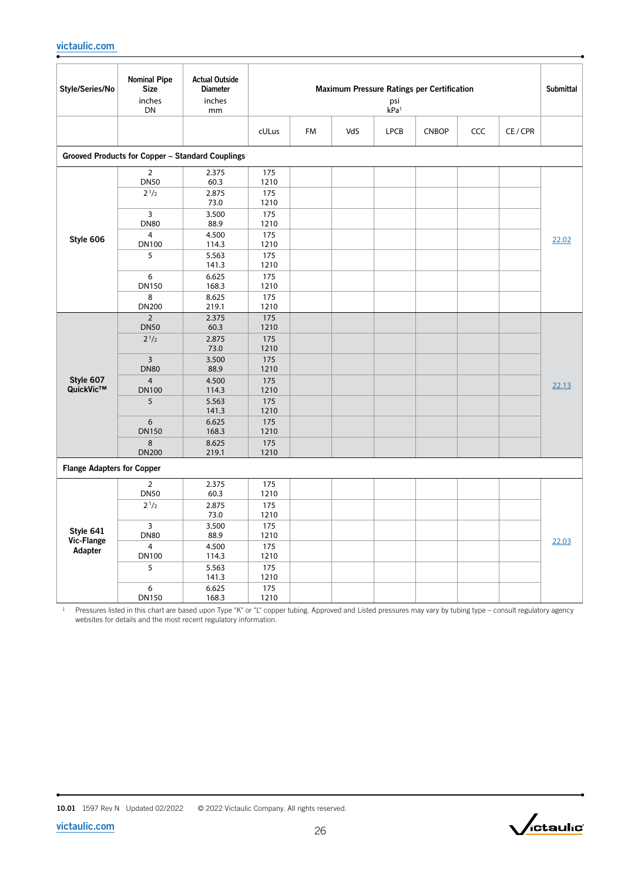| Style/Series/No                    | <b>Nominal Pipe</b><br><b>Size</b><br>inches<br>DN | <b>Actual Outside</b><br><b>Diameter</b><br>inches<br>mm | Maximum Pressure Ratings per Certification<br>psi<br>kPa <sup>1</sup> |    |     |             |              |     |          |       |
|------------------------------------|----------------------------------------------------|----------------------------------------------------------|-----------------------------------------------------------------------|----|-----|-------------|--------------|-----|----------|-------|
|                                    |                                                    |                                                          | cULus                                                                 | FM | VdS | <b>LPCB</b> | <b>CNBOP</b> | CCC | CE / CPR |       |
|                                    |                                                    | Grooved Products for Copper - Standard Couplings         |                                                                       |    |     |             |              |     |          |       |
|                                    | $\overline{2}$<br><b>DN50</b><br>$2^{1/2}$         | 2.375<br>60.3<br>2.875                                   | 175<br>1210<br>175                                                    |    |     |             |              |     |          |       |
|                                    | 3<br><b>DN80</b><br>$\overline{4}$                 | 73.0<br>3.500<br>88.9                                    | 1210<br>175<br>1210                                                   |    |     |             |              |     |          |       |
| Style 606                          | <b>DN100</b><br>5                                  | 4.500<br>114.3<br>5.563<br>141.3                         | 175<br>1210<br>175<br>1210                                            |    |     |             |              |     |          | 22.02 |
|                                    | 6<br><b>DN150</b><br>8                             | 6.625<br>168.3<br>8.625                                  | 175<br>1210<br>175                                                    |    |     |             |              |     |          |       |
|                                    | <b>DN200</b>                                       | 219.1                                                    | 1210                                                                  |    |     |             |              |     |          |       |
|                                    | $\overline{2}$<br><b>DN50</b><br>$2^{1/2}$         | 2.375<br>60.3<br>2.875<br>73.0                           | 175<br>1210<br>175<br>1210                                            |    |     |             |              |     |          |       |
|                                    | $\overline{3}$<br><b>DN80</b><br>$\overline{4}$    | 3.500<br>88.9                                            | 175<br>1210                                                           |    |     |             |              |     |          |       |
| Style 607<br>QuickVic™             | <b>DN100</b><br>5                                  | 4.500<br>114.3<br>5.563                                  | 175<br>1210<br>175                                                    |    |     |             |              |     |          | 22.13 |
|                                    | 6<br><b>DN150</b>                                  | 141.3<br>6.625<br>168.3                                  | 1210<br>175<br>1210                                                   |    |     |             |              |     |          |       |
|                                    | 8<br><b>DN200</b>                                  | 8.625<br>219.1                                           | 175<br>1210                                                           |    |     |             |              |     |          |       |
| <b>Flange Adapters for Copper</b>  |                                                    |                                                          |                                                                       |    |     |             |              |     |          |       |
|                                    | $\overline{2}$<br><b>DN50</b>                      | 2.375<br>60.3                                            | 175<br>1210                                                           |    |     |             |              |     |          |       |
|                                    | $2^{1/2}$                                          | 2.875<br>73.0                                            | 175<br>1210                                                           |    |     |             |              |     |          |       |
| Style 641<br>Vic-Flange<br>Adapter | 3<br><b>DN80</b>                                   | 3.500<br>88.9                                            | 175<br>1210                                                           |    |     |             |              |     |          | 22.03 |
|                                    | $\overline{4}$<br><b>DN100</b>                     | 4.500<br>114.3                                           | 175<br>1210                                                           |    |     |             |              |     |          |       |
|                                    | 5                                                  | 5.563<br>141.3                                           | 175<br>1210                                                           |    |     |             |              |     |          |       |
|                                    | 6<br><b>DN150</b>                                  | 6.625<br>168.3                                           | 175<br>1210                                                           |    |     |             |              |     |          |       |

<sup>1</sup> Pressures listed in this chart are based upon Type "K" or "L" copper tubing. Approved and Listed pressures may vary by tubing type – consult regulatory agency websites for details and the most recent regulatory information.



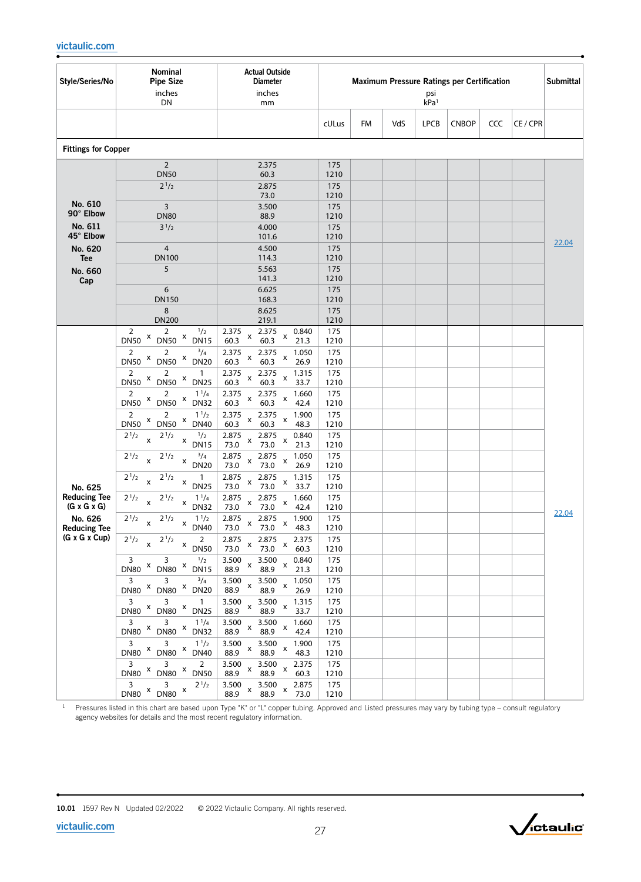| Style/Series/No                      | Nominal<br><b>Pipe Size</b><br>inches<br>DN                                                | <b>Actual Outside</b><br><b>Diameter</b><br>inches<br>mm                                    |             |    |     | psi<br>kPa <sup>1</sup> | <b>Maximum Pressure Ratings per Certification</b> |     |          | <b>Submittal</b> |
|--------------------------------------|--------------------------------------------------------------------------------------------|---------------------------------------------------------------------------------------------|-------------|----|-----|-------------------------|---------------------------------------------------|-----|----------|------------------|
|                                      |                                                                                            |                                                                                             | cULus       | FM | VdS | <b>LPCB</b>             | <b>CNBOP</b>                                      | CCC | CE / CPR |                  |
| <b>Fittings for Copper</b>           |                                                                                            |                                                                                             |             |    |     |                         |                                                   |     |          |                  |
|                                      | $\overline{2}$                                                                             | 2.375                                                                                       | 175         |    |     |                         |                                                   |     |          |                  |
|                                      | <b>DN50</b><br>$2^{1/2}$                                                                   | 60.3<br>2.875                                                                               | 1210<br>175 |    |     |                         |                                                   |     |          |                  |
|                                      |                                                                                            | 73.0                                                                                        | 1210        |    |     |                         |                                                   |     |          |                  |
| No. 610<br>90° Elbow                 | $\overline{3}$<br><b>DN80</b>                                                              | 3.500<br>88.9                                                                               | 175<br>1210 |    |     |                         |                                                   |     |          |                  |
| No. 611                              | $3^{1/2}$                                                                                  | 4.000                                                                                       | 175         |    |     |                         |                                                   |     |          |                  |
| 45° Elbow                            |                                                                                            | 101.6                                                                                       | 1210        |    |     |                         |                                                   |     |          | 22.04            |
| No. 620<br><b>Tee</b>                | $\overline{4}$<br><b>DN100</b>                                                             | 4.500<br>114.3                                                                              | 175<br>1210 |    |     |                         |                                                   |     |          |                  |
| No. 660                              | 5                                                                                          | 5.563                                                                                       | 175         |    |     |                         |                                                   |     |          |                  |
| Cap                                  |                                                                                            | 141.3                                                                                       | 1210        |    |     |                         |                                                   |     |          |                  |
|                                      | 6<br><b>DN150</b>                                                                          | 6.625<br>168.3                                                                              | 175<br>1210 |    |     |                         |                                                   |     |          |                  |
|                                      | 8                                                                                          | 8.625                                                                                       | 175         |    |     |                         |                                                   |     |          |                  |
|                                      | <b>DN200</b>                                                                               | 219.1                                                                                       | 1210        |    |     |                         |                                                   |     |          |                  |
|                                      | 1/2<br>2<br>2<br>X<br>X<br><b>DN50</b><br><b>DN50</b><br><b>DN15</b>                       | 2.375<br>2.375<br>0.840<br>$\pmb{\mathsf{x}}$<br>X<br>60.3<br>60.3<br>21.3                  | 175<br>1210 |    |     |                         |                                                   |     |          |                  |
|                                      | $\overline{2}$<br>$^{3}/_{4}$<br>$\overline{2}$                                            | 2.375<br>2.375<br>1.050                                                                     | 175         |    |     |                         |                                                   |     |          |                  |
|                                      | X<br>X<br><b>DN50</b><br><b>DN50</b><br><b>DN20</b>                                        | $\pmb{\mathsf{X}}$<br>$\pmb{\mathsf{x}}$<br>60.3<br>26.9<br>60.3                            | 1210        |    |     |                         |                                                   |     |          |                  |
|                                      | 2<br>2<br>$\mathbf{1}$<br>X<br>DN50 × DN25<br><b>DN50</b>                                  | 2.375<br>1.315<br>2.375<br>$\pmb{\times}$<br>x<br>60.3<br>60.3<br>33.7                      | 175<br>1210 |    |     |                         |                                                   |     |          |                  |
|                                      | $\overline{2}$<br>$1^{1/4}$<br>2                                                           | 2.375<br>2.375<br>1.660                                                                     | 175         |    |     |                         |                                                   |     |          |                  |
|                                      | X<br>$DNSO^X$ DN32<br><b>DN50</b>                                                          | X<br>X<br>60.3<br>60.3<br>42.4                                                              | 1210        |    |     |                         |                                                   |     |          |                  |
|                                      | 2<br>$1^{1/2}$<br>2<br>$DN50$ $x$<br>X<br><b>DN50</b><br><b>DN40</b>                       | 2.375<br>2.375<br>1.900<br>X<br>X<br>60.3<br>60.3<br>48.3                                   | 175<br>1210 |    |     |                         |                                                   |     |          |                  |
|                                      | 1/2<br>$2^{1/2}$<br>$2^{1/2}$<br>$\mathsf{x}$                                              | 2.875<br>2.875<br>0.840<br>$\pmb{\times}$<br>$\pmb{\times}$                                 | 175         |    |     |                         |                                                   |     |          |                  |
|                                      | X<br><b>DN15</b>                                                                           | 73.0<br>73.0<br>21.3                                                                        | 1210        |    |     |                         |                                                   |     |          |                  |
|                                      | $^{3}/_{4}$<br>$2^{1/2}$<br>$2^{1/2}$<br>$\mathsf{x}$<br>$\pmb{\mathsf{x}}$<br><b>DN20</b> | 2.875<br>2.875<br>1.050<br>X<br>x<br>73.0<br>73.0<br>26.9                                   | 175<br>1210 |    |     |                         |                                                   |     |          |                  |
|                                      | $2^{1/2}$<br>$2^{1/2}$<br>1<br>$\mathsf{x}$<br>x                                           | 2.875<br>2.875<br>1.315                                                                     | 175         |    |     |                         |                                                   |     |          |                  |
| No. 625<br><b>Reducing Tee</b>       | <b>DN25</b>                                                                                | X<br>X<br>73.0<br>73.0<br>33.7                                                              | 1210        |    |     |                         |                                                   |     |          |                  |
| $(G \times G \times G)$              | $2^{1/2}$<br>$2^{1/2}$<br>$1^{1}/4$<br>$\mathsf{x}$<br>X<br><b>DN32</b>                    | 2.875<br>2.875<br>1.660<br>x<br>$\pmb{\mathsf{x}}$<br>73.0<br>73.0<br>42.4                  | 175<br>1210 |    |     |                         |                                                   |     |          |                  |
| No. 626                              | $2^{1/2}$<br>$2^{1/2}$<br>$1^{1/2}$<br>$\mathsf{x}$<br>x                                   | 2.875<br>2.875<br>1.900<br>х                                                                | 175         |    |     |                         |                                                   |     |          | 22.04            |
| <b>Reducing Tee</b><br>(G x G x Cup) | <b>DN40</b>                                                                                | 73.0<br>73.0<br>48.3<br>2.875<br>2.375                                                      | 1210<br>175 |    |     |                         |                                                   |     |          |                  |
|                                      | $\overline{2^{1/2} \times 2^{1/2}}$ x $\frac{2}{DNS0}$                                     | $x \begin{array}{c} 2.875 \\ 73.0 \end{array} x$<br>73.0<br>60.3                            | 1210        |    |     |                         |                                                   |     |          |                  |
|                                      | 1/2<br>$\overline{\mathbf{3}}$<br>$\overline{\mathbf{3}}$                                  | $3.500 \times 2.500$<br>$\begin{array}{cc} 3.500 & \text{x} \\ 88.9 & \end{array}$<br>0.840 | 175         |    |     |                         |                                                   |     |          |                  |
|                                      | $DN80$ $X$ $DN80$ $X$ $DN15$<br>3 <sup>7</sup><br>$^{3}/_{4}$<br>$\overline{\mathbf{3}}$   | 88.9<br>21.3<br>1.050                                                                       | 1210<br>175 |    |     |                         |                                                   |     |          |                  |
|                                      | DN80 X DN80 X DN20                                                                         | $\frac{.500}{88.9}$ x<br>$\frac{0.00}{88.9}$ x<br>26.9                                      | 1210        |    |     |                         |                                                   |     |          |                  |
|                                      | 3 <sup>7</sup><br>$\overline{1}$<br>$\overline{3}$<br>DN80 X DN80 X DN25                   | $\frac{3.500}{\log q}$ x<br>3.500<br>1.315<br>X<br>88.9<br>88.9<br>33.7                     | 175<br>1210 |    |     |                         |                                                   |     |          |                  |
|                                      | 3 <sup>7</sup><br>$\overline{\phantom{a}}$ 3<br>$1^{1/4}$                                  | 3.500<br>3.500<br>1.660                                                                     | 175         |    |     |                         |                                                   |     |          |                  |
|                                      | $x$ DN80 $x$ DN32<br><b>DN80</b>                                                           | $\mathsf{x}$<br>$\pmb{\mathsf{x}}$<br>88.9<br>88.9<br>42.4                                  | 1210        |    |     |                         |                                                   |     |          |                  |
|                                      | $\overline{3}$<br>$1^{1/2}$<br>$\overline{\mathbf{3}}$<br>DN80 X DN80 X DN40               | 3.500<br>1.900<br>$\frac{38.9}{88.9}$ x<br>$88.9$ $x$<br>48.3                               | 175<br>1210 |    |     |                         |                                                   |     |          |                  |
|                                      | 3 <sup>7</sup><br>$\overline{3}$<br>$\overline{2}$                                         | 3.500<br>3.500<br>2.375                                                                     | 175         |    |     |                         |                                                   |     |          |                  |
|                                      | DN80 X DN80 X DN50                                                                         | $\boldsymbol{\mathsf{x}}$<br>X<br>88.9<br>88.9<br>60.3                                      | 1210        |    |     |                         |                                                   |     |          |                  |
|                                      | $\frac{3}{2}$ x $\frac{3}{2}$ x $\frac{3}{2}$ x<br>$2^{1/2}$                               | 3.500<br>3.500<br>2.875<br>$\mathbf{x}$<br>$88.9 \times 73.0$<br>88.9                       | 175<br>1210 |    |     |                         |                                                   |     |          |                  |

<sup>1</sup> Pressures listed in this chart are based upon Type "K" or "L" copper tubing. Approved and Listed pressures may vary by tubing type – consult regulatory agency websites for details and the most recent regulatory information.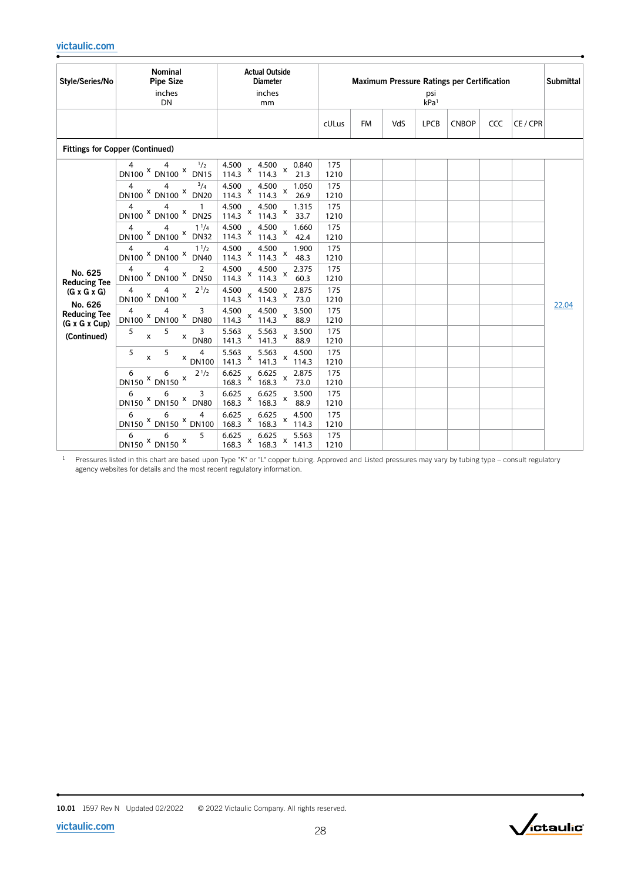| Style/Series/No                                                                                                                         | <b>Nominal</b><br><b>Pipe Size</b><br>inches<br><b>DN</b>                                                                                                                                                                                                                                                                                                                                                                                                                                                                                                                                             | <b>Actual Outside</b><br><b>Diameter</b><br>inches<br>mm                                                                                                                                                                                                                                                                                                                                                                                                                                                                                                                                                                                                                                                                                                                                                                                                                                                                                                                                                                                  |                                                                                                                                                                                         | <b>Maximum Pressure Ratings per Certification</b><br>psi<br>kPa <sup>1</sup> |     |             |              |     |        | <b>Submittal</b> |
|-----------------------------------------------------------------------------------------------------------------------------------------|-------------------------------------------------------------------------------------------------------------------------------------------------------------------------------------------------------------------------------------------------------------------------------------------------------------------------------------------------------------------------------------------------------------------------------------------------------------------------------------------------------------------------------------------------------------------------------------------------------|-------------------------------------------------------------------------------------------------------------------------------------------------------------------------------------------------------------------------------------------------------------------------------------------------------------------------------------------------------------------------------------------------------------------------------------------------------------------------------------------------------------------------------------------------------------------------------------------------------------------------------------------------------------------------------------------------------------------------------------------------------------------------------------------------------------------------------------------------------------------------------------------------------------------------------------------------------------------------------------------------------------------------------------------|-----------------------------------------------------------------------------------------------------------------------------------------------------------------------------------------|------------------------------------------------------------------------------|-----|-------------|--------------|-----|--------|------------------|
|                                                                                                                                         |                                                                                                                                                                                                                                                                                                                                                                                                                                                                                                                                                                                                       |                                                                                                                                                                                                                                                                                                                                                                                                                                                                                                                                                                                                                                                                                                                                                                                                                                                                                                                                                                                                                                           | cULus                                                                                                                                                                                   | <b>FM</b>                                                                    | VdS | <b>LPCB</b> | <b>CNBOP</b> | CCC | CE/CPR |                  |
|                                                                                                                                         | <b>Fittings for Copper (Continued)</b>                                                                                                                                                                                                                                                                                                                                                                                                                                                                                                                                                                |                                                                                                                                                                                                                                                                                                                                                                                                                                                                                                                                                                                                                                                                                                                                                                                                                                                                                                                                                                                                                                           |                                                                                                                                                                                         |                                                                              |     |             |              |     |        |                  |
| No. 625<br><b>Reducing Tee</b><br>$(G \times G \times G)$<br>No. 626<br><b>Reducing Tee</b><br>$(G \times G \times Cup)$<br>(Continued) | 1/2<br>4<br>DN100 X DN100 X DN15<br>4<br>$^{3}/_{4}$<br>4<br>DN100 X DN100 X DN20<br>4<br>4<br>1<br>DN100 X DN100 X<br><b>DN25</b><br>$1^{1}/4$<br>4<br>4<br>DN100 × DN100 ×<br><b>DN32</b><br>$1^{1/2}$<br>4<br>4<br>DN100 <sup>X</sup> DN100 <sup>X</sup><br><b>DN40</b><br>4<br>4<br>2<br>DN100 X DN100 X DN50<br>$2^{1/2}$<br>4<br>4<br>DN100 × DN100 ×<br>3<br>4<br>4<br>DN100 X DN100 X DN80<br>5<br>5<br>3<br>$\pmb{\mathsf{X}}$<br>$X$ DN80<br>5<br>5<br>4<br>$\pmb{\mathsf{x}}$<br>$x$ DN100<br>$2^{1/2}$<br>6<br>6<br>DN150 × DN150 ×<br>6<br>3<br>6<br>DN150 X DN150 X DN80<br>6<br>6<br>4 | 4.500<br>4.500<br>0.840<br>$\pmb{\times}$<br>$\mathsf{x}$<br>114.3<br>114.3<br>21.3<br>4.500<br>4.500<br>1.050<br>$\boldsymbol{\mathsf{x}}$<br>X<br>114.3<br>114.3<br>26.9<br>4.500<br>4.500<br>1.315<br>$\boldsymbol{\mathsf{x}}$<br>X<br>114.3<br>114.3<br>33.7<br>4.500<br>4.500<br>1.660<br>X<br>$\boldsymbol{\mathsf{x}}$<br>114.3<br>114.3<br>42.4<br>4.500<br>4.500<br>1.900<br>$\mathsf{x}$<br>$\pmb{\mathsf{x}}$<br>114.3<br>114.3<br>48.3<br>4.500<br>4.500<br>2.375<br>X<br>$\pmb{\mathsf{x}}$<br>114.3<br>114.3<br>60.3<br>4.500<br>2.875<br>4.500<br>$\mathsf X$<br>$\mathsf{x}$<br>114.3<br>114.3<br>73.0<br>4.500<br>4.500<br>3.500<br>X<br>$\boldsymbol{\mathsf{x}}$<br>114.3<br>114.3<br>88.9<br>5.563<br>5.563<br>3.500<br>X<br>$\boldsymbol{\mathsf{x}}$<br>141.3<br>141.3<br>88.9<br>5.563<br>5.563<br>4.500<br>X<br>$\mathsf{x}$<br>141.3<br>141.3<br>114.3<br>6.625<br>6.625<br>2.875<br>X<br>X<br>168.3<br>168.3<br>73.0<br>6.625<br>6.625<br>3.500<br>X<br>x<br>168.3<br>168.3<br>88.9<br>6.625<br>6.625<br>4.500 | 175<br>1210<br>175<br>1210<br>175<br>1210<br>175<br>1210<br>175<br>1210<br>175<br>1210<br>175<br>1210<br>175<br>1210<br>175<br>1210<br>175<br>1210<br>175<br>1210<br>175<br>1210<br>175 |                                                                              |     |             |              |     |        | 22.04            |
|                                                                                                                                         | DN150 $X$ DN150 $X$ DN100<br>6<br>5<br>6<br>DN150 × DN150 ×                                                                                                                                                                                                                                                                                                                                                                                                                                                                                                                                           | $\pmb{\mathsf{x}}$<br>$\pmb{\times}$<br>168.3<br>168.3<br>114.3<br>6.625<br>6.625<br>5.563<br>X<br>$\boldsymbol{\mathsf{x}}$<br>168.3<br>168.3<br>141.3                                                                                                                                                                                                                                                                                                                                                                                                                                                                                                                                                                                                                                                                                                                                                                                                                                                                                   | 1210<br>175<br>1210                                                                                                                                                                     |                                                                              |     |             |              |     |        |                  |

 $1$  Pressures listed in this chart are based upon Type "K" or "L" copper tubing. Approved and Listed pressures may vary by tubing type – consult regulatory agency websites for details and the most recent regulatory information.

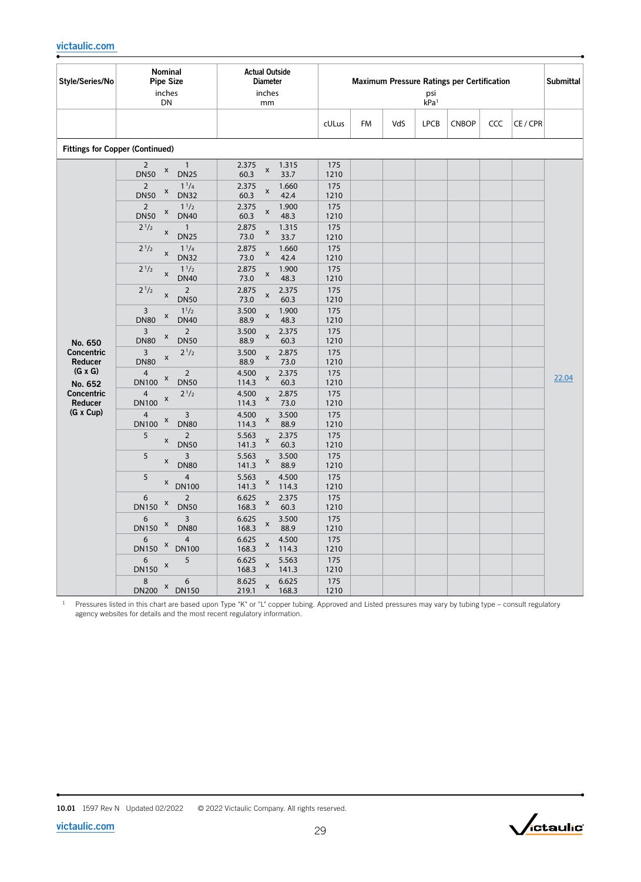| Style/Series/No           | Nominal<br><b>Pipe Size</b><br>inches<br>DN                                     | <b>Actual Outside</b><br><b>Diameter</b><br>inches<br>mm |             |           |     | psi<br>kPa <sup>1</sup> | <b>Maximum Pressure Ratings per Certification</b> |     |          | <b>Submittal</b> |
|---------------------------|---------------------------------------------------------------------------------|----------------------------------------------------------|-------------|-----------|-----|-------------------------|---------------------------------------------------|-----|----------|------------------|
|                           |                                                                                 |                                                          | cULus       | <b>FM</b> | VdS | <b>LPCB</b>             | <b>CNBOP</b>                                      | CCC | CE / CPR |                  |
|                           | <b>Fittings for Copper (Continued)</b>                                          |                                                          |             |           |     |                         |                                                   |     |          |                  |
|                           | $\overline{2}$<br>$\mathbf{1}$<br>X<br><b>DN50</b><br><b>DN25</b>               | 1.315<br>2.375<br>$\pmb{\mathsf{x}}$<br>60.3<br>33.7     | 175<br>1210 |           |     |                         |                                                   |     |          |                  |
|                           | $1^{1/4}$<br>$\overline{2}$<br>X<br><b>DN50</b><br><b>DN32</b>                  | 2.375<br>1.660<br>$\pmb{\mathsf{x}}$<br>60.3<br>42.4     | 175<br>1210 |           |     |                         |                                                   |     |          |                  |
|                           | $\overline{2}$<br>$1^{1/2}$<br>X<br><b>DN50</b><br><b>DN40</b>                  | 2.375<br>1.900<br>$\pmb{\times}$<br>60.3<br>48.3         | 175<br>1210 |           |     |                         |                                                   |     |          |                  |
|                           | $2^{1/2}$<br>$\mathbf{1}$<br>X<br><b>DN25</b>                                   | 2.875<br>1.315<br>$\pmb{\times}$<br>73.0<br>33.7         | 175<br>1210 |           |     |                         |                                                   |     |          |                  |
|                           | $2^{1/2}$<br>$1^{1}/4$<br>$\pmb{\mathsf{X}}$<br><b>DN32</b>                     | 2.875<br>1.660<br>$\pmb{\mathsf{x}}$<br>73.0<br>42.4     | 175<br>1210 |           |     |                         |                                                   |     |          |                  |
|                           | $2^{1/2}$<br>$1^{1/2}$<br>$\pmb{\mathsf{X}}$<br><b>DN40</b>                     | 2.875<br>1.900<br>X<br>73.0<br>48.3                      | 175<br>1210 |           |     |                         |                                                   |     |          |                  |
|                           | $2^{1/2}$<br>$\overline{2}$<br>X<br><b>DN50</b>                                 | 2.875<br>2.375<br>X<br>73.0<br>60.3                      | 175<br>1210 |           |     |                         |                                                   |     |          |                  |
|                           | $1^{1/2}$<br>$\overline{3}$<br>X<br><b>DN40</b><br><b>DN80</b>                  | 1.900<br>3.500<br>X<br>88.9<br>48.3                      | 175<br>1210 |           |     |                         |                                                   |     |          |                  |
| No. 650                   | $\overline{2}$<br>3<br>X<br><b>DN50</b><br><b>DN80</b>                          | 2.375<br>3.500<br>x<br>88.9<br>60.3                      | 175<br>1210 |           |     |                         |                                                   |     |          |                  |
| Concentric<br>Reducer     | $2^{1/2}$<br>3<br>X<br><b>DN80</b>                                              | 3.500<br>2.875<br>x<br>88.9<br>73.0                      | 175<br>1210 |           |     |                         |                                                   |     |          |                  |
| $(G \times G)$<br>No. 652 | $\mathbf 2$<br>4<br>X<br><b>DN100</b><br><b>DN50</b>                            | 4.500<br>2.375<br>X<br>114.3<br>60.3                     | 175<br>1210 |           |     |                         |                                                   |     |          | 22.04            |
| Concentric<br>Reducer     | $2^{1/2}$<br>4<br>X<br><b>DN100</b>                                             | 4.500<br>2.875<br>X<br>114.3<br>73.0                     | 175<br>1210 |           |     |                         |                                                   |     |          |                  |
| (G x Cup)                 | $\overline{3}$<br>$\overline{4}$<br>X<br><b>DN80</b><br><b>DN100</b>            | 4.500<br>3.500<br>$\pmb{\mathsf{x}}$<br>114.3<br>88.9    | 175<br>1210 |           |     |                         |                                                   |     |          |                  |
|                           | 5<br>$\overline{2}$<br>X<br><b>DN50</b>                                         | 5.563<br>2.375<br>$\pmb{\mathsf{x}}$<br>141.3<br>60.3    | 175<br>1210 |           |     |                         |                                                   |     |          |                  |
|                           | 5<br>$\overline{3}$<br>X<br><b>DN80</b>                                         | 3.500<br>5.563<br>$\pmb{\times}$<br>141.3<br>88.9        | 175<br>1210 |           |     |                         |                                                   |     |          |                  |
|                           | 5<br>$\overline{4}$<br>X<br><b>DN100</b>                                        | 5.563<br>4.500<br>X<br>141.3<br>114.3                    | 175<br>1210 |           |     |                         |                                                   |     |          |                  |
|                           | $\overline{2}$<br>6<br>X<br><b>DN150</b><br><b>DN50</b>                         | 6.625<br>2.375<br>X<br>168.3<br>60.3                     | 175<br>1210 |           |     |                         |                                                   |     |          |                  |
|                           | $\overline{3}$<br>6<br>$\boldsymbol{\mathsf{x}}$<br><b>DN150</b><br><b>DN80</b> | 3.500<br>6.625<br>X<br>168.3<br>88.9                     | 175<br>1210 |           |     |                         |                                                   |     |          |                  |
|                           | $\overline{4}$<br>6<br>X<br><b>DN100</b><br><b>DN150</b>                        | 6.625<br>4.500<br>x<br>168.3<br>114.3                    | 175<br>1210 |           |     |                         |                                                   |     |          |                  |
|                           | 5<br>6<br>X<br><b>DN150</b>                                                     | 6.625<br>5.563<br>X<br>168.3<br>141.3                    | 175<br>1210 |           |     |                         |                                                   |     |          |                  |
|                           | 8<br>6<br>X<br><b>DN200</b><br><b>DN150</b>                                     | 8.625<br>6.625<br>x<br>219.1<br>168.3                    | 175<br>1210 |           |     |                         |                                                   |     |          |                  |

<sup>1</sup> Pressures listed in this chart are based upon Type "K" or "L" copper tubing. Approved and Listed pressures may vary by tubing type – consult regulatory agency websites for details and the most recent regulatory information.

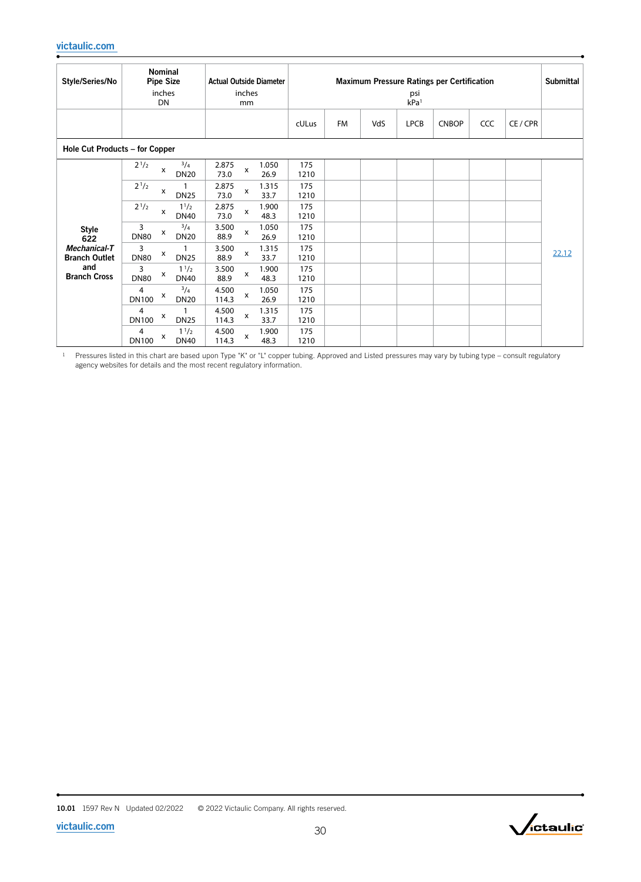| Style/Series/No                      | <b>Nominal</b><br><b>Pipe Size</b><br>inches<br>DN   | <b>Actual Outside Diameter</b><br>inches<br>mm              | <b>Maximum Pressure Ratings per Certification</b><br>psi<br>kPa <sup>1</sup> |           |     |             |              |     |          |       |
|--------------------------------------|------------------------------------------------------|-------------------------------------------------------------|------------------------------------------------------------------------------|-----------|-----|-------------|--------------|-----|----------|-------|
|                                      |                                                      |                                                             | cULus                                                                        | <b>FM</b> | VdS | <b>LPCB</b> | <b>CNBOP</b> | CCC | CE / CPR |       |
| Hole Cut Products - for Copper       |                                                      |                                                             |                                                                              |           |     |             |              |     |          |       |
|                                      | $^{3}/_{4}$<br>$2^{1/2}$<br>x<br><b>DN20</b>         | 2.875<br>1.050<br>X<br>26.9<br>73.0                         | 175<br>1210                                                                  |           |     |             |              |     |          |       |
|                                      | $2^{1/2}$<br>x<br><b>DN25</b>                        | 2.875<br>1.315<br>$\boldsymbol{\mathsf{X}}$<br>73.0<br>33.7 | 175<br>1210                                                                  |           |     |             |              |     |          |       |
|                                      | $2^{1/2}$<br>$1^{1/2}$<br>x<br><b>DN40</b>           | 2.875<br>1.900<br>x<br>73.0<br>48.3                         | 175<br>1210                                                                  |           |     |             |              |     |          |       |
| <b>Style</b><br>622                  | $^{3}/_{4}$<br>3<br>x<br><b>DN20</b><br><b>DN80</b>  | 3.500<br>1.050<br>X<br>88.9<br>26.9                         | 175<br>1210                                                                  |           |     |             |              |     |          |       |
| Mechanical-T<br><b>Branch Outlet</b> | 3<br>х<br><b>DN80</b><br><b>DN25</b>                 | 3.500<br>1.315<br>X<br>88.9<br>33.7                         | 175<br>1210                                                                  |           |     |             |              |     |          | 22.12 |
| and<br><b>Branch Cross</b>           | $1^{1/2}$<br>3<br>x<br><b>DN80</b><br><b>DN40</b>    | 3.500<br>1.900<br>$\boldsymbol{\mathsf{x}}$<br>88.9<br>48.3 | 175<br>1210                                                                  |           |     |             |              |     |          |       |
|                                      | $^{3}/_{4}$<br>4<br>х<br><b>DN100</b><br><b>DN20</b> | 4.500<br>1.050<br>$\pmb{\chi}$<br>114.3<br>26.9             | 175<br>1210                                                                  |           |     |             |              |     |          |       |
|                                      | 4<br>х<br><b>DN100</b><br><b>DN25</b>                | 4.500<br>1.315<br>x<br>114.3<br>33.7                        | 175<br>1210                                                                  |           |     |             |              |     |          |       |
|                                      | $1^{1/2}$<br>4<br>х<br><b>DN100</b><br><b>DN40</b>   | 4.500<br>1.900<br>x<br>114.3<br>48.3                        | 175<br>1210                                                                  |           |     |             |              |     |          |       |

 $1$  Pressures listed in this chart are based upon Type "K" or "L" copper tubing. Approved and Listed pressures may vary by tubing type – consult regulatory agency websites for details and the most recent regulatory information.

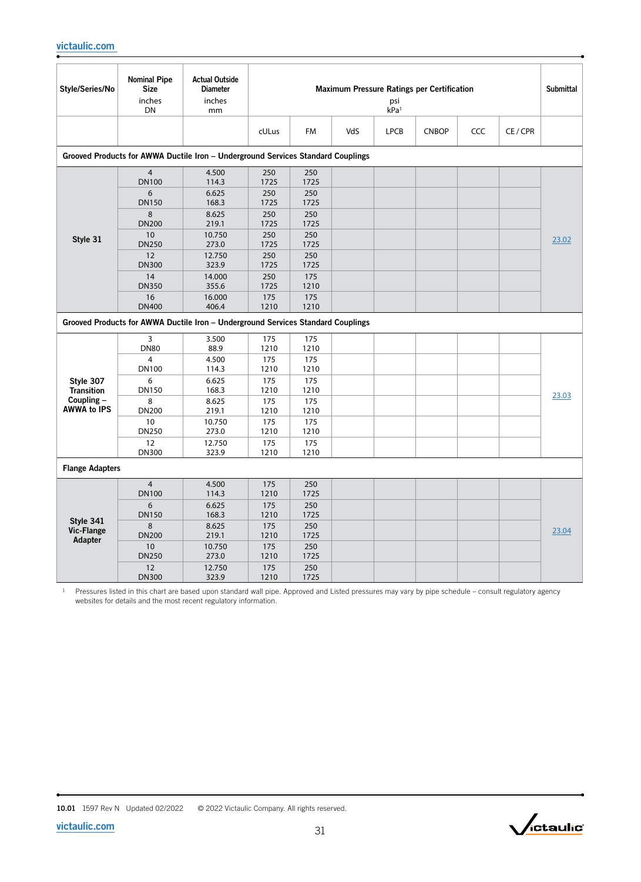| Style/Series/No                  | <b>Nominal Pipe</b><br><b>Size</b><br>inches<br>DN | <b>Actual Outside</b><br><b>Diameter</b><br>inches<br>mm                         |                     |                     |     | psi<br>kPa <sup>1</sup> | <b>Maximum Pressure Ratings per Certification</b> |     |          | <b>Submittal</b> |
|----------------------------------|----------------------------------------------------|----------------------------------------------------------------------------------|---------------------|---------------------|-----|-------------------------|---------------------------------------------------|-----|----------|------------------|
|                                  |                                                    |                                                                                  | cULus               | <b>FM</b>           | VdS | <b>LPCB</b>             | <b>CNBOP</b>                                      | CCC | CE / CPR |                  |
|                                  |                                                    | Grooved Products for AWWA Ductile Iron - Underground Services Standard Couplings |                     |                     |     |                         |                                                   |     |          |                  |
|                                  | $\overline{4}$<br><b>DN100</b>                     | 4.500<br>114.3                                                                   | 250<br>1725         | 250<br>1725         |     |                         |                                                   |     |          |                  |
|                                  | 6<br><b>DN150</b><br>8                             | 6.625<br>168.3<br>8.625                                                          | 250<br>1725<br>250  | 250<br>1725<br>250  |     |                         |                                                   |     |          |                  |
|                                  | <b>DN200</b><br>10                                 | 219.1<br>10.750                                                                  | 1725<br>250         | 1725<br>250         |     |                         |                                                   |     |          |                  |
| Style 31                         | <b>DN250</b><br>12                                 | 273.0<br>12.750                                                                  | 1725<br>250         | 1725<br>250         |     |                         |                                                   |     |          | 23.02            |
|                                  | <b>DN300</b><br>14<br><b>DN350</b>                 | 323.9<br>14.000<br>355.6                                                         | 1725<br>250<br>1725 | 1725<br>175<br>1210 |     |                         |                                                   |     |          |                  |
|                                  | 16<br><b>DN400</b>                                 | 16.000<br>406.4                                                                  | 175<br>1210         | 175<br>1210         |     |                         |                                                   |     |          |                  |
|                                  |                                                    | Grooved Products for AWWA Ductile Iron - Underground Services Standard Couplings |                     |                     |     |                         |                                                   |     |          |                  |
|                                  | 3<br><b>DN80</b>                                   | 3.500<br>88.9                                                                    | 175<br>1210         | 175<br>1210         |     |                         |                                                   |     |          |                  |
|                                  | 4<br><b>DN100</b>                                  | 4.500<br>114.3                                                                   | 175<br>1210         | 175<br>1210         |     |                         |                                                   |     |          |                  |
| Style 307<br><b>Transition</b>   | 6<br><b>DN150</b>                                  | 6.625<br>168.3                                                                   | 175<br>1210         | 175<br>1210         |     |                         |                                                   |     |          | 23.03            |
| Coupling -<br><b>AWWA to IPS</b> | 8<br><b>DN200</b>                                  | 8.625<br>219.1                                                                   | 175<br>1210         | 175<br>1210         |     |                         |                                                   |     |          |                  |
|                                  | 10<br><b>DN250</b><br>12                           | 10.750<br>273.0                                                                  | 175<br>1210         | 175<br>1210         |     |                         |                                                   |     |          |                  |
|                                  | <b>DN300</b>                                       | 12.750<br>323.9                                                                  | 175<br>1210         | 175<br>1210         |     |                         |                                                   |     |          |                  |
| <b>Flange Adapters</b>           |                                                    |                                                                                  |                     |                     |     |                         |                                                   |     |          |                  |
|                                  | $\overline{4}$<br><b>DN100</b>                     | 4.500<br>114.3                                                                   | 175<br>1210         | 250<br>1725         |     |                         |                                                   |     |          |                  |
| Style 341                        | 6<br><b>DN150</b>                                  | 6.625<br>168.3                                                                   | 175<br>1210         | 250<br>1725         |     |                         |                                                   |     |          |                  |
| <b>Vic-Flange</b><br>Adapter     | 8<br><b>DN200</b>                                  | 8.625<br>219.1                                                                   | 175<br>1210         | 250<br>1725         |     |                         |                                                   |     |          | 23.04            |
|                                  | 10<br><b>DN250</b>                                 | 10.750<br>273.0                                                                  | 175<br>1210         | 250<br>1725         |     |                         |                                                   |     |          |                  |
|                                  | 12<br><b>DN300</b>                                 | 12.750<br>323.9                                                                  | 175<br>1210         | 250<br>1725         |     |                         |                                                   |     |          |                  |



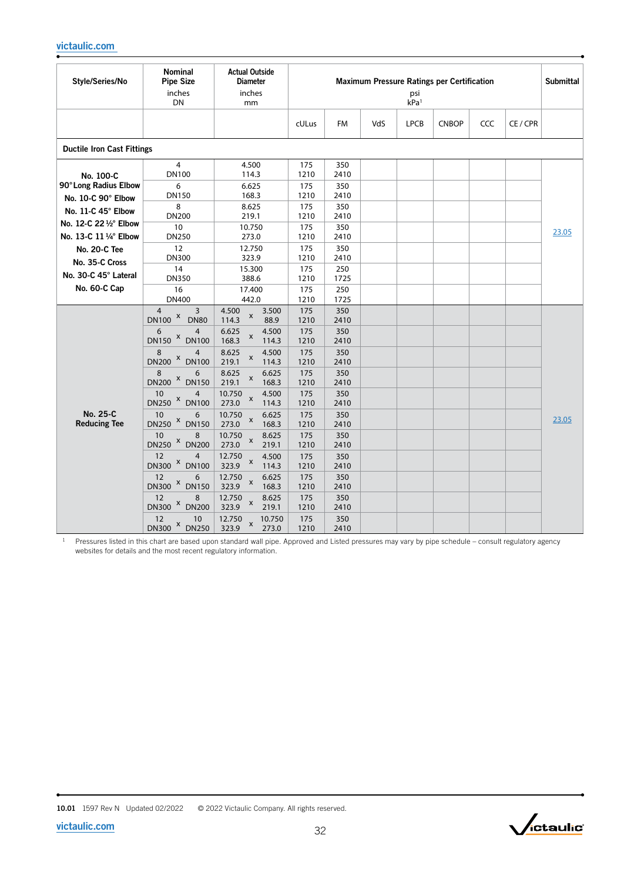| Style/Series/No                    | Nominal<br><b>Pipe Size</b><br>inches<br>DN       | <b>Actual Outside</b><br><b>Diameter</b><br>inches<br>mm |                    |                    |     | psi<br>kPa <sup>1</sup> | <b>Maximum Pressure Ratings per Certification</b> |     |          | <b>Submittal</b> |
|------------------------------------|---------------------------------------------------|----------------------------------------------------------|--------------------|--------------------|-----|-------------------------|---------------------------------------------------|-----|----------|------------------|
|                                    |                                                   |                                                          | cULus              | <b>FM</b>          | VdS | <b>LPCB</b>             | <b>CNBOP</b>                                      | CCC | CE / CPR |                  |
| <b>Ductile Iron Cast Fittings</b>  |                                                   |                                                          |                    |                    |     |                         |                                                   |     |          |                  |
| No. 100-C<br>90° Long Radius Elbow | $\overline{4}$<br><b>DN100</b><br>6               | 4.500<br>114.3<br>6.625                                  | 175<br>1210<br>175 | 350<br>2410<br>350 |     |                         |                                                   |     |          |                  |
| No. 10-C 90° Elbow                 | <b>DN150</b>                                      | 168.3                                                    | 1210               | 2410               |     |                         |                                                   |     |          |                  |
| No. 11-C 45° Elbow                 | 8                                                 | 8.625                                                    | 175                | 350                |     |                         |                                                   |     |          |                  |
| No. 12-C 22 1/2° Elbow             | <b>DN200</b><br>10                                | 219.1<br>10.750                                          | 1210<br>175        | 2410<br>350        |     |                         |                                                   |     |          |                  |
| No. 13-C 11 1/4° Elbow             | <b>DN250</b>                                      | 273.0                                                    | 1210               | 2410               |     |                         |                                                   |     |          | 23.05            |
| No. 20-C Tee                       | 12<br><b>DN300</b>                                | 12.750<br>323.9                                          | 175<br>1210        | 350<br>2410        |     |                         |                                                   |     |          |                  |
| No. 35-C Cross                     | 14                                                | 15.300                                                   | 175                | 250                |     |                         |                                                   |     |          |                  |
| No. 30-C 45° Lateral               | <b>DN350</b>                                      | 388.6                                                    | 1210               | 1725               |     |                         |                                                   |     |          |                  |
| No. 60-C Cap                       | 16<br><b>DN400</b>                                | 17.400<br>442.0                                          | 175<br>1210        | 250<br>1725        |     |                         |                                                   |     |          |                  |
|                                    | $\overline{4}$<br>3                               | 4.500<br>3.500<br>$\pmb{\times}$                         | 175                | 350                |     |                         |                                                   |     |          |                  |
|                                    | $DN100$ $X$<br><b>DN80</b><br>6<br>$\overline{4}$ | 114.3<br>88.9<br>6.625<br>4.500                          | 1210<br>175        | 2410<br>350        |     |                         |                                                   |     |          |                  |
|                                    | DN150 × DN100                                     | X<br>168.3<br>114.3                                      | 1210               | 2410               |     |                         |                                                   |     |          |                  |
|                                    | 8<br>$\overline{4}$<br>DN200 × DN100              | 8.625<br>4.500<br>$\pmb{\mathsf{x}}$<br>219.1<br>114.3   | 175<br>1210        | 350<br>2410        |     |                         |                                                   |     |          |                  |
|                                    | 8<br>6                                            | 8.625<br>6.625<br>$\pmb{\mathsf{x}}$                     | 175                | 350                |     |                         |                                                   |     |          |                  |
|                                    | DN200 × DN150<br>10<br>4                          | 219.1<br>168.3<br>10.750<br>4.500                        | 1210<br>175        | 2410<br>350        |     |                         |                                                   |     |          |                  |
|                                    | DN250 × DN100                                     | X<br>273.0<br>114.3                                      | 1210               | 2410               |     |                         |                                                   |     |          |                  |
| No. 25-C<br><b>Reducing Tee</b>    | 10<br>6<br>DN250 × DN150                          | 10.750<br>6.625<br>X<br>273.0<br>168.3                   | 175<br>1210        | 350<br>2410        |     |                         |                                                   |     |          | 23.05            |
|                                    | 10<br>8<br>DN250 × DN200                          | 10.750<br>8.625<br>$\pmb{\mathsf{X}}$<br>273.0<br>219.1  | 175<br>1210        | 350<br>2410        |     |                         |                                                   |     |          |                  |
|                                    | 12<br>$\overline{4}$<br>DN300 × DN100             | 12.750<br>4.500<br>X<br>323.9<br>114.3                   | 175<br>1210        | 350<br>2410        |     |                         |                                                   |     |          |                  |
|                                    | 12<br>6<br>DN300 × DN150                          | 12.750<br>6.625<br>X<br>323.9<br>168.3                   | 175<br>1210        | 350<br>2410        |     |                         |                                                   |     |          |                  |
|                                    | 12<br>8<br>DN300 × DN200                          | 12.750<br>8.625<br>$\pmb{\times}$<br>323.9<br>219.1      | 175<br>1210        | 350<br>2410        |     |                         |                                                   |     |          |                  |
|                                    | 12<br>10<br>DN300 × DN250                         | 12.750<br>10.750<br>X<br>323.9<br>273.0                  | 175<br>1210        | 350<br>2410        |     |                         |                                                   |     |          |                  |

 $1$  Pressures listed in this chart are based upon standard wall pipe. Approved and Listed pressures may vary by pipe schedule – consult regulatory agency websites for details and the most recent regulatory information.

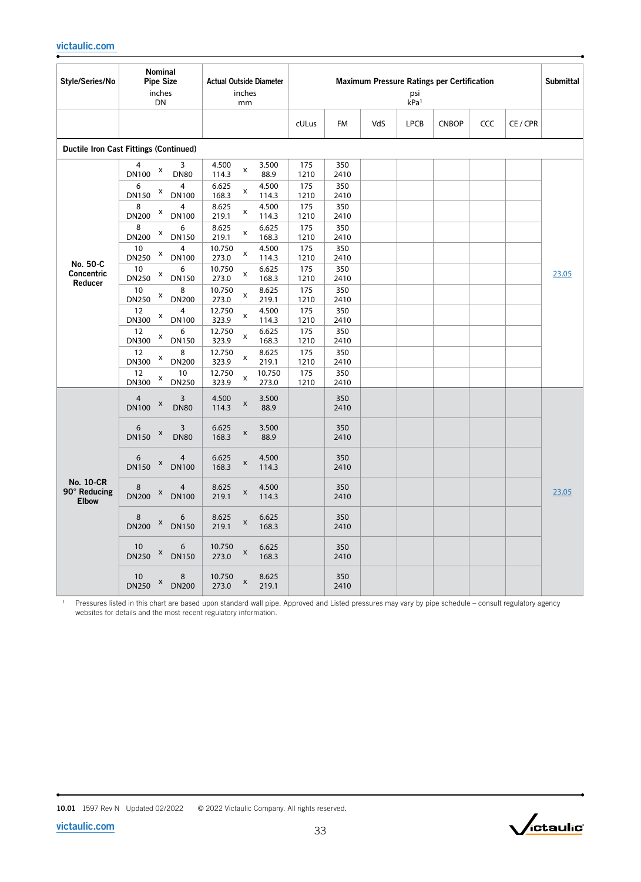| Style/Series/No                                  | <b>Nominal</b><br><b>Pipe Size</b><br>inches<br>DN      | <b>Actual Outside Diameter</b><br>inches<br>mm          | Maximum Pressure Ratings per Certification<br>psi<br>kPa <sup>1</sup> |             |     |             |              |     |        | <b>Submittal</b> |
|--------------------------------------------------|---------------------------------------------------------|---------------------------------------------------------|-----------------------------------------------------------------------|-------------|-----|-------------|--------------|-----|--------|------------------|
|                                                  |                                                         |                                                         | cULus                                                                 | <b>FM</b>   | VdS | <b>LPCB</b> | <b>CNBOP</b> | CCC | CE/CPR |                  |
|                                                  | <b>Ductile Iron Cast Fittings (Continued)</b>           |                                                         |                                                                       |             |     |             |              |     |        |                  |
|                                                  | 4<br>3<br>X<br><b>DN100</b><br><b>DN80</b>              | 4.500<br>3.500<br>X<br>88.9<br>114.3                    | 175<br>1210                                                           | 350<br>2410 |     |             |              |     |        |                  |
|                                                  | 6<br>4<br>X<br><b>DN150</b><br><b>DN100</b>             | 6.625<br>4.500<br>X<br>168.3<br>114.3                   | 175<br>1210                                                           | 350<br>2410 |     |             |              |     |        |                  |
|                                                  | 8<br>4<br>X<br><b>DN200</b><br><b>DN100</b>             | 8.625<br>4.500<br>x<br>219.1<br>114.3                   | 175<br>1210                                                           | 350<br>2410 |     |             |              |     |        |                  |
|                                                  | 8<br>6<br>X<br><b>DN200</b><br><b>DN150</b>             | 8.625<br>6.625<br>X<br>168.3<br>219.1                   | 175<br>1210                                                           | 350<br>2410 |     |             |              |     |        |                  |
|                                                  | 10<br>4<br>X<br><b>DN250</b><br><b>DN100</b>            | 10.750<br>4.500<br>X<br>273.0<br>114.3                  | 175<br>1210                                                           | 350<br>2410 |     |             |              |     |        |                  |
| No. 50-C<br><b>Concentric</b>                    | 10<br>6<br>X<br><b>DN150</b><br>DN250                   | 6.625<br>10.750<br>x<br>168.3<br>273.0                  | 175<br>1210                                                           | 350<br>2410 |     |             |              |     |        | 23.05            |
| Reducer                                          | 10<br>8<br>X<br><b>DN200</b><br>DN250                   | 10.750<br>8.625<br>X<br>273.0<br>219.1                  | 175<br>1210                                                           | 350<br>2410 |     |             |              |     |        |                  |
|                                                  | 12<br>$\overline{4}$<br>X<br>DN300<br><b>DN100</b>      | 12.750<br>4.500<br>x<br>323.9<br>114.3                  | 175<br>1210                                                           | 350<br>2410 |     |             |              |     |        |                  |
|                                                  | 12<br>6<br>X<br><b>DN150</b><br><b>DN300</b>            | 12.750<br>6.625<br>x<br>323.9<br>168.3                  | 175<br>1210                                                           | 350<br>2410 |     |             |              |     |        |                  |
|                                                  | 12<br>8<br>X<br><b>DN200</b><br><b>DN300</b>            | 12.750<br>8.625<br>x<br>323.9<br>219.1                  | 175<br>1210                                                           | 350<br>2410 |     |             |              |     |        |                  |
|                                                  | 12<br>10<br>X<br>DN300<br><b>DN250</b>                  | 12.750<br>10.750<br>x<br>323.9<br>273.0                 | 175<br>1210                                                           | 350<br>2410 |     |             |              |     |        |                  |
|                                                  | $\overline{4}$<br>3<br>X<br><b>DN80</b><br><b>DN100</b> | 4.500<br>3.500<br>$\pmb{\mathsf{X}}$<br>88.9<br>114.3   |                                                                       | 350<br>2410 |     |             |              |     |        |                  |
|                                                  | 6<br>3<br>X<br><b>DN150</b><br><b>DN80</b>              | 6.625<br>3.500<br>$\pmb{\mathsf{X}}$<br>88.9<br>168.3   |                                                                       | 350<br>2410 |     |             |              |     |        |                  |
|                                                  | 6<br>4<br>X<br><b>DN150</b><br><b>DN100</b>             | 6.625<br>4.500<br>X<br>168.3<br>114.3                   |                                                                       | 350<br>2410 |     |             |              |     |        |                  |
| <b>No. 10-CR</b><br>90° Reducing<br><b>Elbow</b> | 8<br>4<br>X<br><b>DN200</b><br><b>DN100</b>             | 8.625<br>4.500<br>X<br>114.3<br>219.1                   |                                                                       | 350<br>2410 |     |             |              |     |        | 23.05            |
|                                                  | 8<br>6<br>X<br><b>DN150</b><br><b>DN200</b>             | 8.625<br>6.625<br>$\pmb{\mathsf{X}}$<br>168.3<br>219.1  |                                                                       | 350<br>2410 |     |             |              |     |        |                  |
|                                                  | 10<br>6<br>X<br><b>DN250</b><br><b>DN150</b>            | 10.750<br>6.625<br>$\pmb{\mathsf{x}}$<br>168.3<br>273.0 |                                                                       | 350<br>2410 |     |             |              |     |        |                  |
|                                                  | 10<br>8<br>X<br><b>DN250</b><br><b>DN200</b>            | 10.750<br>8.625<br>X<br>273.0<br>219.1                  |                                                                       | 350<br>2410 |     |             |              |     |        |                  |

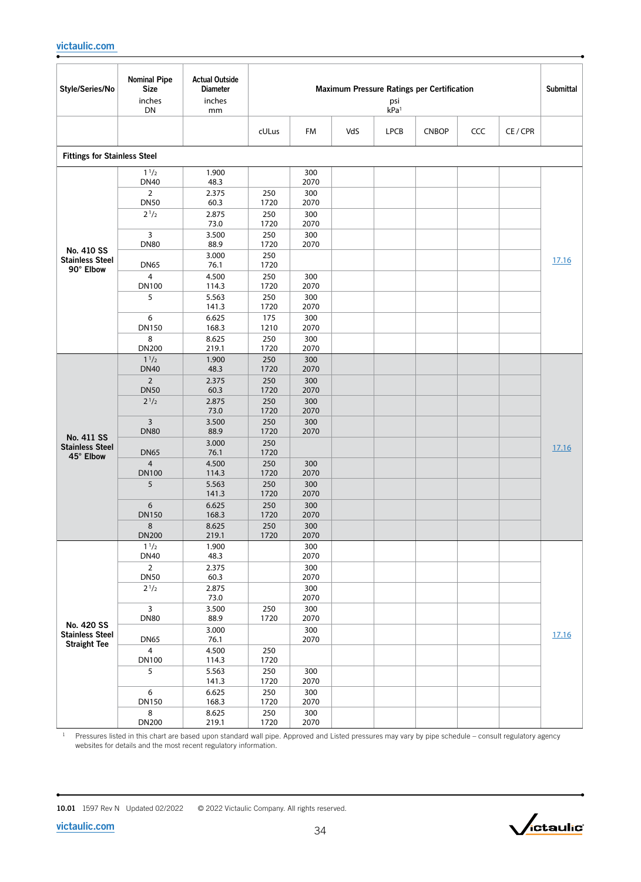| Style/Series/No                                   | <b>Nominal Pipe</b><br><b>Size</b>     | <b>Actual Outside</b><br><b>Diameter</b> | Maximum Pressure Ratings per Certification<br><b>Submittal</b><br>psi<br>kPa <sup>1</sup> |             |     |             |              |            |        |       |
|---------------------------------------------------|----------------------------------------|------------------------------------------|-------------------------------------------------------------------------------------------|-------------|-----|-------------|--------------|------------|--------|-------|
|                                                   | inches<br>DN                           | inches<br>mm                             |                                                                                           |             |     |             |              |            |        |       |
|                                                   |                                        |                                          | cULus                                                                                     | FM          | VdS | <b>LPCB</b> | <b>CNBOP</b> | <b>CCC</b> | CE/CPR |       |
| <b>Fittings for Stainless Steel</b>               |                                        |                                          |                                                                                           |             |     |             |              |            |        |       |
|                                                   | $1^{1/2}$<br><b>DN40</b>               | 1.900<br>48.3                            |                                                                                           | 300<br>2070 |     |             |              |            |        |       |
|                                                   | $\overline{2}$<br><b>DN50</b>          | 2.375<br>60.3                            | 250<br>1720                                                                               | 300<br>2070 |     |             |              |            |        |       |
|                                                   | $2^{1/2}$                              | 2.875<br>73.0                            | 250<br>1720                                                                               | 300<br>2070 |     |             |              |            |        |       |
|                                                   | 3<br><b>DN80</b>                       | 3.500<br>88.9                            | 250<br>1720                                                                               | 300<br>2070 |     |             |              |            |        |       |
| No. 410 SS<br><b>Stainless Steel</b><br>90° Elbow | <b>DN65</b>                            | 3.000<br>76.1                            | 250<br>1720                                                                               |             |     |             |              |            |        | 17.16 |
|                                                   | $\overline{4}$<br><b>DN100</b>         | 4.500<br>114.3                           | 250<br>1720                                                                               | 300<br>2070 |     |             |              |            |        |       |
|                                                   | 5                                      | 5.563<br>141.3                           | 250<br>1720                                                                               | 300<br>2070 |     |             |              |            |        |       |
|                                                   | 6<br>DN150                             | 6.625<br>168.3                           | 175<br>1210                                                                               | 300<br>2070 |     |             |              |            |        |       |
|                                                   | 8<br><b>DN200</b>                      | 8.625<br>219.1                           | 250<br>1720                                                                               | 300<br>2070 |     |             |              |            |        |       |
|                                                   | 1 <sup>1</sup> /2<br><b>DN40</b>       | 1.900<br>48.3                            | 250<br>1720                                                                               | 300<br>2070 |     |             |              |            |        |       |
|                                                   | $\overline{2}$<br><b>DN50</b>          | 2.375<br>60.3                            | 250<br>1720                                                                               | 300<br>2070 |     |             |              |            |        |       |
|                                                   | $2^{1/2}$                              | 2.875<br>73.0                            | 250<br>1720                                                                               | 300<br>2070 |     |             |              |            |        |       |
|                                                   | 3<br><b>DN80</b>                       | 3.500<br>88.9                            | 250<br>1720                                                                               | 300<br>2070 |     |             |              |            |        |       |
| No. 411 SS<br><b>Stainless Steel</b><br>45° Elbow | <b>DN65</b>                            | 3.000<br>76.1                            | 250<br>1720                                                                               |             |     |             |              |            |        | 17.16 |
|                                                   | $\overline{4}$<br><b>DN100</b>         | 4.500<br>114.3                           | 250<br>1720                                                                               | 300<br>2070 |     |             |              |            |        |       |
|                                                   | 5                                      | 5.563<br>141.3                           | 250<br>1720                                                                               | 300<br>2070 |     |             |              |            |        |       |
|                                                   | 6<br><b>DN150</b>                      | 6.625<br>168.3                           | 250<br>1720                                                                               | 300<br>2070 |     |             |              |            |        |       |
|                                                   | 8<br><b>DN200</b>                      | 8.625<br>219.1                           | 250<br>1720                                                                               | 300<br>2070 |     |             |              |            |        |       |
|                                                   | $1^{1/2}$<br><b>DN40</b>               | 1.900<br>48.3                            |                                                                                           | 300<br>2070 |     |             |              |            |        |       |
|                                                   | $\overline{2}$<br><b>DN50</b>          | 2.375<br>60.3                            |                                                                                           | 300<br>2070 |     |             |              |            |        |       |
|                                                   | $2^{1/2}$                              | 2.875<br>73.0                            |                                                                                           | 300<br>2070 |     |             |              |            |        |       |
| No. 420 SS                                        | $\overline{\mathbf{3}}$<br><b>DN80</b> | 3.500<br>88.9                            | 250<br>1720                                                                               | 300<br>2070 |     |             |              |            |        |       |
| <b>Stainless Steel</b><br><b>Straight Tee</b>     | <b>DN65</b>                            | 3.000<br>76.1                            |                                                                                           | 300<br>2070 |     |             |              |            |        | 17.16 |
|                                                   | 4<br>DN100                             | 4.500<br>114.3                           | 250<br>1720                                                                               |             |     |             |              |            |        |       |
|                                                   | 5                                      | 5.563<br>141.3                           | 250<br>1720                                                                               | 300<br>2070 |     |             |              |            |        |       |
|                                                   | 6<br><b>DN150</b>                      | 6.625<br>168.3                           | 250<br>1720                                                                               | 300<br>2070 |     |             |              |            |        |       |
|                                                   | 8<br><b>DN200</b>                      | 8.625<br>219.1                           | 250<br>1720                                                                               | 300<br>2070 |     |             |              |            |        |       |

<sup>1</sup> Pressures listed in this chart are based upon standard wall pipe. Approved and Listed pressures may vary by pipe schedule – consult regulatory agency websites for details and the most recent regulatory information.

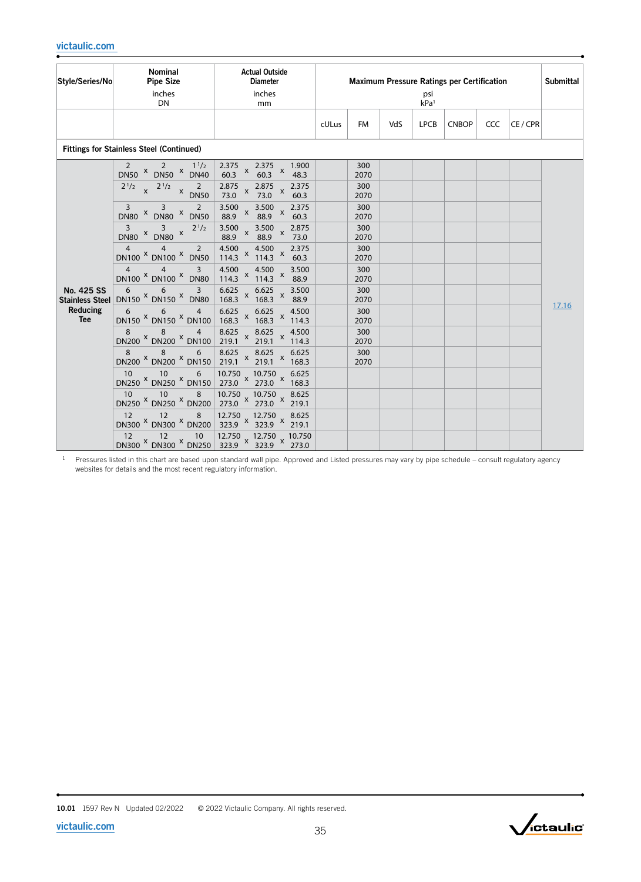| Style/Series/No                                         | <b>Nominal</b><br><b>Pipe Size</b><br>inches<br><b>DN</b>                                                                                                                             | <b>Actual Outside</b><br><b>Diameter</b><br>inches<br>mm                                                                                                                                                                  | <b>Maximum Pressure Ratings per Certification</b><br>psi<br>kPa <sup>1</sup> |                                                  |     |             |              |     | Submittal |       |
|---------------------------------------------------------|---------------------------------------------------------------------------------------------------------------------------------------------------------------------------------------|---------------------------------------------------------------------------------------------------------------------------------------------------------------------------------------------------------------------------|------------------------------------------------------------------------------|--------------------------------------------------|-----|-------------|--------------|-----|-----------|-------|
|                                                         |                                                                                                                                                                                       |                                                                                                                                                                                                                           | cULus                                                                        | <b>FM</b>                                        | VdS | <b>LPCB</b> | <b>CNBOP</b> | CCC | CE/CPR    |       |
|                                                         | <b>Fittings for Stainless Steel (Continued)</b>                                                                                                                                       |                                                                                                                                                                                                                           |                                                                              |                                                  |     |             |              |     |           |       |
|                                                         | $1^{1/2}$<br>2<br>2<br>$DNSO X$ DN50 $X$ DN40<br>$2^{1/2}$ x $2^{1/2}$ x $2^{1/2}$ X DN50<br>2<br>3<br>3<br>$DN80$ $X$ $DN80$ $X$ $DN50$<br>$\overline{3}$<br>$\overline{\mathbf{3}}$ | 2.375<br>x 2.375 x 1.900<br>60.3 x 48.3<br>$\mathsf{x}$<br>60.3<br>2.875<br>73.0<br>2.375<br>$x \frac{2.6}{73.0}$<br>$\mathsf X$<br>60.3<br>3.500<br>3.500<br>2.375<br>$\mathsf X$<br>$\mathsf X$<br>88.9<br>88.9<br>60.3 |                                                                              | 300<br>2070<br>300<br>2070<br>300<br>2070<br>300 |     |             |              |     |           |       |
|                                                         | $2^{1/2}$<br>$DN80$ $X$ $DN80$ $X$<br>$\overline{4}$<br>4<br>$\overline{2}$<br>DN100 X DN100 X DN50<br>3<br>$4^{\circ}$<br>$\overline{4}$<br>DN100 X DN100 X DN80                     | $\begin{array}{cc} 3.500 & x \\ 88.9 & \end{array}$<br>3.500<br>2.875<br>88.9 x<br>73.0<br>4.500 $\mu$<br>4.500<br>2.375<br>114.3 $x^2$ 114.3 $x^2$<br>60.3<br>4.500<br>4.500<br>3.500<br>114.3 $x^2$ 114.3 $x^2$<br>88.9 |                                                                              | 2070<br>300<br>2070<br>300<br>2070               |     |             |              |     |           |       |
| No. 425 SS<br>Stainless Steel<br>Reducing<br><b>Tee</b> | 6<br>$6\overline{6}$<br>3<br>DN150 × DN150 × DN80<br>6<br>6 <sup>1</sup><br>$\overline{4}$<br>DN150 × DN150 × DN100                                                                   | $6.625$ $6.625$<br>3.500<br>$168.3 \times 168.3 \times 168.3$<br>88.9<br>$6.625$ $6.625$<br>4.500<br>$168.3 \times 168.3 \times 114.3$                                                                                    |                                                                              | 300<br>2070<br>300<br>2070                       |     |             |              |     |           | 17.16 |
|                                                         | 8<br>8 <sup>2</sup><br>$\overline{4}$<br>DN200 <sup>X</sup> DN200 <sup>X</sup> DN100<br>8<br>8 <sup>8</sup><br>6<br>DN200 <sup>X</sup> DN200 <sup>X</sup> DN150                       | 8.625 x 8.625 x 4.500<br>219.1 x 219.1 x 114.3<br>8.625 x 8.625 x 6.625<br>219.1 x 219.1 x 168.3                                                                                                                          |                                                                              | 300<br>2070<br>300<br>2070                       |     |             |              |     |           |       |
|                                                         | 10<br>$\overline{10}$<br>6 <sup>1</sup><br>DN250 × DN250 × DN150                                                                                                                      | 10.750 x 10.750 x 6.625<br>273.0 x 273.0 x 168.3                                                                                                                                                                          |                                                                              |                                                  |     |             |              |     |           |       |
|                                                         | 10<br>$10 \t 8$<br>DN250 × DN250 × DN200<br>12<br>$\frac{1}{2}$ 8<br>$\overline{12}$<br>DN300 <sup>X</sup> DN300 <sup>X</sup> DN200                                                   | 10.750 x 10.750 x 8.625<br>273.0 x 273.0 x 219.1<br>12.750 x 12.750 x 8.625<br>323.9 x 323.9 x 219.1                                                                                                                      |                                                                              |                                                  |     |             |              |     |           |       |
|                                                         | 12 12 10 12.750 12.750 10.750<br>DN300 <sup>X</sup> DN300 <sup>X</sup> DN250 323.9 <sup>X</sup> 323.9 <sup>X</sup> 273.0<br>12                                                        |                                                                                                                                                                                                                           |                                                                              |                                                  |     |             |              |     |           |       |

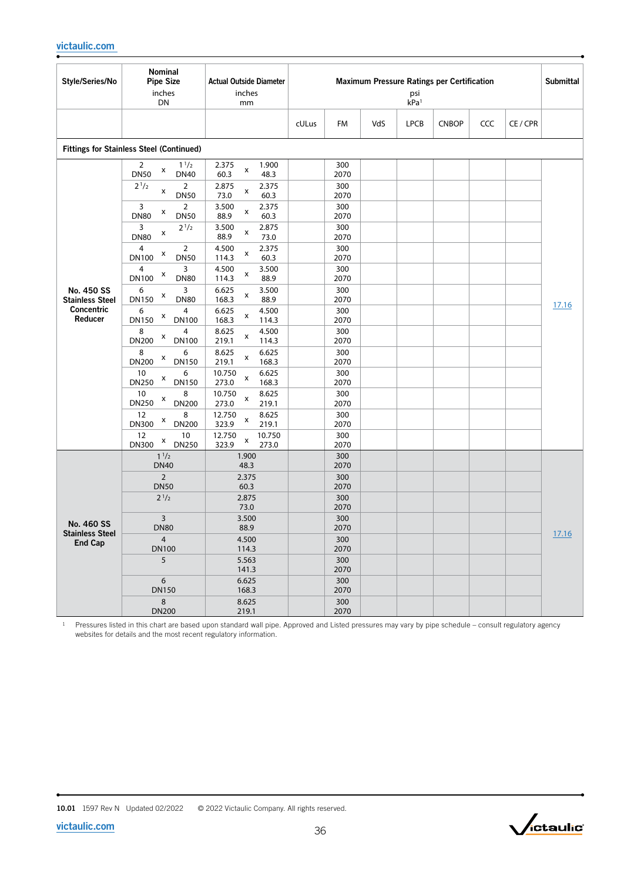| Style/Series/No                          | Nominal<br><b>Pipe Size</b><br>inches<br>DN             | <b>Actual Outside Diameter</b><br>inches<br>mm | Maximum Pressure Ratings per Certification<br>psi<br>kPa <sup>1</sup> |             |     |             |              |     |          |       |
|------------------------------------------|---------------------------------------------------------|------------------------------------------------|-----------------------------------------------------------------------|-------------|-----|-------------|--------------|-----|----------|-------|
|                                          |                                                         |                                                | cULus                                                                 | FM          | VdS | <b>LPCB</b> | <b>CNBOP</b> | CCC | CE / CPR |       |
|                                          | <b>Fittings for Stainless Steel (Continued)</b>         |                                                |                                                                       |             |     |             |              |     |          |       |
|                                          | $1^{1/2}$<br>2<br>x<br><b>DN50</b><br><b>DN40</b>       | 2.375<br>1.900<br>X<br>60.3<br>48.3            |                                                                       | 300<br>2070 |     |             |              |     |          |       |
|                                          | $2^{1/2}$<br>$\overline{2}$<br>x<br><b>DN50</b>         | 2.875<br>2.375<br>x<br>73.0<br>60.3            |                                                                       | 300<br>2070 |     |             |              |     |          |       |
|                                          | 3<br>$\overline{2}$<br>x<br><b>DN80</b><br><b>DN50</b>  | 3.500<br>2.375<br>x<br>88.9<br>60.3            |                                                                       | 300<br>2070 |     |             |              |     |          |       |
|                                          | $2^{1/2}$<br>3<br>x<br><b>DN80</b>                      | 2.875<br>3.500<br>x<br>88.9<br>73.0            |                                                                       | 300<br>2070 |     |             |              |     |          |       |
|                                          | $\overline{2}$<br>4<br>X<br><b>DN100</b><br><b>DN50</b> | 4.500<br>2.375<br>x<br>60.3<br>114.3           |                                                                       | 300<br>2070 |     |             |              |     |          |       |
|                                          | 3<br>4<br>X<br><b>DN100</b><br><b>DN80</b>              | 4.500<br>3.500<br>x<br>114.3<br>88.9           |                                                                       | 300<br>2070 |     |             |              |     |          |       |
| No. 450 SS<br><b>Stainless Steel</b>     | 3<br>6<br>X<br><b>DN80</b><br><b>DN150</b>              | 3.500<br>6.625<br>х<br>168.3<br>88.9           |                                                                       | 300<br>2070 |     |             |              |     |          |       |
| <b>Concentric</b><br>Reducer             | 6<br>4<br>X<br>DN150<br><b>DN100</b>                    | 6.625<br>4.500<br>x<br>168.3<br>114.3          |                                                                       | 300<br>2070 |     |             |              |     |          | 17.16 |
|                                          | 8<br>4<br>X<br><b>DN200</b><br><b>DN100</b>             | 8.625<br>4.500<br>x<br>219.1<br>114.3          |                                                                       | 300<br>2070 |     |             |              |     |          |       |
|                                          | 8<br>6<br>X<br><b>DN200</b><br><b>DN150</b>             | 8.625<br>6.625<br>X<br>219.1<br>168.3          |                                                                       | 300<br>2070 |     |             |              |     |          |       |
|                                          | 10<br>6<br>X<br><b>DN250</b><br><b>DN150</b>            | 10.750<br>6.625<br>x<br>273.0<br>168.3         |                                                                       | 300<br>2070 |     |             |              |     |          |       |
|                                          | 10<br>8<br>X<br>DN250<br><b>DN200</b>                   | 10.750<br>8.625<br>x<br>273.0<br>219.1         |                                                                       | 300<br>2070 |     |             |              |     |          |       |
|                                          | 8<br>12<br>X<br><b>DN300</b><br><b>DN200</b>            | 12.750<br>8.625<br>x<br>323.9<br>219.1         |                                                                       | 300<br>2070 |     |             |              |     |          |       |
|                                          | 12<br>10<br>X<br><b>DN250</b><br><b>DN300</b>           | 12.750<br>10.750<br>x<br>323.9<br>273.0        |                                                                       | 300<br>2070 |     |             |              |     |          |       |
|                                          | 1 <sup>1</sup> /2<br><b>DN40</b>                        | 1.900<br>48.3                                  |                                                                       | 300<br>2070 |     |             |              |     |          |       |
|                                          | $\overline{2}$<br><b>DN50</b>                           | 2.375<br>60.3                                  |                                                                       | 300<br>2070 |     |             |              |     |          |       |
|                                          | $2^{1/2}$                                               | 2.875<br>73.0                                  |                                                                       | 300<br>2070 |     |             |              |     |          |       |
| No. 460 SS                               | 3<br><b>DN80</b>                                        | 3.500<br>88.9                                  |                                                                       | 300<br>2070 |     |             |              |     |          |       |
| <b>Stainless Steel</b><br><b>End Cap</b> | $\overline{4}$<br><b>DN100</b>                          | 4.500                                          |                                                                       | 300<br>2070 |     |             |              |     |          | 17.16 |
|                                          | 5                                                       | 114.3<br>5.563<br>141.3                        |                                                                       | 300<br>2070 |     |             |              |     |          |       |
|                                          | 6<br><b>DN150</b>                                       | 6.625<br>168.3                                 |                                                                       | 300<br>2070 |     |             |              |     |          |       |
|                                          | 8<br><b>DN200</b>                                       | 8.625<br>219.1                                 |                                                                       | 300<br>2070 |     |             |              |     |          |       |



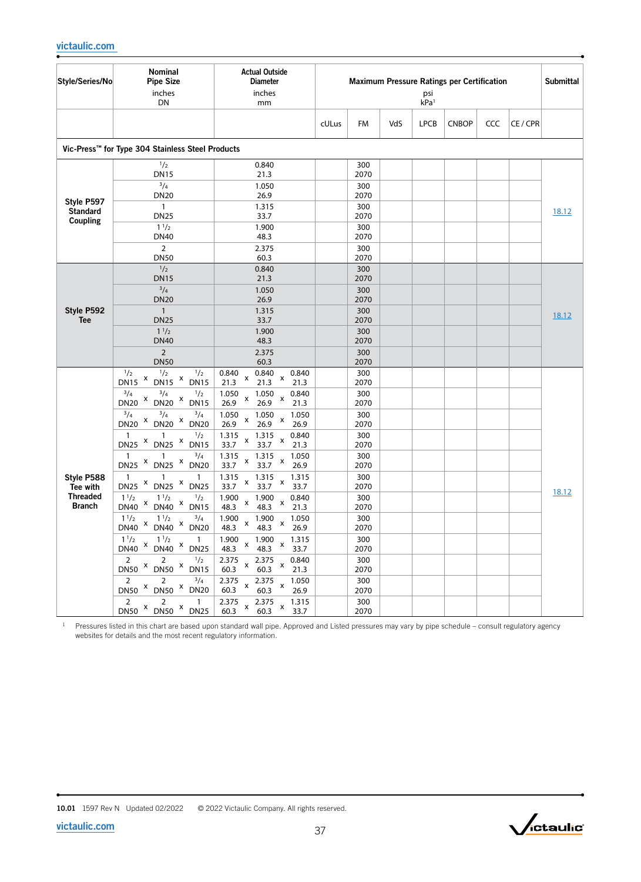| Style/Series/No                           | Nominal<br><b>Pipe Size</b><br>inches<br>DN                                                                                                                     | <b>Actual Outside</b><br><b>Diameter</b><br>inches<br>mm                                    |       |                     |     | psi<br>kPa <sup>1</sup> | <b>Maximum Pressure Ratings per Certification</b> |     |          | <b>Submittal</b> |
|-------------------------------------------|-----------------------------------------------------------------------------------------------------------------------------------------------------------------|---------------------------------------------------------------------------------------------|-------|---------------------|-----|-------------------------|---------------------------------------------------|-----|----------|------------------|
|                                           |                                                                                                                                                                 |                                                                                             | cULus | FM                  | VdS | <b>LPCB</b>             | <b>CNBOP</b>                                      | CCC | CE / CPR |                  |
|                                           | Vic-Press™ for Type 304 Stainless Steel Products                                                                                                                |                                                                                             |       |                     |     |                         |                                                   |     |          |                  |
|                                           | 1/2<br><b>DN15</b><br>$^{3}/_{4}$                                                                                                                               | 0.840<br>21.3<br>1.050                                                                      |       | 300<br>2070<br>300  |     |                         |                                                   |     |          |                  |
| Style P597<br><b>Standard</b><br>Coupling | <b>DN20</b><br>$\mathbf{1}$<br><b>DN25</b>                                                                                                                      | 26.9<br>1.315<br>33.7                                                                       |       | 2070<br>300<br>2070 |     |                         |                                                   |     |          | 18.12            |
|                                           | $1^{1/2}$<br><b>DN40</b><br>$\overline{2}$                                                                                                                      | 1.900<br>48.3<br>2.375                                                                      |       | 300<br>2070<br>300  |     |                         |                                                   |     |          |                  |
|                                           | <b>DN50</b><br>1/2<br><b>DN15</b>                                                                                                                               | 60.3<br>0.840<br>21.3                                                                       |       | 2070<br>300<br>2070 |     |                         |                                                   |     |          |                  |
|                                           | $^{3}/_{4}$<br><b>DN20</b>                                                                                                                                      | 1.050<br>26.9                                                                               |       | 300<br>2070         |     |                         |                                                   |     |          |                  |
| Style P592<br><b>Tee</b>                  | $\mathbf{1}$<br><b>DN25</b><br>$1^{1/2}$                                                                                                                        | 1.315<br>33.7<br>1.900                                                                      |       | 300<br>2070<br>300  |     |                         |                                                   |     |          | 18.12            |
|                                           | <b>DN40</b><br>$\overline{2}$                                                                                                                                   | 48.3<br>2.375                                                                               |       | 2070<br>300         |     |                         |                                                   |     |          |                  |
|                                           | <b>DN50</b><br>1/2<br>$\frac{1}{2}$<br>$\frac{1}{2}$                                                                                                            | 60.3<br>0.840<br>0.840<br>0.840<br>x<br>x                                                   |       | 2070<br>300         |     |                         |                                                   |     |          |                  |
|                                           | $DN15$ <sup>x</sup><br>$DN15$ <sup>x</sup><br><b>DN15</b><br>$^{3}/_{4}$<br>$^{3}/_{4}$<br>$\frac{1}{2}$<br>X<br>X<br><b>DN20</b><br><b>DN15</b><br><b>DN20</b> | 21.3<br>21.3<br>21.3<br>1.050<br>1.050<br>0.840<br>X<br>x<br>26.9<br>26.9<br>21.3           |       | 2070<br>300<br>2070 |     |                         |                                                   |     |          |                  |
|                                           | $^{3}/_{4}$<br>$^{3}/_{4}$<br>$^{3}/_{4}$<br>$DN20$ <sup>x</sup><br>x<br><b>DN20</b><br><b>DN20</b>                                                             | 1.050<br>1.050<br>1.050<br>X<br>x<br>26.9<br>26.9<br>26.9                                   |       | 300<br>2070         |     |                         |                                                   |     |          |                  |
|                                           | $\mathbf{1}$<br>$\frac{1}{2}$<br>$DN25$ <sup>x</sup><br>$DN25$ $x$<br><b>DN15</b>                                                                               | 0.840<br>1.315<br>1.315<br>$\pmb{\mathsf{x}}$<br>$\pmb{\mathsf{x}}$<br>33.7<br>33.7<br>21.3 |       | 300<br>2070         |     |                         |                                                   |     |          |                  |
|                                           | $\mathbf{1}$<br>$^{3}/_{4}$<br>1<br>$DN25$ $x$<br>$DN25$ <sup>x</sup><br><b>DN20</b>                                                                            | 1.315<br>1.050<br>1.315<br>X<br>X<br>33.7<br>33.7<br>26.9                                   |       | 300<br>2070         |     |                         |                                                   |     |          |                  |
| Style P588<br>Tee with                    | $\overline{1}$<br>$\mathbf{1}$<br>1<br>$DN25$ $X$<br>$\boldsymbol{\mathsf{x}}$<br><b>DN25</b><br><b>DN25</b>                                                    | 1.315<br>1.315<br>1.315<br>X<br>X<br>33.7<br>33.7<br>33.7                                   |       | 300<br>2070         |     |                         |                                                   |     |          | 18.12            |
| <b>Threaded</b><br><b>Branch</b>          | $\frac{1}{2}$<br>$1^{1/2}$<br>$1^{1/2}$<br>X<br>$DN40$ <sup>x</sup><br><b>DN40</b><br><b>DN15</b>                                                               | 1.900<br>0.840<br>1.900<br>X<br>X<br>48.3<br>48.3<br>21.3                                   |       | 300<br>2070         |     |                         |                                                   |     |          |                  |
|                                           | $1^{1/2}$<br>$^{3}/_{4}$<br>$1^{1/2}$<br>X<br>$DN40 \times$<br><b>DN40</b><br><b>DN20</b>                                                                       | 1.900<br>1.900<br>1.050<br>X<br>х<br>48.3<br>48.3<br>26.9                                   |       | 300<br>2070         |     |                         |                                                   |     |          |                  |
|                                           | $1^{1/2}$<br>$1^{1/2}$ x $1^{1/2}$ x $1^{1/2}$ x $1^{1/2}$ DN40 x DN25                                                                                          | $1.900$ $1.900$ $\sqrt{ }$<br>1.315<br>$48.3 \times 48.3$<br>$x$ 33.7                       |       | 300<br>2070         |     |                         |                                                   |     |          |                  |
|                                           | $\frac{2}{2}$ x $\frac{2}{2}$ x $\frac{1}{2}$<br>DN50 x DN50 x DN15                                                                                             | 2.375 x 2.375 x 0.840<br>60.3 x 60.3 x 21.3<br>0.840                                        |       | 300<br>2070         |     |                         |                                                   |     |          |                  |
|                                           | $2^{\circ}$<br>$^{3}/_{4}$<br>2<br>DN50 X DN50 X DN20                                                                                                           | 2.375 x 2.375 x 1.050<br>60.3 x 60.3 x 26.9<br>1.050                                        |       | 300<br>2070         |     |                         |                                                   |     |          |                  |
|                                           | $\overline{2}$<br>$\overline{2}$<br>$\sim$ 1<br>$DNS^2$ DN50 $X$ DN25                                                                                           | 2.375 $\times$ 2.375 $\times$ 1.315<br>60.3<br>60.3<br>33.7                                 |       | 300<br>2070         |     |                         |                                                   |     |          |                  |

<sup>1</sup> Pressures listed in this chart are based upon standard wall pipe. Approved and Listed pressures may vary by pipe schedule – consult regulatory agency websites for details and the most recent regulatory information.

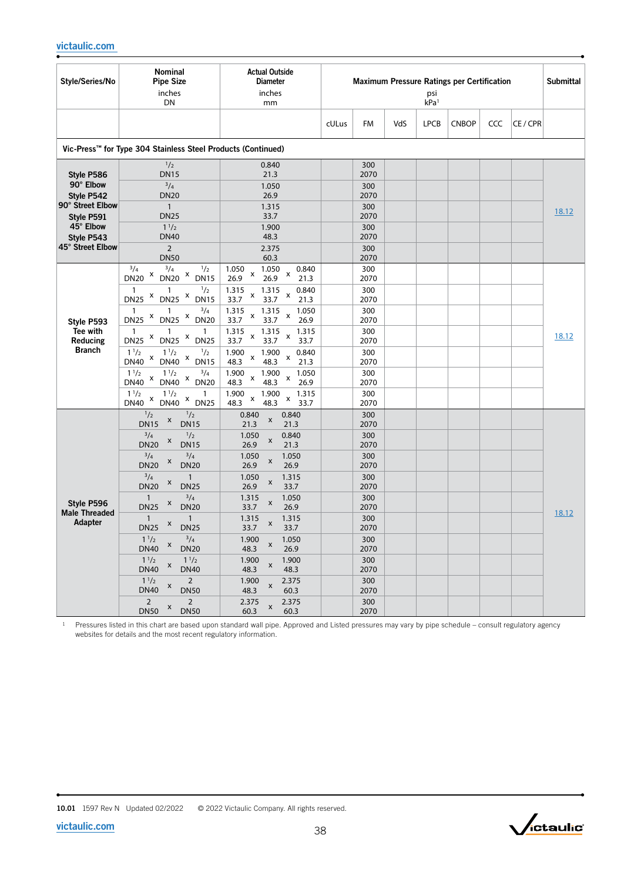| Style/Series/No                                                                                                        | Nominal<br><b>Pipe Size</b><br>inches<br><b>DN</b>                                                                                                                                                                                                                                                                                                                                                                                                                                                                                                                                                                                                                | <b>Actual Outside</b><br><b>Diameter</b><br>inches<br>mm                                                                                                                                                                                                                                                                                                                                                                                |       |                                                                                                                                                    |     | psi<br>kPa <sup>1</sup> | <b>Maximum Pressure Ratings per Certification</b> |     |          | <b>Submittal</b> |
|------------------------------------------------------------------------------------------------------------------------|-------------------------------------------------------------------------------------------------------------------------------------------------------------------------------------------------------------------------------------------------------------------------------------------------------------------------------------------------------------------------------------------------------------------------------------------------------------------------------------------------------------------------------------------------------------------------------------------------------------------------------------------------------------------|-----------------------------------------------------------------------------------------------------------------------------------------------------------------------------------------------------------------------------------------------------------------------------------------------------------------------------------------------------------------------------------------------------------------------------------------|-------|----------------------------------------------------------------------------------------------------------------------------------------------------|-----|-------------------------|---------------------------------------------------|-----|----------|------------------|
|                                                                                                                        |                                                                                                                                                                                                                                                                                                                                                                                                                                                                                                                                                                                                                                                                   |                                                                                                                                                                                                                                                                                                                                                                                                                                         | cULus | FM                                                                                                                                                 | VdS | <b>LPCB</b>             | <b>CNBOP</b>                                      | CCC | CE / CPR |                  |
|                                                                                                                        | Vic-Press™ for Type 304 Stainless Steel Products (Continued)                                                                                                                                                                                                                                                                                                                                                                                                                                                                                                                                                                                                      |                                                                                                                                                                                                                                                                                                                                                                                                                                         |       |                                                                                                                                                    |     |                         |                                                   |     |          |                  |
| Style P586<br>90° Elbow<br>Style P542<br>90° Street Elbow<br>Style P591<br>45° Elbow<br>Style P543<br>45° Street Elbow | 1/2<br><b>DN15</b><br>3/4<br><b>DN20</b><br>$\overline{1}$<br><b>DN25</b><br>$1^{1/2}$<br><b>DN40</b><br>$\overline{2}$<br><b>DN50</b>                                                                                                                                                                                                                                                                                                                                                                                                                                                                                                                            | 0.840<br>21.3<br>1.050<br>26.9<br>1.315<br>33.7<br>1.900<br>48.3<br>2.375<br>60.3                                                                                                                                                                                                                                                                                                                                                       |       | 300<br>2070<br>300<br>2070<br>300<br>2070<br>300<br>2070<br>300<br>2070                                                                            |     |                         |                                                   |     |          | 18.12            |
| Style P593<br>Tee with<br>Reducing<br><b>Branch</b>                                                                    | $^{3}/_{4}$<br>$^{3}/_{4}$<br>1/2<br>X<br>X<br><b>DN20</b><br><b>DN20</b><br><b>DN15</b><br>$\frac{1}{2}$<br>$\mathbf{1}$<br>1<br>X<br>$DN25$ $X$<br><b>DN25</b><br><b>DN15</b><br>$^{3}/_{4}$<br>$\mathbf{1}$<br>1<br>X<br>$DN25$ $x$<br><b>DN20</b><br><b>DN25</b><br>$\mathbf{1}$<br>$\mathbf{1}$<br>1<br>X<br>X<br><b>DN25</b><br><b>DN25</b><br><b>DN25</b><br>$1^{1/2}$<br>$1^{1/2}$<br>1/2<br>X<br>$\mathsf{x}$<br><b>DN40</b><br><b>DN40</b><br><b>DN15</b><br>$^{3}/_{4}$<br>$1^{1/2}$<br>$1^{1/2}$<br>X<br>X<br><b>DN40</b><br><b>DN40</b><br><b>DN20</b><br>1 <sup>1</sup> /2<br>$1^{1/2}$<br>1<br>X<br>X<br><b>DN40</b><br><b>DN40</b><br><b>DN25</b> | 1.050<br>1.050<br>0.840<br>X<br>X<br>26.9<br>26.9<br>21.3<br>1.315<br>1.315<br>0.840<br>X<br>X<br>33.7<br>33.7<br>21.3<br>1.315<br>1.315<br>1.050<br>x<br>x<br>33.7<br>26.9<br>33.7<br>1.315<br>1.315<br>1.315<br>x<br>x<br>33.7<br>33.7<br>33.7<br>1.900<br>1.900<br>0.840<br>X<br>X<br>48.3<br>48.3<br>21.3<br>1.900<br>1.900<br>1.050<br>x<br>X<br>48.3<br>48.3<br>26.9<br>1.900<br>1.315<br>1.900<br>X<br>x<br>48.3<br>48.3<br>33.7 |       | 300<br>2070<br>300<br>2070<br>300<br>2070<br>300<br>2070<br>300<br>2070<br>300<br>2070<br>300<br>2070                                              |     |                         |                                                   |     |          | 18.12            |
| Style P596<br><b>Male Threaded</b><br>Adapter                                                                          | 1/2<br>1/2<br>X<br><b>DN15</b><br><b>DN15</b><br>$^{3}/_{4}$<br>$\frac{1}{2}$<br>X<br><b>DN20</b><br><b>DN15</b><br>$^{3}/4$<br>$^{3}/_{4}$<br>X<br><b>DN20</b><br><b>DN20</b><br>$^{3}/_{4}$<br>$\mathbf{1}$<br>x<br><b>DN20</b><br><b>DN25</b><br>$^{3}/_{4}$<br>$\mathbf{1}$<br>x<br><b>DN25</b><br><b>DN20</b><br>$\mathbf{1}$<br>$\mathbf{1}$<br>X<br><b>DN25</b><br><b>DN25</b><br>$1^{1/2}$<br>$^{3}/_{4}$<br>x<br><b>DN40</b><br><b>DN20</b><br>$1^{1/2}$<br>$1^{1/2}$<br>x<br><b>DN40</b><br><b>DN40</b><br>$1^{1/2}$<br>$2^{\circ}$<br>X<br><b>DN40</b><br><b>DN50</b><br>$\overline{2}$<br>$2^{\circ}$<br>X<br><b>DN50</b><br><b>DN50</b>              | 0.840<br>0.840<br>$\pmb{\mathsf{x}}$<br>21.3<br>21.3<br>1.050<br>0.840<br>X<br>26.9<br>21.3<br>1.050<br>1.050<br>x<br>26.9<br>26.9<br>1.050<br>1.315<br>X<br>26.9<br>33.7<br>1.050<br>1.315<br>X<br>33.7<br>26.9<br>1.315<br>1.315<br>X<br>33.7<br>33.7<br>1.900<br>1.050<br>x<br>48.3<br>26.9<br>1.900<br>1.900<br>x<br>48.3<br>48.3<br>1.900<br>2.375<br>X<br>48.3<br>60.3<br>2.375<br>2.375<br>X<br>60.3<br>60.3                     |       | 300<br>2070<br>300<br>2070<br>300<br>2070<br>300<br>2070<br>300<br>2070<br>300<br>2070<br>300<br>2070<br>300<br>2070<br>300<br>2070<br>300<br>2070 |     |                         |                                                   |     |          | 18.12            |



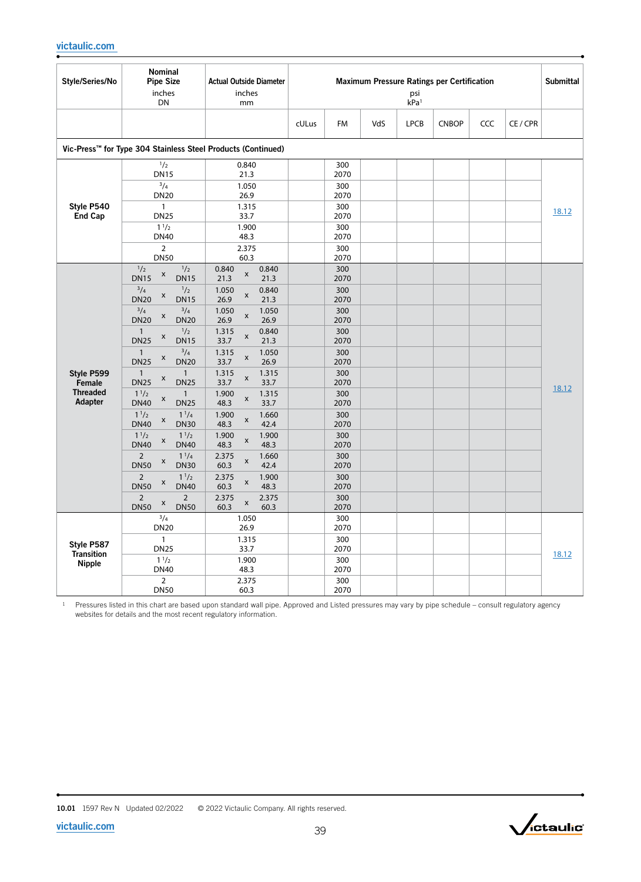| Style/Series/No                 | <b>Nominal</b><br><b>Pipe Size</b><br>inches<br>DN                                                 | <b>Actual Outside Diameter</b><br>inches<br>mm                         | Maximum Pressure Ratings per Certification<br>psi<br>kPa <sup>1</sup> |                     |     |             |              |     |        |       |  |
|---------------------------------|----------------------------------------------------------------------------------------------------|------------------------------------------------------------------------|-----------------------------------------------------------------------|---------------------|-----|-------------|--------------|-----|--------|-------|--|
|                                 |                                                                                                    |                                                                        | cULus                                                                 | <b>FM</b>           | VdS | <b>LPCB</b> | <b>CNBOP</b> | CCC | CE/CPR |       |  |
|                                 | Vic-Press™ for Type 304 Stainless Steel Products (Continued)                                       |                                                                        |                                                                       |                     |     |             |              |     |        |       |  |
|                                 | 1/2<br><b>DN15</b><br>$^{3}/_{4}$                                                                  | 0.840<br>21.3<br>1.050                                                 |                                                                       | 300<br>2070<br>300  |     |             |              |     |        |       |  |
| Style P540<br>End Cap           | <b>DN20</b><br>$\mathbf{1}$<br><b>DN25</b>                                                         | 26.9<br>1.315<br>33.7                                                  |                                                                       | 2070<br>300<br>2070 |     |             |              |     |        | 18.12 |  |
|                                 | $1^{1/2}$<br><b>DN40</b>                                                                           | 1.900<br>48.3                                                          |                                                                       | 300<br>2070         |     |             |              |     |        |       |  |
|                                 | $\overline{2}$<br><b>DN50</b>                                                                      | 2.375<br>60.3                                                          |                                                                       | 300<br>2070         |     |             |              |     |        |       |  |
|                                 | $\frac{1}{2}$<br>1/2<br>x<br><b>DN15</b><br><b>DN15</b><br>$^{3}/_{4}$<br>1/2                      | 0.840<br>0.840<br>$\pmb{\mathsf{x}}$<br>21.3<br>21.3<br>0.840<br>1.050 |                                                                       | 300<br>2070<br>300  |     |             |              |     |        |       |  |
|                                 | x<br><b>DN20</b><br><b>DN15</b><br>$^{3}/4$<br>$^{3}/_{4}$<br>X                                    | x<br>26.9<br>21.3<br>1.050<br>1.050<br>x                               |                                                                       | 2070<br>300         |     |             |              |     |        |       |  |
|                                 | <b>DN20</b><br><b>DN20</b><br>$\frac{1}{2}$<br>$\mathbf{1}$<br>X<br><b>DN25</b><br><b>DN15</b>     | 26.9<br>26.9<br>1.315<br>0.840<br>X<br>33.7<br>21.3                    |                                                                       | 2070<br>300<br>2070 |     |             |              |     |        |       |  |
| Style P599                      | $^{3}/_{4}$<br>$\overline{1}$<br>X<br><b>DN25</b><br><b>DN20</b><br>$\mathbf{1}$<br>$\overline{1}$ | 1.315<br>1.050<br>X<br>33.7<br>26.9<br>1.315<br>1.315                  |                                                                       | 300<br>2070<br>300  |     |             |              |     |        |       |  |
| Female<br><b>Threaded</b>       | X<br><b>DN25</b><br><b>DN25</b><br>$1^{1/2}$<br>$\mathbf{1}$                                       | x<br>33.7<br>33.7<br>1.900<br>1.315                                    |                                                                       | 2070<br>300         |     |             |              |     |        | 18.12 |  |
| Adapter                         | X<br><b>DN40</b><br><b>DN25</b><br>$1^{1/2}$<br>$1^{1/4}$<br>$\pmb{\mathsf{X}}$                    | $\pmb{\mathsf{x}}$<br>48.3<br>33.7<br>1.660<br>1.900<br>$\pmb{\times}$ |                                                                       | 2070<br>300         |     |             |              |     |        |       |  |
|                                 | <b>DN40</b><br><b>DN30</b><br>$1^{1/2}$<br>$1^{1/2}$<br>X<br><b>DN40</b><br><b>DN40</b>            | 42.4<br>48.3<br>1.900<br>1.900<br>$\pmb{\times}$<br>48.3<br>48.3       |                                                                       | 2070<br>300<br>2070 |     |             |              |     |        |       |  |
|                                 | $\overline{2}$<br>$1^{1/4}$<br>X<br><b>DN30</b><br><b>DN50</b>                                     | 2.375<br>1.660<br>X<br>42.4<br>60.3                                    |                                                                       | 300<br>2070         |     |             |              |     |        |       |  |
|                                 | $\overline{2}$<br>$1^{1/2}$<br>x<br><b>DN50</b><br><b>DN40</b>                                     | 1.900<br>2.375<br>$\pmb{\times}$<br>60.3<br>48.3                       |                                                                       | 300<br>2070         |     |             |              |     |        |       |  |
|                                 | $\overline{2}$<br>$\overline{2}$<br>X<br><b>DN50</b><br><b>DN50</b>                                | 2.375<br>2.375<br>X<br>60.3<br>60.3                                    |                                                                       | 300<br>2070         |     |             |              |     |        |       |  |
|                                 | $^{3}/_{4}$<br><b>DN20</b>                                                                         | 1.050<br>26.9                                                          |                                                                       | 300<br>2070         |     |             |              |     |        |       |  |
| Style P587<br><b>Transition</b> | $\mathbf{1}$<br><b>DN25</b>                                                                        | 1.315<br>33.7                                                          |                                                                       | 300<br>2070         |     |             |              |     |        | 18.12 |  |
| <b>Nipple</b>                   | $1^{1/2}$<br><b>DN40</b>                                                                           | 1.900<br>48.3                                                          |                                                                       | 300<br>2070         |     |             |              |     |        |       |  |
|                                 | $\overline{2}$<br><b>DN50</b>                                                                      | 2.375<br>60.3                                                          |                                                                       | 300<br>2070         |     |             |              |     |        |       |  |



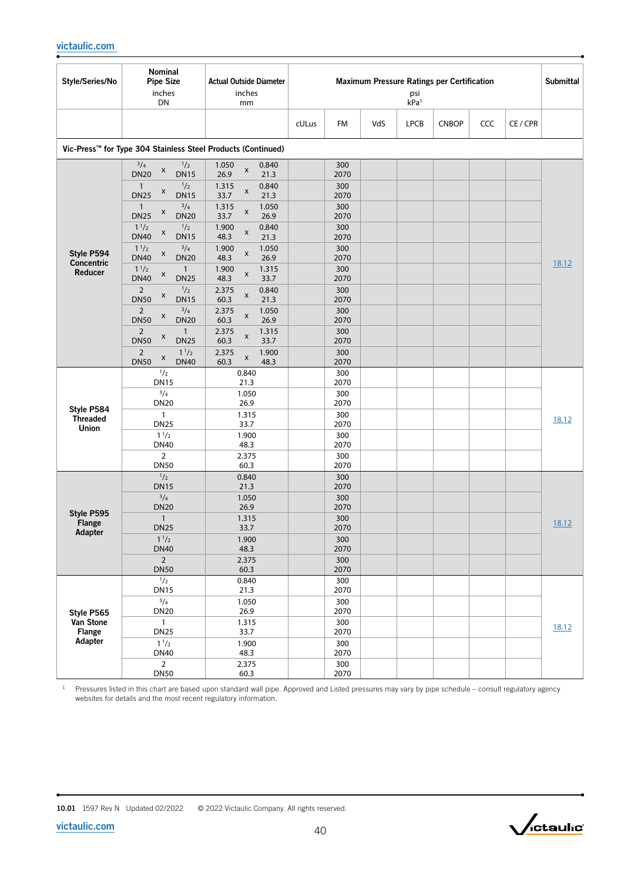| Style/Series/No                        | Nominal<br><b>Pipe Size</b><br>inches<br>DN                                                                     | <b>Actual Outside Diameter</b><br>inches<br>mm                                                           | Maximum Pressure Ratings per Certification<br>psi<br>kPa <sup>1</sup> |     |             |              |     |          |       |  |
|----------------------------------------|-----------------------------------------------------------------------------------------------------------------|----------------------------------------------------------------------------------------------------------|-----------------------------------------------------------------------|-----|-------------|--------------|-----|----------|-------|--|
|                                        |                                                                                                                 |                                                                                                          | cULus<br>FM                                                           | VdS | <b>LPCB</b> | <b>CNBOP</b> | CCC | CE / CPR |       |  |
|                                        | Vic-Press™ for Type 304 Stainless Steel Products (Continued)                                                    |                                                                                                          |                                                                       |     |             |              |     |          |       |  |
|                                        | $^{3}/_{4}$<br>1/2<br>X<br><b>DN20</b><br><b>DN15</b><br>1/2<br>$\mathbf{1}$<br>X<br><b>DN25</b><br><b>DN15</b> | 1.050<br>0.840<br>$\pmb{\times}$<br>21.3<br>26.9<br>0.840<br>1.315<br>$\pmb{\mathsf{x}}$<br>21.3<br>33.7 | 300<br>2070<br>300<br>2070                                            |     |             |              |     |          |       |  |
|                                        | $^{3}/4$<br>$\mathbf{1}$<br>X<br><b>DN25</b><br><b>DN20</b>                                                     | 1.315<br>1.050<br>x<br>26.9<br>33.7                                                                      | 300<br>2070                                                           |     |             |              |     |          |       |  |
|                                        | 1 <sup>1</sup> /2<br>$\frac{1}{2}$<br>$\pmb{\mathsf{x}}$<br><b>DN40</b><br><b>DN15</b>                          | 1.900<br>0.840<br>$\pmb{\times}$<br>48.3<br>21.3                                                         | 300<br>2070                                                           |     |             |              |     |          |       |  |
| Style P594<br>Concentric               | $^{3}/_{4}$<br>1 <sup>1</sup> /2<br>$\pmb{\times}$<br><b>DN40</b><br><b>DN20</b>                                | 1.050<br>1.900<br>$\pmb{\mathsf{x}}$<br>48.3<br>26.9                                                     | 300<br>2070                                                           |     |             |              |     |          | 18.12 |  |
| Reducer                                | 1 <sup>1</sup> /2<br>$\mathbf{1}$<br>X<br><b>DN40</b><br><b>DN25</b>                                            | 1.900<br>1.315<br>x<br>48.3<br>33.7                                                                      | 300<br>2070                                                           |     |             |              |     |          |       |  |
|                                        | $\frac{1}{2}$<br>$\overline{2}$<br>X<br><b>DN50</b><br><b>DN15</b>                                              | 2.375<br>0.840<br>X<br>60.3<br>21.3                                                                      | 300<br>2070                                                           |     |             |              |     |          |       |  |
|                                        | $^{3}/_{4}$<br>$\overline{2}$<br>X<br><b>DN50</b><br><b>DN20</b>                                                | 2.375<br>1.050<br>$\pmb{\times}$<br>26.9<br>60.3                                                         | 300<br>2070                                                           |     |             |              |     |          |       |  |
|                                        | $\overline{2}$<br>$\mathbf{1}$<br>X<br><b>DN50</b><br><b>DN25</b>                                               | 2.375<br>1.315<br>X<br>60.3<br>33.7                                                                      | 300<br>2070                                                           |     |             |              |     |          |       |  |
|                                        | $1^{1/2}$<br>$\overline{2}$<br>X<br><b>DN50</b><br><b>DN40</b>                                                  | 2.375<br>1.900<br>X<br>60.3<br>48.3                                                                      | 300<br>2070                                                           |     |             |              |     |          |       |  |
|                                        | 1/2<br><b>DN15</b>                                                                                              | 0.840<br>21.3                                                                                            | 300<br>2070                                                           |     |             |              |     |          |       |  |
|                                        | $^{3}/_{4}$<br><b>DN20</b>                                                                                      | 1.050<br>26.9                                                                                            | 300<br>2070                                                           |     |             |              |     |          |       |  |
| Style P584<br><b>Threaded</b><br>Union | $\mathbf{1}$<br><b>DN25</b>                                                                                     | 1.315<br>33.7                                                                                            | 300<br>2070                                                           |     |             |              |     |          | 18.12 |  |
|                                        | 1 <sup>1</sup> /2<br><b>DN40</b>                                                                                | 1.900<br>48.3                                                                                            | 300<br>2070                                                           |     |             |              |     |          |       |  |
|                                        | $\overline{2}$<br><b>DN50</b>                                                                                   | 2.375<br>60.3                                                                                            | 300<br>2070                                                           |     |             |              |     |          |       |  |
|                                        | 1/2<br><b>DN15</b>                                                                                              | 0.840<br>21.3                                                                                            | 300<br>2070                                                           |     |             |              |     |          |       |  |
|                                        | $^{3}/_{4}$<br><b>DN20</b>                                                                                      | 1.050<br>26.9                                                                                            | 300<br>2070                                                           |     |             |              |     |          |       |  |
| Style P595<br><b>Flange</b>            | $\mathbf{1}$<br><b>DN25</b>                                                                                     | 1.315<br>33.7                                                                                            | 300<br>2070                                                           |     |             |              |     |          | 18.12 |  |
| Adapter                                | $1^{1/2}$<br><b>DN40</b>                                                                                        | 1.900<br>48.3                                                                                            | 300<br>2070                                                           |     |             |              |     |          |       |  |
|                                        | $2^{\circ}$<br><b>DN50</b>                                                                                      | 2.375<br>60.3                                                                                            | 300<br>2070                                                           |     |             |              |     |          |       |  |
|                                        | 1/2<br><b>DN15</b>                                                                                              | 0.840<br>21.3                                                                                            | 300<br>2070                                                           |     |             |              |     |          |       |  |
| Style P565                             | $^{3}/_{4}$<br><b>DN20</b>                                                                                      | 1.050<br>26.9                                                                                            | 300<br>2070                                                           |     |             |              |     |          |       |  |
| Van Stone<br><b>Flange</b>             | $\mathbf{1}$<br><b>DN25</b>                                                                                     | 1.315<br>33.7                                                                                            | 300<br>2070                                                           |     |             |              |     |          | 18.12 |  |
| Adapter                                | $1^{1/2}$<br><b>DN40</b>                                                                                        | 1.900<br>48.3                                                                                            | 300<br>2070                                                           |     |             |              |     |          |       |  |
|                                        | $\overline{2}$<br><b>DN50</b>                                                                                   | 2.375<br>60.3                                                                                            | 300<br>2070                                                           |     |             |              |     |          |       |  |

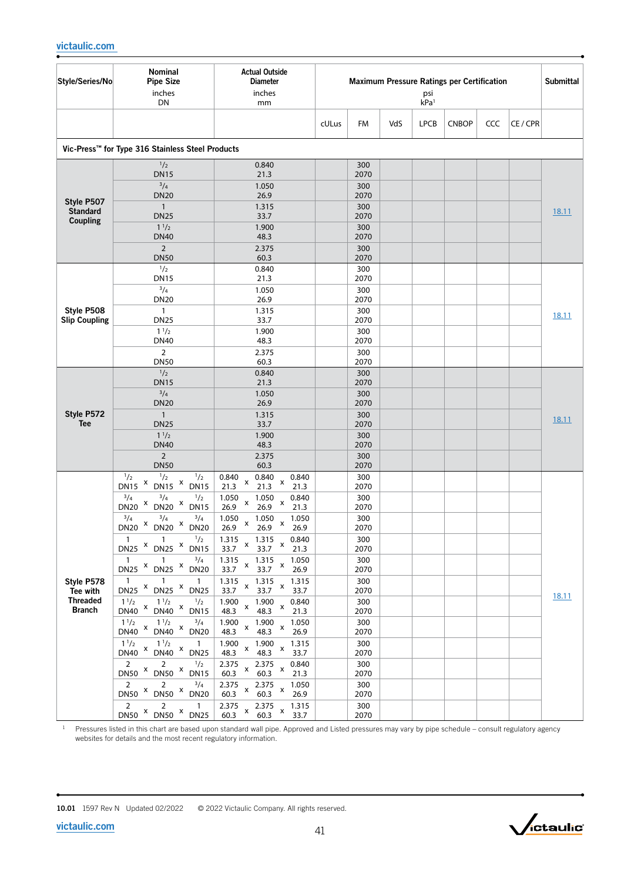| Style/Series/No               | Nominal<br><b>Pipe Size</b><br>inches<br>DN                                                     | <b>Actual Outside</b><br><b>Diameter</b><br>inches<br>mm                | Maximum Pressure Ratings per Certification<br>psi<br>kPa <sup>1</sup> |             |     |             |              |     | Submittal |       |
|-------------------------------|-------------------------------------------------------------------------------------------------|-------------------------------------------------------------------------|-----------------------------------------------------------------------|-------------|-----|-------------|--------------|-----|-----------|-------|
|                               |                                                                                                 |                                                                         | cULus                                                                 | FM          | VdS | <b>LPCB</b> | <b>CNBOP</b> | CCC | CE / CPR  |       |
|                               | Vic-Press™ for Type 316 Stainless Steel Products                                                |                                                                         |                                                                       |             |     |             |              |     |           |       |
|                               | 1/2                                                                                             | 0.840                                                                   |                                                                       | 300         |     |             |              |     |           |       |
|                               | <b>DN15</b><br>$^{3}/_{4}$                                                                      | 21.3<br>1.050                                                           |                                                                       | 2070<br>300 |     |             |              |     |           |       |
|                               | <b>DN20</b>                                                                                     | 26.9                                                                    |                                                                       | 2070        |     |             |              |     |           |       |
| Style P507<br><b>Standard</b> | $\mathbf{1}$                                                                                    | 1.315                                                                   |                                                                       | 300         |     |             |              |     |           | 18.11 |
| Coupling                      | <b>DN25</b><br>$1^{1/2}$                                                                        | 33.7<br>1.900                                                           |                                                                       | 2070<br>300 |     |             |              |     |           |       |
|                               | <b>DN40</b>                                                                                     | 48.3                                                                    |                                                                       | 2070        |     |             |              |     |           |       |
|                               | $\overline{2}$                                                                                  | 2.375                                                                   |                                                                       | 300         |     |             |              |     |           |       |
|                               | <b>DN50</b><br>1/2                                                                              | 60.3<br>0.840                                                           |                                                                       | 2070<br>300 |     |             |              |     |           |       |
|                               | <b>DN15</b>                                                                                     | 21.3                                                                    |                                                                       | 2070        |     |             |              |     |           |       |
|                               | $^{3}/_{4}$<br><b>DN20</b>                                                                      | 1.050<br>26.9                                                           |                                                                       | 300<br>2070 |     |             |              |     |           |       |
| Style P508                    | $\mathbf{1}$                                                                                    | 1.315                                                                   |                                                                       | 300         |     |             |              |     |           |       |
| <b>Slip Coupling</b>          | <b>DN25</b>                                                                                     | 33.7                                                                    |                                                                       | 2070        |     |             |              |     |           | 18.11 |
|                               | $1^{1/2}$<br><b>DN40</b>                                                                        | 1.900<br>48.3                                                           |                                                                       | 300<br>2070 |     |             |              |     |           |       |
|                               | $\overline{2}$                                                                                  | 2.375                                                                   |                                                                       | 300         |     |             |              |     |           |       |
|                               | <b>DN50</b>                                                                                     | 60.3                                                                    |                                                                       | 2070        |     |             |              |     |           |       |
|                               | 1/2<br><b>DN15</b>                                                                              | 0.840<br>21.3                                                           |                                                                       | 300<br>2070 |     |             |              |     |           |       |
|                               | $^{3}/_{4}$                                                                                     | 1.050                                                                   |                                                                       | 300         |     |             |              |     |           |       |
|                               | <b>DN20</b>                                                                                     | 26.9                                                                    |                                                                       | 2070        |     |             |              |     |           |       |
| Style P572<br><b>Tee</b>      | $\overline{1}$<br><b>DN25</b>                                                                   | 1.315<br>33.7                                                           |                                                                       | 300<br>2070 |     |             |              |     |           | 18.11 |
|                               | $1^{1/2}$                                                                                       | 1.900                                                                   |                                                                       | 300         |     |             |              |     |           |       |
|                               | <b>DN40</b><br>$\overline{2}$                                                                   | 48.3<br>2.375                                                           |                                                                       | 2070<br>300 |     |             |              |     |           |       |
|                               | <b>DN50</b>                                                                                     | 60.3                                                                    |                                                                       | 2070        |     |             |              |     |           |       |
|                               | 1/2<br>$\frac{1}{2}$<br>$\frac{1}{2}$<br>X<br>$DN15$ <sup>x</sup><br><b>DN15</b><br><b>DN15</b> | 0.840<br>0.840<br>0.840<br>X<br>x<br>21.3<br>21.3<br>21.3               |                                                                       | 300<br>2070 |     |             |              |     |           |       |
|                               | 3/4<br>$^{3}/_{4}$<br>$\frac{1}{2}$                                                             | 0.840<br>1.050<br>1.050                                                 |                                                                       | 300         |     |             |              |     |           |       |
|                               | X<br>DN20 × DN15<br><b>DN20</b>                                                                 | X<br>x<br>26.9<br>26.9<br>21.3                                          |                                                                       | 2070        |     |             |              |     |           |       |
|                               | $^{3}/_{4}$<br>$^{3}/_{4}$<br>$^{3}/_{4}$<br>X<br>$DN20 \times DN20$<br><b>DN20</b>             | 1.050<br>1.050<br>1.050<br>X<br>X<br>26.9<br>26.9<br>26.9               |                                                                       | 300<br>2070 |     |             |              |     |           |       |
|                               | $\frac{1}{2}$<br>$\overline{1}$<br>$\overline{1}$                                               | $\frac{1.315}{ }$<br>0.840<br>1.315<br>$\mathsf{x}$                     |                                                                       | 300         |     |             |              |     |           |       |
|                               | DN25 × DN25 × DN15                                                                              | $\mathsf X$<br>33.7<br>33.7<br>21.3                                     |                                                                       | 2070        |     |             |              |     |           |       |
|                               | $^{3}/_{4}$<br>$\overline{1}$<br>$\overline{1}$<br>DN25 × DN25 × DN20                           | 1.315<br>1.315<br>1.050<br>$\mathsf{x}$<br>33.7 x<br>33.7<br>26.9       |                                                                       | 300<br>2070 |     |             |              |     |           |       |
| Style P578                    | $\overline{1}$<br>$\overline{1}$<br>$\mathbf{1}$                                                | 1.315<br>1.315<br>1.315<br>X<br>$\pmb{\times}$                          |                                                                       | 300         |     |             |              |     |           |       |
| Tee with<br><b>Threaded</b>   | DN25 X DN25 X DN25<br>$1^{1/2}$<br>$1\frac{1}{2}$<br>$^{1}/_{2}$                                | 33.7<br>33.7<br>33.7<br>1.900<br>0.840<br>1.900                         |                                                                       | 2070<br>300 |     |             |              |     |           | 18.11 |
| <b>Branch</b>                 | $DN40 \times$<br>DN40 × DN15                                                                    | $\pmb{\mathsf{x}}$<br>x<br>48.3<br>48.3<br>21.3                         |                                                                       | 2070        |     |             |              |     |           |       |
|                               | $1^{1/2}$ x DN40 $\,$ x<br>$1^{1/2}$ x $3/4$<br>DN40 <sup>x</sup> DN20                          | 1.900<br>1.900<br>1.050<br>x<br>x<br>48.3<br>48.3<br>26.9               |                                                                       | 300<br>2070 |     |             |              |     |           |       |
|                               | $1^{1/2}$<br>$1^{1/2}$<br>$\overline{1}$                                                        | 1.900<br>1.900<br>1.315<br>$\pmb{\times}$<br>x                          |                                                                       | 300         |     |             |              |     |           |       |
|                               | $DN40$ $x$<br>$DN40$ $X$ $DN25$<br>$2^{\circ}$<br>$2^{\circ}$                                   | 48.3<br>48.3<br>33.7                                                    |                                                                       | 2070        |     |             |              |     |           |       |
|                               | $\frac{1}{2}$<br>$DN50$ $X$<br>DN50 X DN15                                                      | 2.375<br>2.375<br>0.840<br>x<br>x<br>60.3<br>60.3<br>21.3               |                                                                       | 300<br>2070 |     |             |              |     |           |       |
|                               | $^{3}/_{4}$<br>$\overline{2}$<br>2<br>DN50 × DN50 × DN20                                        | 2.375<br>2.375<br>1.050<br>x<br>х                                       |                                                                       | 300         |     |             |              |     |           |       |
|                               | $2^{\circ}$<br>$\overline{2}$<br>$\mathbf{1}$                                                   | 60.3<br>60.3<br>26.9<br>2.375<br>2.375<br>1.315                         |                                                                       | 2070<br>300 |     |             |              |     |           |       |
|                               | DN50 × DN50 × DN25                                                                              | $\pmb{\mathsf{X}}$<br>$\boldsymbol{\mathsf{X}}$<br>60.3<br>60.3<br>33.7 |                                                                       | 2070        |     |             |              |     |           |       |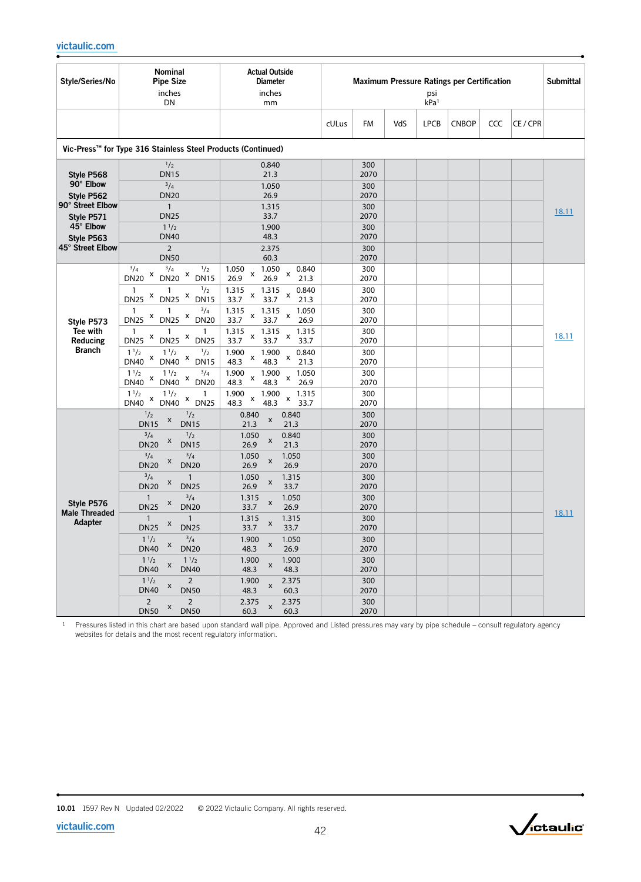| Style/Series/No                                                                                                        | Nominal<br><b>Pipe Size</b><br>inches<br>DN                                                                                                                                                                                                                                                                                                                                                                                                                                                                                                                                                                                                                             | <b>Actual Outside</b><br><b>Diameter</b><br>inches<br>mm                                                                                                                                                                                                                                                                                                                                                                                                               | <b>Maximum Pressure Ratings per Certification</b><br>psi<br>kPa <sup>1</sup> |                                                                                                                                                    |     |             |              | <b>Submittal</b> |          |       |
|------------------------------------------------------------------------------------------------------------------------|-------------------------------------------------------------------------------------------------------------------------------------------------------------------------------------------------------------------------------------------------------------------------------------------------------------------------------------------------------------------------------------------------------------------------------------------------------------------------------------------------------------------------------------------------------------------------------------------------------------------------------------------------------------------------|------------------------------------------------------------------------------------------------------------------------------------------------------------------------------------------------------------------------------------------------------------------------------------------------------------------------------------------------------------------------------------------------------------------------------------------------------------------------|------------------------------------------------------------------------------|----------------------------------------------------------------------------------------------------------------------------------------------------|-----|-------------|--------------|------------------|----------|-------|
|                                                                                                                        |                                                                                                                                                                                                                                                                                                                                                                                                                                                                                                                                                                                                                                                                         |                                                                                                                                                                                                                                                                                                                                                                                                                                                                        | cULus                                                                        | FM                                                                                                                                                 | VdS | <b>LPCB</b> | <b>CNBOP</b> | CCC              | CE / CPR |       |
|                                                                                                                        | Vic-Press™ for Type 316 Stainless Steel Products (Continued)                                                                                                                                                                                                                                                                                                                                                                                                                                                                                                                                                                                                            |                                                                                                                                                                                                                                                                                                                                                                                                                                                                        |                                                                              |                                                                                                                                                    |     |             |              |                  |          |       |
| Style P568<br>90° Elbow<br>Style P562<br>90° Street Elbow<br>Style P571<br>45° Elbow<br>Style P563<br>45° Street Elbow | 1/2<br><b>DN15</b><br>3/4<br><b>DN20</b><br>$\mathbf{1}$<br><b>DN25</b><br>$1^{1/2}$<br><b>DN40</b><br>$\overline{2}$<br><b>DN50</b>                                                                                                                                                                                                                                                                                                                                                                                                                                                                                                                                    | 0.840<br>21.3<br>1.050<br>26.9<br>1.315<br>33.7<br>1.900<br>48.3<br>2.375<br>60.3                                                                                                                                                                                                                                                                                                                                                                                      |                                                                              | 300<br>2070<br>300<br>2070<br>300<br>2070<br>300<br>2070<br>300<br>2070                                                                            |     |             |              |                  |          | 18.11 |
| Style P573<br>Tee with<br>Reducing<br><b>Branch</b>                                                                    | $^{3}/_{4}$<br>1/2<br>$^{3}/_{4}$<br>X<br>X<br><b>DN20</b><br><b>DN20</b><br><b>DN15</b><br>$\frac{1}{2}$<br>$\overline{1}$<br>1<br>X<br>X<br><b>DN25</b><br><b>DN25</b><br><b>DN15</b><br>$^{3}/_{4}$<br>1<br>X<br>$DN25$ $x$<br><b>DN20</b><br><b>DN25</b><br>$\mathbf{1}$<br>1<br>X<br>$\boldsymbol{\mathsf{x}}$<br><b>DN25</b><br><b>DN25</b><br><b>DN25</b><br>$1^{1/2}$<br>1/2<br>$1^{1/2}$<br>X<br>X<br><b>DN40</b><br><b>DN40</b><br><b>DN15</b><br>$1^{1/2}$<br>$^{3}/_{4}$<br>$1^{1/2}$<br>X<br>X<br><b>DN40</b><br><b>DN40</b><br><b>DN20</b><br>$1^{1/2}$<br>$1^{1/2}$<br>1<br>X<br>X<br><b>DN40</b><br><b>DN40</b><br><b>DN25</b>                          | 1.050<br>1.050<br>0.840<br>x<br>x<br>26.9<br>26.9<br>21.3<br>1.315<br>1.315<br>0.840<br>X<br>X<br>33.7<br>33.7<br>21.3<br>1.315<br>1.315<br>1.050<br>x<br>х<br>33.7<br>33.7<br>26.9<br>1.315<br>1.315<br>1.315<br>x<br>х<br>33.7<br>33.7<br>33.7<br>1.900<br>1.900<br>0.840<br>X<br>X<br>48.3<br>48.3<br>21.3<br>1.900<br>1.900<br>1.050<br>X<br>x<br>48.3<br>48.3<br>26.9<br>1.900<br>1.900<br>1.315<br>x<br>x<br>48.3<br>48.3<br>33.7                                |                                                                              | 300<br>2070<br>300<br>2070<br>300<br>2070<br>300<br>2070<br>300<br>2070<br>300<br>2070<br>300<br>2070                                              |     |             |              |                  |          | 18.11 |
| Style P576<br><b>Male Threaded</b><br>Adapter                                                                          | 1/2<br>1/2<br>X<br><b>DN15</b><br><b>DN15</b><br>$\frac{1}{2}$<br>$^{3}/_{4}$<br>X<br><b>DN15</b><br><b>DN20</b><br>$^{3}/4$<br>$^{3}/_{4}$<br>X<br><b>DN20</b><br><b>DN20</b><br>$^{3}/_{4}$<br>$\mathbf{1}$<br>X<br><b>DN20</b><br><b>DN25</b><br>$^{3}/_{4}$<br>$\mathbf{1}$<br>X<br><b>DN25</b><br><b>DN20</b><br>1<br>$\mathbf{1}$<br>X<br><b>DN25</b><br><b>DN25</b><br>$1^{1/2}$<br>$^{3}/_{4}$<br>X<br><b>DN40</b><br><b>DN20</b><br>$1^{1/2}$<br>$1^{1/2}$<br>$\boldsymbol{\mathsf{x}}$<br><b>DN40</b><br><b>DN40</b><br>$1^{1/2}$<br>$\overline{2}$<br>X<br><b>DN40</b><br><b>DN50</b><br>$\overline{2}$<br>$\overline{2}$<br>X<br><b>DN50</b><br><b>DN50</b> | 0.840<br>0.840<br>$\pmb{\mathsf{x}}$<br>21.3<br>21.3<br>1.050<br>0.840<br>$\pmb{\mathsf{x}}$<br>26.9<br>21.3<br>1.050<br>1.050<br>x<br>26.9<br>26.9<br>1.050<br>1.315<br>X<br>26.9<br>33.7<br>1.050<br>1.315<br>$\pmb{\mathsf{x}}$<br>33.7<br>26.9<br>1.315<br>1.315<br>X<br>33.7<br>33.7<br>1.900<br>1.050<br>x<br>48.3<br>26.9<br>1.900<br>1.900<br>$\pmb{\mathsf{x}}$<br>48.3<br>48.3<br>1.900<br>2.375<br>X<br>48.3<br>60.3<br>2.375<br>2.375<br>X<br>60.3<br>60.3 |                                                                              | 300<br>2070<br>300<br>2070<br>300<br>2070<br>300<br>2070<br>300<br>2070<br>300<br>2070<br>300<br>2070<br>300<br>2070<br>300<br>2070<br>300<br>2070 |     |             |              |                  |          | 18.11 |

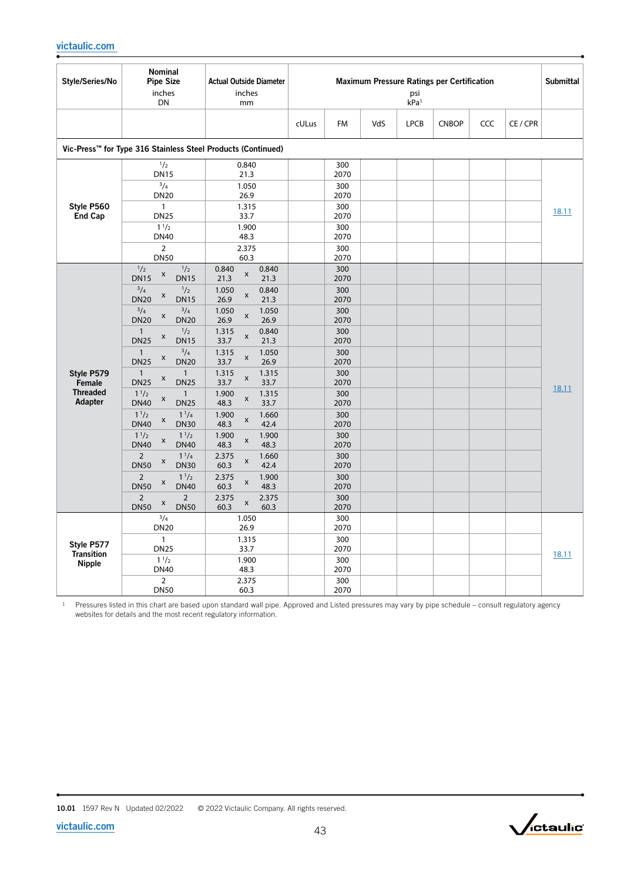| Style/Series/No                                    | <b>Nominal</b><br><b>Pipe Size</b><br>inches<br>DN                                                                                                                                                                                                                                                                                                                                                                                                                                                                                                                                                                                                                                                                                                                                                                      | <b>Actual Outside Diameter</b><br>inches<br>mm                                                                                                                                                                                                                                                                                                                                                                                                                                                                                                                                |       | Maximum Pressure Ratings per Certification<br>psi<br>kPa <sup>1</sup>                                                                                                                    |     |             |              |            |        | <b>Submittal</b> |
|----------------------------------------------------|-------------------------------------------------------------------------------------------------------------------------------------------------------------------------------------------------------------------------------------------------------------------------------------------------------------------------------------------------------------------------------------------------------------------------------------------------------------------------------------------------------------------------------------------------------------------------------------------------------------------------------------------------------------------------------------------------------------------------------------------------------------------------------------------------------------------------|-------------------------------------------------------------------------------------------------------------------------------------------------------------------------------------------------------------------------------------------------------------------------------------------------------------------------------------------------------------------------------------------------------------------------------------------------------------------------------------------------------------------------------------------------------------------------------|-------|------------------------------------------------------------------------------------------------------------------------------------------------------------------------------------------|-----|-------------|--------------|------------|--------|------------------|
|                                                    |                                                                                                                                                                                                                                                                                                                                                                                                                                                                                                                                                                                                                                                                                                                                                                                                                         |                                                                                                                                                                                                                                                                                                                                                                                                                                                                                                                                                                               | cULus | <b>FM</b>                                                                                                                                                                                | VdS | <b>LPCB</b> | <b>CNBOP</b> | <b>CCC</b> | CE/CPR |                  |
|                                                    | Vic-Press <sup>™</sup> for Type 316 Stainless Steel Products (Continued)                                                                                                                                                                                                                                                                                                                                                                                                                                                                                                                                                                                                                                                                                                                                                |                                                                                                                                                                                                                                                                                                                                                                                                                                                                                                                                                                               |       |                                                                                                                                                                                          |     |             |              |            |        |                  |
|                                                    | $\frac{1}{2}$<br><b>DN15</b><br>3/4<br><b>DN20</b>                                                                                                                                                                                                                                                                                                                                                                                                                                                                                                                                                                                                                                                                                                                                                                      | 0.840<br>21.3<br>1.050<br>26.9                                                                                                                                                                                                                                                                                                                                                                                                                                                                                                                                                |       | 300<br>2070<br>300<br>2070                                                                                                                                                               |     |             |              |            |        |                  |
| Style P560<br><b>End Cap</b>                       | $\mathbf{1}$<br><b>DN25</b><br>$1^{1/2}$<br><b>DN40</b><br>$\overline{2}$                                                                                                                                                                                                                                                                                                                                                                                                                                                                                                                                                                                                                                                                                                                                               | 1.315<br>33.7<br>1.900<br>48.3<br>2.375                                                                                                                                                                                                                                                                                                                                                                                                                                                                                                                                       |       | 300<br>2070<br>300<br>2070<br>300                                                                                                                                                        |     |             |              |            |        | 18.11            |
| Style P579<br>Female<br><b>Threaded</b><br>Adapter | <b>DN50</b><br>1/2<br>1/2<br>X<br><b>DN15</b><br><b>DN15</b><br>$^{3}/4$<br>1/2<br>X<br><b>DN20</b><br><b>DN15</b><br>$^{3}/4$<br>$^{3}/_{4}$<br>X<br><b>DN20</b><br><b>DN20</b><br>1/2<br>$\mathbf{1}$<br>X<br><b>DN25</b><br><b>DN15</b><br>$^{3}/_{4}$<br>$\overline{1}$<br>X<br><b>DN25</b><br><b>DN20</b><br>$\mathbf{1}$<br>$\mathbf{1}$<br>X<br><b>DN25</b><br><b>DN25</b><br>1 <sup>1</sup> /2<br>$\mathbf{1}$<br>X<br><b>DN25</b><br><b>DN40</b><br>1 <sup>1</sup> /2<br>$1^{1}/4$<br>$\pmb{\mathsf{x}}$<br><b>DN30</b><br><b>DN40</b><br>$1^{1/2}$<br>$1^{1/2}$<br>X<br><b>DN40</b><br><b>DN40</b><br>$\overline{2}$<br>$1^{1/4}$<br>X<br><b>DN30</b><br><b>DN50</b><br>$\overline{2}$<br>$1^{1/2}$<br>X<br><b>DN50</b><br><b>DN40</b><br>$\overline{2}$<br>$\overline{2}$<br>X<br><b>DN50</b><br><b>DN50</b> | 60.3<br>0.840<br>0.840<br>X<br>21.3<br>21.3<br>1.050<br>0.840<br>X<br>26.9<br>21.3<br>1.050<br>1.050<br>X<br>26.9<br>26.9<br>0.840<br>1.315<br>X<br>33.7<br>21.3<br>1.315<br>1.050<br>$\pmb{\mathsf{x}}$<br>33.7<br>26.9<br>1.315<br>1.315<br>X<br>33.7<br>33.7<br>1.900<br>1.315<br>$\pmb{\mathsf{X}}$<br>33.7<br>48.3<br>1.900<br>1.660<br>$\pmb{\mathsf{x}}$<br>42.4<br>48.3<br>1.900<br>1.900<br>$\pmb{\mathsf{x}}$<br>48.3<br>48.3<br>2.375<br>1.660<br>x<br>42.4<br>60.3<br>2.375<br>1.900<br>$\pmb{\mathsf{x}}$<br>48.3<br>60.3<br>2.375<br>2.375<br>X<br>60.3<br>60.3 |       | 2070<br>300<br>2070<br>300<br>2070<br>300<br>2070<br>300<br>2070<br>300<br>2070<br>300<br>2070<br>300<br>2070<br>300<br>2070<br>300<br>2070<br>300<br>2070<br>300<br>2070<br>300<br>2070 |     |             |              |            |        | 18.11            |
| Style P577<br><b>Transition</b><br><b>Nipple</b>   | $^{3}/_{4}$<br><b>DN20</b><br>$\mathbf{1}$<br><b>DN25</b><br>$1^{1/2}$<br><b>DN40</b><br>$\overline{2}$<br><b>DN50</b>                                                                                                                                                                                                                                                                                                                                                                                                                                                                                                                                                                                                                                                                                                  | 1.050<br>26.9<br>1.315<br>33.7<br>1.900<br>48.3<br>2.375<br>60.3                                                                                                                                                                                                                                                                                                                                                                                                                                                                                                              |       | 300<br>2070<br>300<br>2070<br>300<br>2070<br>300<br>2070                                                                                                                                 |     |             |              |            |        | 18.11            |



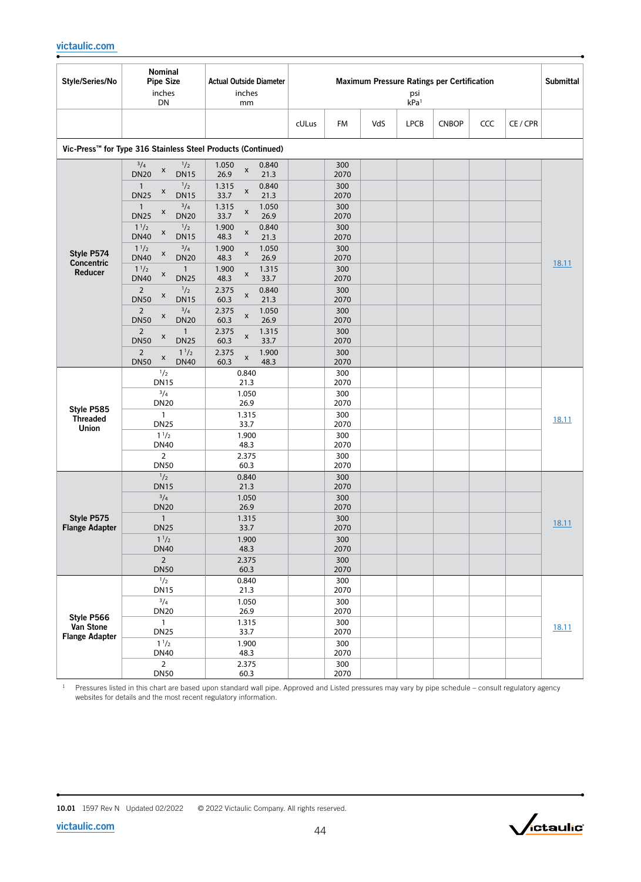| Style/Series/No                     | Nominal<br><b>Pipe Size</b><br>inches<br>DN                                                                                                              | <b>Actual Outside Diameter</b><br>inches<br>mm                                                           |                            | Maximum Pressure Ratings per Certification<br>psi<br>kPa <sup>1</sup> |             |              |     |          | <b>Submittal</b> |
|-------------------------------------|----------------------------------------------------------------------------------------------------------------------------------------------------------|----------------------------------------------------------------------------------------------------------|----------------------------|-----------------------------------------------------------------------|-------------|--------------|-----|----------|------------------|
|                                     |                                                                                                                                                          |                                                                                                          | cULus<br>FM                | VdS                                                                   | <b>LPCB</b> | <b>CNBOP</b> | CCC | CE / CPR |                  |
|                                     | Vic-Press™ for Type 316 Stainless Steel Products (Continued)                                                                                             |                                                                                                          |                            |                                                                       |             |              |     |          |                  |
|                                     | $^{3}/_{4}$<br>1/2<br>X<br><b>DN20</b><br><b>DN15</b><br>1/2<br>$\mathbf{1}$<br>X<br><b>DN25</b><br><b>DN15</b>                                          | 1.050<br>0.840<br>$\pmb{\times}$<br>21.3<br>26.9<br>0.840<br>1.315<br>$\pmb{\mathsf{x}}$<br>21.3<br>33.7 | 300<br>2070<br>300<br>2070 |                                                                       |             |              |     |          |                  |
|                                     | $^{3}/_{4}$<br>$\mathbf{1}$<br>X<br><b>DN25</b><br><b>DN20</b><br>1 <sup>1</sup> /2<br>$\frac{1}{2}$<br>$\pmb{\mathsf{x}}$<br><b>DN40</b><br><b>DN15</b> | 1.315<br>1.050<br>x<br>26.9<br>33.7<br>1.900<br>0.840<br>X<br>48.3<br>21.3                               | 300<br>2070<br>300<br>2070 |                                                                       |             |              |     |          |                  |
| Style P574<br>Concentric<br>Reducer | $^{3}/_{4}$<br>1 <sup>1</sup> /2<br>$\pmb{\times}$<br><b>DN40</b><br><b>DN20</b><br>1 <sup>1</sup> /2<br>$\mathbf{1}$<br>X                               | 1.050<br>1.900<br>$\pmb{\mathsf{x}}$<br>48.3<br>26.9<br>1.900<br>1.315<br>x                              | 300<br>2070<br>300         |                                                                       |             |              |     |          | 18.11            |
|                                     | <b>DN40</b><br><b>DN25</b><br>$\frac{1}{2}$<br>$\overline{2}$<br>X<br><b>DN50</b><br><b>DN15</b><br>$^{3}/_{4}$                                          | 48.3<br>33.7<br>2.375<br>0.840<br>X<br>60.3<br>21.3                                                      | 2070<br>300<br>2070        |                                                                       |             |              |     |          |                  |
|                                     | $\overline{2}$<br>X<br><b>DN50</b><br><b>DN20</b><br>$\overline{2}$<br>$\mathbf{1}$<br>X<br><b>DN50</b><br><b>DN25</b>                                   | 2.375<br>1.050<br>$\pmb{\times}$<br>26.9<br>60.3<br>2.375<br>1.315<br>X<br>60.3<br>33.7                  | 300<br>2070<br>300<br>2070 |                                                                       |             |              |     |          |                  |
|                                     | $1^{1/2}$<br>$\overline{2}$<br>X<br><b>DN50</b><br><b>DN40</b>                                                                                           | 2.375<br>1.900<br>X<br>60.3<br>48.3                                                                      | 300<br>2070                |                                                                       |             |              |     |          |                  |
|                                     | 1/2<br><b>DN15</b>                                                                                                                                       | 0.840<br>21.3                                                                                            | 300<br>2070                |                                                                       |             |              |     |          |                  |
| Style P585                          | $^{3}/_{4}$<br><b>DN20</b>                                                                                                                               | 1.050<br>26.9                                                                                            | 300<br>2070                |                                                                       |             |              |     |          |                  |
| <b>Threaded</b><br>Union            | $\mathbf{1}$<br><b>DN25</b><br>1 <sup>1</sup> /2                                                                                                         | 1.315<br>33.7<br>1.900                                                                                   | 300<br>2070<br>300         |                                                                       |             |              |     |          | 18.11            |
|                                     | <b>DN40</b><br>$\overline{2}$<br><b>DN50</b>                                                                                                             | 48.3<br>2.375<br>60.3                                                                                    | 2070<br>300<br>2070        |                                                                       |             |              |     |          |                  |
|                                     | 1/2<br><b>DN15</b>                                                                                                                                       | 0.840<br>21.3                                                                                            | 300<br>2070                |                                                                       |             |              |     |          |                  |
| Style P575<br><b>Flange Adapter</b> | $^{3}/_{4}$<br><b>DN20</b>                                                                                                                               | 1.050<br>26.9                                                                                            | 300<br>2070                |                                                                       |             |              |     |          |                  |
|                                     | $\mathbf{1}$<br><b>DN25</b>                                                                                                                              | 1.315<br>33.7                                                                                            | 300<br>2070                |                                                                       |             |              |     |          | 18.11            |
|                                     | $1^{1/2}$<br><b>DN40</b><br>$2^{\circ}$                                                                                                                  | 1.900<br>48.3                                                                                            | 300<br>2070                |                                                                       |             |              |     |          |                  |
|                                     | <b>DN50</b>                                                                                                                                              | 2.375<br>60.3                                                                                            | 300<br>2070                |                                                                       |             |              |     |          |                  |
|                                     | 1/2<br><b>DN15</b>                                                                                                                                       | 0.840<br>21.3                                                                                            | 300<br>2070                |                                                                       |             |              |     |          |                  |
| Style P566                          | $^{3}/_{4}$<br><b>DN20</b>                                                                                                                               | 1.050<br>26.9                                                                                            | 300<br>2070                |                                                                       |             |              |     |          |                  |
| Van Stone<br><b>Flange Adapter</b>  | $\mathbf{1}$<br><b>DN25</b>                                                                                                                              | 1.315<br>33.7                                                                                            | 300<br>2070                |                                                                       |             |              |     |          | 18.11            |
|                                     | $1^{1/2}$<br><b>DN40</b>                                                                                                                                 | 1.900<br>48.3                                                                                            | 300<br>2070                |                                                                       |             |              |     |          |                  |
|                                     | $\overline{2}$<br><b>DN50</b>                                                                                                                            | 2.375<br>60.3                                                                                            | 300<br>2070                |                                                                       |             |              |     |          |                  |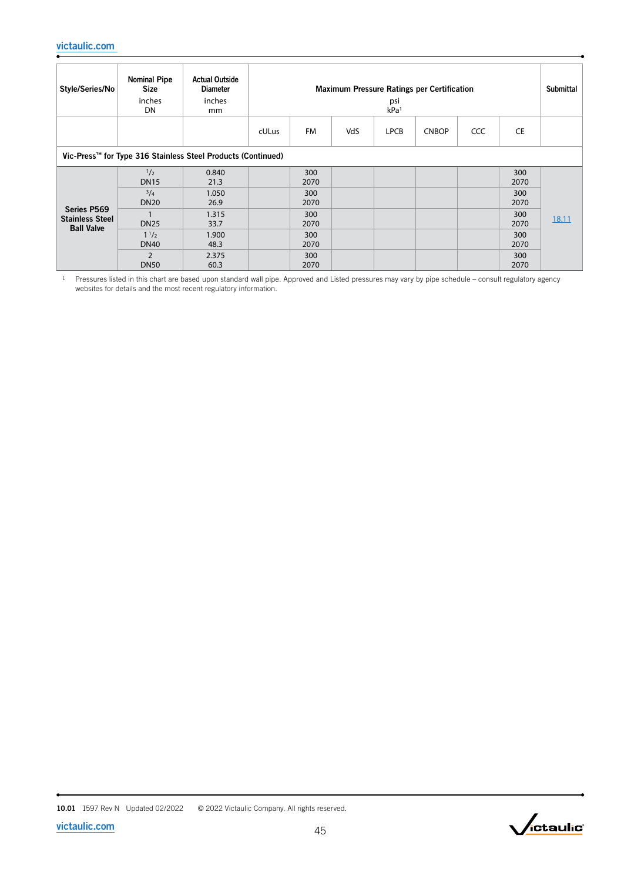| Style/Series/No                                            | <b>Nominal Pipe</b><br><b>Size</b><br>inches<br>DN           | <b>Actual Outside</b><br><b>Diameter</b><br>inches<br>mm |       | <b>Maximum Pressure Ratings per Certification</b><br>psi<br>kPa <sup>1</sup> |     |             |              |     |             | <b>Submittal</b> |
|------------------------------------------------------------|--------------------------------------------------------------|----------------------------------------------------------|-------|------------------------------------------------------------------------------|-----|-------------|--------------|-----|-------------|------------------|
|                                                            |                                                              |                                                          | cULus | FM                                                                           | VdS | <b>LPCB</b> | <b>CNBOP</b> | CCC | CE          |                  |
|                                                            | Vic-Press™ for Type 316 Stainless Steel Products (Continued) |                                                          |       |                                                                              |     |             |              |     |             |                  |
|                                                            | $\frac{1}{2}$<br><b>DN15</b>                                 | 0.840<br>21.3                                            |       | 300<br>2070                                                                  |     |             |              |     | 300<br>2070 |                  |
|                                                            | $^{3}/_{4}$<br><b>DN20</b>                                   | 1.050<br>26.9                                            |       | 300<br>2070                                                                  |     |             |              |     | 300<br>2070 |                  |
| Series P569<br><b>Stainless Steel</b><br><b>Ball Valve</b> | <b>DN25</b>                                                  | 1.315<br>33.7                                            |       | 300<br>2070                                                                  |     |             |              |     | 300<br>2070 | 18.11            |
|                                                            | $1^{1/2}$<br><b>DN40</b>                                     | 1.900<br>48.3                                            |       | 300<br>2070                                                                  |     |             |              |     | 300<br>2070 |                  |
|                                                            | $\overline{2}$<br><b>DN50</b>                                | 2.375<br>60.3                                            |       | 300<br>2070                                                                  |     |             |              |     | 300<br>2070 |                  |

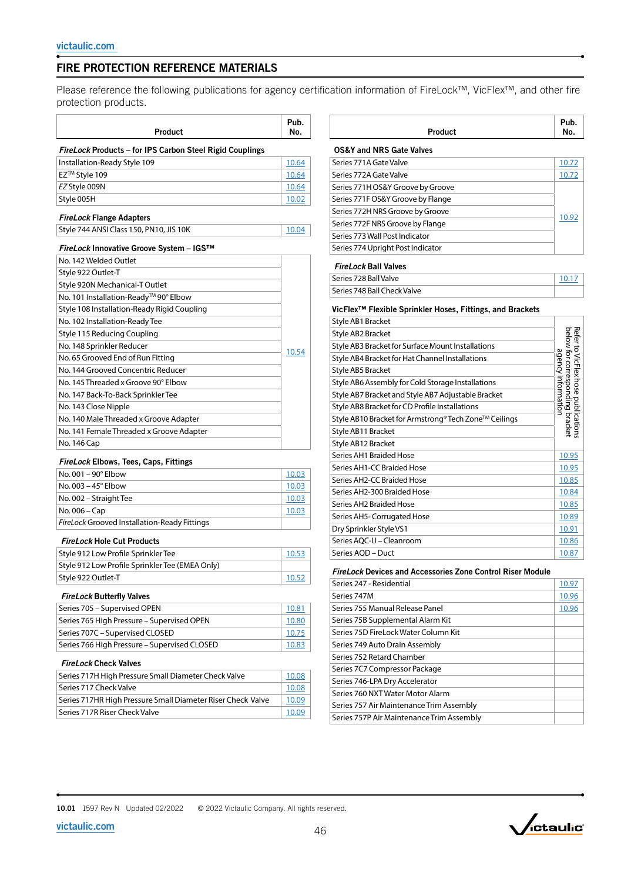# FIRE PROTECTION REFERENCE MATERIALS

Please reference the following publications for agency certification information of FireLock™, VicFlex™, and other fire protection products.

| Product                                                  | Pub.<br>No. |
|----------------------------------------------------------|-------------|
| FireLock Products - for IPS Carbon Steel Rigid Couplings |             |
| Installation-Ready Style 109                             | 10.64       |
| EZ™ Style 109                                            | 10.64       |
| EZ Style 009N                                            | 10.64       |
| Style 005H                                               | 10.02       |
| <b>FireLock Flange Adapters</b>                          |             |
| Style 744 ANSI Class 150, PN10, JIS 10K                  | 10.04       |
| FireLock Innovative Groove System - IGS™                 |             |
| No. 142 Welded Outlet                                    |             |
| Style 922 Outlet-T                                       |             |
| Style 920N Mechanical-T Outlet                           |             |
| No. 101 Installation-Ready™ 90° Elbow                    |             |
| Style 108 Installation-Ready Rigid Coupling              |             |
| No. 102 Installation-Ready Tee                           |             |
| Style 115 Reducing Coupling                              |             |
| No. 148 Sprinkler Reducer                                | 10.54       |
| No. 65 Grooved End of Run Fitting                        |             |
| No. 144 Grooved Concentric Reducer                       |             |
| No. 145 Threaded x Groove 90° Elbow                      |             |
| No. 147 Back-To-Back Sprinkler Tee                       |             |
| No. 143 Close Nipple                                     |             |
| No. 140 Male Threaded x Groove Adapter                   |             |
| No. 141 Female Threaded x Groove Adapter                 |             |
| No. 146 Cap                                              |             |
| <b>FireLock Elbows, Tees, Caps, Fittings</b>             |             |
| No. 001 - 90° Elbow                                      | 10.03       |

| No. $001 - 90^\circ$ Elbow                          | 10.03 |
|-----------------------------------------------------|-------|
| No. $003 - 45^\circ$ Elbow                          | 10.03 |
| No. 002 - Straight Tee                              | 10.03 |
| No. 006 – Cap                                       | 10.03 |
| <b>FireLock Grooved Installation-Ready Fittings</b> |       |

#### *FireLock* Hole Cut Products

| Style 912 Low Profile Sprinkler Tee             | 10.53 |
|-------------------------------------------------|-------|
| Style 912 Low Profile Sprinkler Tee (EMEA Only) |       |
| Style 922 Outlet-T                              | 10.52 |

#### *FireLock* Butterfly Valves

| Series 705 - Supervised OPEN                 | 10.81 |
|----------------------------------------------|-------|
| Series 765 High Pressure - Supervised OPEN   | 10.80 |
| Series 707C - Supervised CLOSED              | 10.75 |
| Series 766 High Pressure – Supervised CLOSED | 10.83 |

#### *FireLock* Check Valves

| Series 717H High Pressure Small Diameter Check Valve        | 10.08 |
|-------------------------------------------------------------|-------|
| Series 717 Check Valve                                      | 10.08 |
| Series 717HR High Pressure Small Diameter Riser Check Valve | 10.09 |
| Series 717R Riser Check Valve                               | 10.09 |

|         | Pub. |
|---------|------|
| Product | No.  |

#### OS&Y and NRS Gate Valves Series 771A Gate Valve [10.72](http://static.victaulic.com/assets/uploads/literature/10.72.pdf) Series 772A Gate Valve [10.72](http://static.victaulic.com/assets/uploads/literature/10.72.pdf) Series 771H OS&Y Groove by Groove [10.92](http://static.victaulic.com/assets/uploads/literature/10.92.pdf) Series 771F OS&Y Groove by Flange Series 772H NRS Groove by Groove Series 772F NRS Groove by Flange Series 773 Wall Post Indicator Series 774 Upright Post Indicator

#### *FireLock* Ball Valves

| <sup>1</sup> Series 728 Ball Valve       |  |
|------------------------------------------|--|
| <sup>1</sup> Series 748 Ball Check Valve |  |

### VicFlex™ Flexible Sprinkler Hoses, Fittings, and Brackets

| Style AB1 Bracket                                     |                                                                                             |
|-------------------------------------------------------|---------------------------------------------------------------------------------------------|
| Style AB2 Bracket                                     |                                                                                             |
| Style AB3 Bracket for Surface Mount Installations     | Refer to VicFlex hose publications<br>below for corresponding bracket<br>agency information |
| Style AB4 Bracket for Hat Channel Installations       |                                                                                             |
| <b>Style AB5 Bracket</b>                              |                                                                                             |
| Style AB6 Assembly for Cold Storage Installations     |                                                                                             |
| Style AB7 Bracket and Style AB7 Adjustable Bracket    |                                                                                             |
| Style AB8 Bracket for CD Profile Installations        |                                                                                             |
| Style AB10 Bracket for Armstrong® Tech Zone™ Ceilings |                                                                                             |
| Style AB11 Bracket                                    |                                                                                             |
| Style AB12 Bracket                                    |                                                                                             |
| Series AH1 Braided Hose                               | 10.95                                                                                       |
| Series AH1-CC Braided Hose                            | 10.95                                                                                       |
| Series AH2-CC Braided Hose                            | 10.85                                                                                       |
| Series AH2-300 Braided Hose                           | 10.84                                                                                       |
| Series AH2 Braided Hose                               | 10.85                                                                                       |
| Series AH5- Corrugated Hose                           | 10.89                                                                                       |
| Dry Sprinkler Style VS1                               | 10.91                                                                                       |
| Series AQC-U - Cleanroom                              | 10.86                                                                                       |
|                                                       |                                                                                             |

### *FireLock* Devices and Accessories Zone Control Riser Module

| Series 247 - Residential                  | 10.97 |
|-------------------------------------------|-------|
| Series 747M                               | 10.96 |
| Series 755 Manual Release Panel           | 10.96 |
| Series 75B Supplemental Alarm Kit         |       |
| Series 75D FireLock Water Column Kit      |       |
| Series 749 Auto Drain Assembly            |       |
| Series 752 Retard Chamber                 |       |
| Series 7C7 Compressor Package             |       |
| Series 746-LPA Dry Accelerator            |       |
| Series 760 NXT Water Motor Alarm          |       |
| Series 757 Air Maintenance Trim Assembly  |       |
| Series 757P Air Maintenance Trim Assembly |       |

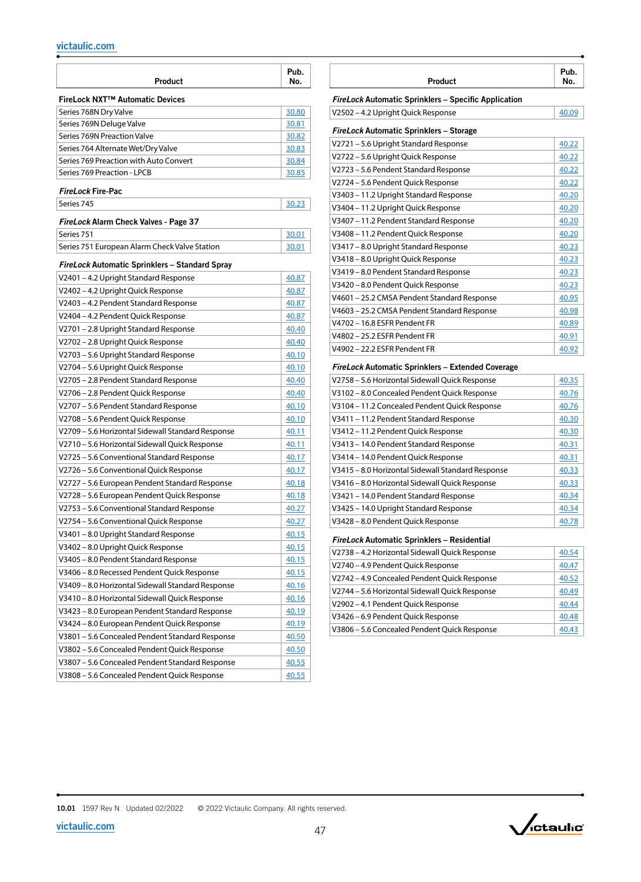| FireLock NXT™ Automatic Devices<br>Series 768N Dry Valve<br>30.80<br>Series 769N Deluge Valve<br>30.81<br>Series 769N Preaction Valve<br>30.82<br>Series 764 Alternate Wet/Dry Valve<br>30.83<br>Series 769 Preaction with Auto Convert<br>30.84<br>Series 769 Preaction - LPCB<br>30.85<br><b>FireLock Fire-Pac</b><br>Series 745<br>30.23<br>FireLock Alarm Check Valves - Page 37<br>Series 751<br>30.01<br>Series 751 European Alarm Check Valve Station<br>30.01<br>FireLock Automatic Sprinklers - Standard Spray<br>V2401-4.2 Upright Standard Response<br><u>40.87</u><br>V2402-4.2 Upright Quick Response<br>40.87<br>V2403-4.2 Pendent Standard Response<br>40.87<br>V2404 – 4.2 Pendent Quick Response<br>40.87<br>V2701-2.8 Upright Standard Response<br>40.40<br>V2702 - 2.8 Upright Quick Response<br>40.40<br>V2703 - 5.6 Upright Standard Response<br><u>40.10</u><br>V2704 – 5.6 Upright Quick Response<br><u>40.10</u><br>V2705 - 2.8 Pendent Standard Response<br>40.40<br>V2706 - 2.8 Pendent Quick Response<br>40.40<br>V2707 – 5.6 Pendent Standard Response<br>40.10<br>V2708 - 5.6 Pendent Quick Response<br><u>40.10</u><br>V2709 - 5.6 Horizontal Sidewall Standard Response<br>40.11<br>V2710-5.6 Horizontal Sidewall Quick Response<br><u>40.11</u><br>V2725 - 5.6 Conventional Standard Response<br>40.17<br>V2726 - 5.6 Conventional Quick Response<br>40.17<br>V2727 - 5.6 European Pendent Standard Response<br>40.18<br>V2728 - 5.6 European Pendent Quick Response<br>40.18<br>V2753 - 5.6 Conventional Standard Response<br><u>40.27</u><br>V2754 - 5.6 Conventional Quick Response<br>40.27<br>V3401-8.0 Upright Standard Response<br><u>40.15</u><br>V3402-8.0 Upright Quick Response<br><u>40.15</u><br>V3405 - 8.0 Pendent Standard Response<br><u>40.15</u><br>V3406 - 8.0 Recessed Pendent Quick Response<br>40.15<br>V3409 - 8.0 Horizontal Sidewall Standard Response<br>40.16<br>V3410 - 8.0 Horizontal Sidewall Quick Response<br>40.16<br>V3423 - 8.0 European Pendent Standard Response<br><u>40.19</u><br>V3424 - 8.0 European Pendent Quick Response<br><u>40.19</u><br>V3801-5.6 Concealed Pendent Standard Response<br>40.50<br>V3802 - 5.6 Concealed Pendent Quick Response<br>40.50<br>V3807 - 5.6 Concealed Pendent Standard Response<br><u>40.55</u><br>V3808-5.6 Concealed Pendent Quick Response<br><u>40.55</u> | Product | Pub.<br>No. |
|---------------------------------------------------------------------------------------------------------------------------------------------------------------------------------------------------------------------------------------------------------------------------------------------------------------------------------------------------------------------------------------------------------------------------------------------------------------------------------------------------------------------------------------------------------------------------------------------------------------------------------------------------------------------------------------------------------------------------------------------------------------------------------------------------------------------------------------------------------------------------------------------------------------------------------------------------------------------------------------------------------------------------------------------------------------------------------------------------------------------------------------------------------------------------------------------------------------------------------------------------------------------------------------------------------------------------------------------------------------------------------------------------------------------------------------------------------------------------------------------------------------------------------------------------------------------------------------------------------------------------------------------------------------------------------------------------------------------------------------------------------------------------------------------------------------------------------------------------------------------------------------------------------------------------------------------------------------------------------------------------------------------------------------------------------------------------------------------------------------------------------------------------------------------------------------------------------------------------------------------------------------------------------------------------------------------------------------------------------------------------|---------|-------------|
|                                                                                                                                                                                                                                                                                                                                                                                                                                                                                                                                                                                                                                                                                                                                                                                                                                                                                                                                                                                                                                                                                                                                                                                                                                                                                                                                                                                                                                                                                                                                                                                                                                                                                                                                                                                                                                                                                                                                                                                                                                                                                                                                                                                                                                                                                                                                                                           |         |             |
|                                                                                                                                                                                                                                                                                                                                                                                                                                                                                                                                                                                                                                                                                                                                                                                                                                                                                                                                                                                                                                                                                                                                                                                                                                                                                                                                                                                                                                                                                                                                                                                                                                                                                                                                                                                                                                                                                                                                                                                                                                                                                                                                                                                                                                                                                                                                                                           |         |             |
|                                                                                                                                                                                                                                                                                                                                                                                                                                                                                                                                                                                                                                                                                                                                                                                                                                                                                                                                                                                                                                                                                                                                                                                                                                                                                                                                                                                                                                                                                                                                                                                                                                                                                                                                                                                                                                                                                                                                                                                                                                                                                                                                                                                                                                                                                                                                                                           |         |             |
|                                                                                                                                                                                                                                                                                                                                                                                                                                                                                                                                                                                                                                                                                                                                                                                                                                                                                                                                                                                                                                                                                                                                                                                                                                                                                                                                                                                                                                                                                                                                                                                                                                                                                                                                                                                                                                                                                                                                                                                                                                                                                                                                                                                                                                                                                                                                                                           |         |             |
|                                                                                                                                                                                                                                                                                                                                                                                                                                                                                                                                                                                                                                                                                                                                                                                                                                                                                                                                                                                                                                                                                                                                                                                                                                                                                                                                                                                                                                                                                                                                                                                                                                                                                                                                                                                                                                                                                                                                                                                                                                                                                                                                                                                                                                                                                                                                                                           |         |             |
|                                                                                                                                                                                                                                                                                                                                                                                                                                                                                                                                                                                                                                                                                                                                                                                                                                                                                                                                                                                                                                                                                                                                                                                                                                                                                                                                                                                                                                                                                                                                                                                                                                                                                                                                                                                                                                                                                                                                                                                                                                                                                                                                                                                                                                                                                                                                                                           |         |             |
|                                                                                                                                                                                                                                                                                                                                                                                                                                                                                                                                                                                                                                                                                                                                                                                                                                                                                                                                                                                                                                                                                                                                                                                                                                                                                                                                                                                                                                                                                                                                                                                                                                                                                                                                                                                                                                                                                                                                                                                                                                                                                                                                                                                                                                                                                                                                                                           |         |             |
|                                                                                                                                                                                                                                                                                                                                                                                                                                                                                                                                                                                                                                                                                                                                                                                                                                                                                                                                                                                                                                                                                                                                                                                                                                                                                                                                                                                                                                                                                                                                                                                                                                                                                                                                                                                                                                                                                                                                                                                                                                                                                                                                                                                                                                                                                                                                                                           |         |             |
|                                                                                                                                                                                                                                                                                                                                                                                                                                                                                                                                                                                                                                                                                                                                                                                                                                                                                                                                                                                                                                                                                                                                                                                                                                                                                                                                                                                                                                                                                                                                                                                                                                                                                                                                                                                                                                                                                                                                                                                                                                                                                                                                                                                                                                                                                                                                                                           |         |             |
|                                                                                                                                                                                                                                                                                                                                                                                                                                                                                                                                                                                                                                                                                                                                                                                                                                                                                                                                                                                                                                                                                                                                                                                                                                                                                                                                                                                                                                                                                                                                                                                                                                                                                                                                                                                                                                                                                                                                                                                                                                                                                                                                                                                                                                                                                                                                                                           |         |             |
|                                                                                                                                                                                                                                                                                                                                                                                                                                                                                                                                                                                                                                                                                                                                                                                                                                                                                                                                                                                                                                                                                                                                                                                                                                                                                                                                                                                                                                                                                                                                                                                                                                                                                                                                                                                                                                                                                                                                                                                                                                                                                                                                                                                                                                                                                                                                                                           |         |             |
|                                                                                                                                                                                                                                                                                                                                                                                                                                                                                                                                                                                                                                                                                                                                                                                                                                                                                                                                                                                                                                                                                                                                                                                                                                                                                                                                                                                                                                                                                                                                                                                                                                                                                                                                                                                                                                                                                                                                                                                                                                                                                                                                                                                                                                                                                                                                                                           |         |             |
|                                                                                                                                                                                                                                                                                                                                                                                                                                                                                                                                                                                                                                                                                                                                                                                                                                                                                                                                                                                                                                                                                                                                                                                                                                                                                                                                                                                                                                                                                                                                                                                                                                                                                                                                                                                                                                                                                                                                                                                                                                                                                                                                                                                                                                                                                                                                                                           |         |             |
|                                                                                                                                                                                                                                                                                                                                                                                                                                                                                                                                                                                                                                                                                                                                                                                                                                                                                                                                                                                                                                                                                                                                                                                                                                                                                                                                                                                                                                                                                                                                                                                                                                                                                                                                                                                                                                                                                                                                                                                                                                                                                                                                                                                                                                                                                                                                                                           |         |             |
|                                                                                                                                                                                                                                                                                                                                                                                                                                                                                                                                                                                                                                                                                                                                                                                                                                                                                                                                                                                                                                                                                                                                                                                                                                                                                                                                                                                                                                                                                                                                                                                                                                                                                                                                                                                                                                                                                                                                                                                                                                                                                                                                                                                                                                                                                                                                                                           |         |             |
|                                                                                                                                                                                                                                                                                                                                                                                                                                                                                                                                                                                                                                                                                                                                                                                                                                                                                                                                                                                                                                                                                                                                                                                                                                                                                                                                                                                                                                                                                                                                                                                                                                                                                                                                                                                                                                                                                                                                                                                                                                                                                                                                                                                                                                                                                                                                                                           |         |             |
|                                                                                                                                                                                                                                                                                                                                                                                                                                                                                                                                                                                                                                                                                                                                                                                                                                                                                                                                                                                                                                                                                                                                                                                                                                                                                                                                                                                                                                                                                                                                                                                                                                                                                                                                                                                                                                                                                                                                                                                                                                                                                                                                                                                                                                                                                                                                                                           |         |             |
|                                                                                                                                                                                                                                                                                                                                                                                                                                                                                                                                                                                                                                                                                                                                                                                                                                                                                                                                                                                                                                                                                                                                                                                                                                                                                                                                                                                                                                                                                                                                                                                                                                                                                                                                                                                                                                                                                                                                                                                                                                                                                                                                                                                                                                                                                                                                                                           |         |             |
|                                                                                                                                                                                                                                                                                                                                                                                                                                                                                                                                                                                                                                                                                                                                                                                                                                                                                                                                                                                                                                                                                                                                                                                                                                                                                                                                                                                                                                                                                                                                                                                                                                                                                                                                                                                                                                                                                                                                                                                                                                                                                                                                                                                                                                                                                                                                                                           |         |             |
|                                                                                                                                                                                                                                                                                                                                                                                                                                                                                                                                                                                                                                                                                                                                                                                                                                                                                                                                                                                                                                                                                                                                                                                                                                                                                                                                                                                                                                                                                                                                                                                                                                                                                                                                                                                                                                                                                                                                                                                                                                                                                                                                                                                                                                                                                                                                                                           |         |             |
|                                                                                                                                                                                                                                                                                                                                                                                                                                                                                                                                                                                                                                                                                                                                                                                                                                                                                                                                                                                                                                                                                                                                                                                                                                                                                                                                                                                                                                                                                                                                                                                                                                                                                                                                                                                                                                                                                                                                                                                                                                                                                                                                                                                                                                                                                                                                                                           |         |             |
|                                                                                                                                                                                                                                                                                                                                                                                                                                                                                                                                                                                                                                                                                                                                                                                                                                                                                                                                                                                                                                                                                                                                                                                                                                                                                                                                                                                                                                                                                                                                                                                                                                                                                                                                                                                                                                                                                                                                                                                                                                                                                                                                                                                                                                                                                                                                                                           |         |             |
|                                                                                                                                                                                                                                                                                                                                                                                                                                                                                                                                                                                                                                                                                                                                                                                                                                                                                                                                                                                                                                                                                                                                                                                                                                                                                                                                                                                                                                                                                                                                                                                                                                                                                                                                                                                                                                                                                                                                                                                                                                                                                                                                                                                                                                                                                                                                                                           |         |             |
|                                                                                                                                                                                                                                                                                                                                                                                                                                                                                                                                                                                                                                                                                                                                                                                                                                                                                                                                                                                                                                                                                                                                                                                                                                                                                                                                                                                                                                                                                                                                                                                                                                                                                                                                                                                                                                                                                                                                                                                                                                                                                                                                                                                                                                                                                                                                                                           |         |             |
|                                                                                                                                                                                                                                                                                                                                                                                                                                                                                                                                                                                                                                                                                                                                                                                                                                                                                                                                                                                                                                                                                                                                                                                                                                                                                                                                                                                                                                                                                                                                                                                                                                                                                                                                                                                                                                                                                                                                                                                                                                                                                                                                                                                                                                                                                                                                                                           |         |             |
|                                                                                                                                                                                                                                                                                                                                                                                                                                                                                                                                                                                                                                                                                                                                                                                                                                                                                                                                                                                                                                                                                                                                                                                                                                                                                                                                                                                                                                                                                                                                                                                                                                                                                                                                                                                                                                                                                                                                                                                                                                                                                                                                                                                                                                                                                                                                                                           |         |             |
|                                                                                                                                                                                                                                                                                                                                                                                                                                                                                                                                                                                                                                                                                                                                                                                                                                                                                                                                                                                                                                                                                                                                                                                                                                                                                                                                                                                                                                                                                                                                                                                                                                                                                                                                                                                                                                                                                                                                                                                                                                                                                                                                                                                                                                                                                                                                                                           |         |             |
|                                                                                                                                                                                                                                                                                                                                                                                                                                                                                                                                                                                                                                                                                                                                                                                                                                                                                                                                                                                                                                                                                                                                                                                                                                                                                                                                                                                                                                                                                                                                                                                                                                                                                                                                                                                                                                                                                                                                                                                                                                                                                                                                                                                                                                                                                                                                                                           |         |             |
|                                                                                                                                                                                                                                                                                                                                                                                                                                                                                                                                                                                                                                                                                                                                                                                                                                                                                                                                                                                                                                                                                                                                                                                                                                                                                                                                                                                                                                                                                                                                                                                                                                                                                                                                                                                                                                                                                                                                                                                                                                                                                                                                                                                                                                                                                                                                                                           |         |             |
|                                                                                                                                                                                                                                                                                                                                                                                                                                                                                                                                                                                                                                                                                                                                                                                                                                                                                                                                                                                                                                                                                                                                                                                                                                                                                                                                                                                                                                                                                                                                                                                                                                                                                                                                                                                                                                                                                                                                                                                                                                                                                                                                                                                                                                                                                                                                                                           |         |             |
|                                                                                                                                                                                                                                                                                                                                                                                                                                                                                                                                                                                                                                                                                                                                                                                                                                                                                                                                                                                                                                                                                                                                                                                                                                                                                                                                                                                                                                                                                                                                                                                                                                                                                                                                                                                                                                                                                                                                                                                                                                                                                                                                                                                                                                                                                                                                                                           |         |             |
|                                                                                                                                                                                                                                                                                                                                                                                                                                                                                                                                                                                                                                                                                                                                                                                                                                                                                                                                                                                                                                                                                                                                                                                                                                                                                                                                                                                                                                                                                                                                                                                                                                                                                                                                                                                                                                                                                                                                                                                                                                                                                                                                                                                                                                                                                                                                                                           |         |             |
|                                                                                                                                                                                                                                                                                                                                                                                                                                                                                                                                                                                                                                                                                                                                                                                                                                                                                                                                                                                                                                                                                                                                                                                                                                                                                                                                                                                                                                                                                                                                                                                                                                                                                                                                                                                                                                                                                                                                                                                                                                                                                                                                                                                                                                                                                                                                                                           |         |             |
|                                                                                                                                                                                                                                                                                                                                                                                                                                                                                                                                                                                                                                                                                                                                                                                                                                                                                                                                                                                                                                                                                                                                                                                                                                                                                                                                                                                                                                                                                                                                                                                                                                                                                                                                                                                                                                                                                                                                                                                                                                                                                                                                                                                                                                                                                                                                                                           |         |             |
|                                                                                                                                                                                                                                                                                                                                                                                                                                                                                                                                                                                                                                                                                                                                                                                                                                                                                                                                                                                                                                                                                                                                                                                                                                                                                                                                                                                                                                                                                                                                                                                                                                                                                                                                                                                                                                                                                                                                                                                                                                                                                                                                                                                                                                                                                                                                                                           |         |             |
|                                                                                                                                                                                                                                                                                                                                                                                                                                                                                                                                                                                                                                                                                                                                                                                                                                                                                                                                                                                                                                                                                                                                                                                                                                                                                                                                                                                                                                                                                                                                                                                                                                                                                                                                                                                                                                                                                                                                                                                                                                                                                                                                                                                                                                                                                                                                                                           |         |             |
|                                                                                                                                                                                                                                                                                                                                                                                                                                                                                                                                                                                                                                                                                                                                                                                                                                                                                                                                                                                                                                                                                                                                                                                                                                                                                                                                                                                                                                                                                                                                                                                                                                                                                                                                                                                                                                                                                                                                                                                                                                                                                                                                                                                                                                                                                                                                                                           |         |             |
|                                                                                                                                                                                                                                                                                                                                                                                                                                                                                                                                                                                                                                                                                                                                                                                                                                                                                                                                                                                                                                                                                                                                                                                                                                                                                                                                                                                                                                                                                                                                                                                                                                                                                                                                                                                                                                                                                                                                                                                                                                                                                                                                                                                                                                                                                                                                                                           |         |             |
|                                                                                                                                                                                                                                                                                                                                                                                                                                                                                                                                                                                                                                                                                                                                                                                                                                                                                                                                                                                                                                                                                                                                                                                                                                                                                                                                                                                                                                                                                                                                                                                                                                                                                                                                                                                                                                                                                                                                                                                                                                                                                                                                                                                                                                                                                                                                                                           |         |             |
|                                                                                                                                                                                                                                                                                                                                                                                                                                                                                                                                                                                                                                                                                                                                                                                                                                                                                                                                                                                                                                                                                                                                                                                                                                                                                                                                                                                                                                                                                                                                                                                                                                                                                                                                                                                                                                                                                                                                                                                                                                                                                                                                                                                                                                                                                                                                                                           |         |             |
|                                                                                                                                                                                                                                                                                                                                                                                                                                                                                                                                                                                                                                                                                                                                                                                                                                                                                                                                                                                                                                                                                                                                                                                                                                                                                                                                                                                                                                                                                                                                                                                                                                                                                                                                                                                                                                                                                                                                                                                                                                                                                                                                                                                                                                                                                                                                                                           |         |             |
|                                                                                                                                                                                                                                                                                                                                                                                                                                                                                                                                                                                                                                                                                                                                                                                                                                                                                                                                                                                                                                                                                                                                                                                                                                                                                                                                                                                                                                                                                                                                                                                                                                                                                                                                                                                                                                                                                                                                                                                                                                                                                                                                                                                                                                                                                                                                                                           |         |             |
|                                                                                                                                                                                                                                                                                                                                                                                                                                                                                                                                                                                                                                                                                                                                                                                                                                                                                                                                                                                                                                                                                                                                                                                                                                                                                                                                                                                                                                                                                                                                                                                                                                                                                                                                                                                                                                                                                                                                                                                                                                                                                                                                                                                                                                                                                                                                                                           |         |             |
|                                                                                                                                                                                                                                                                                                                                                                                                                                                                                                                                                                                                                                                                                                                                                                                                                                                                                                                                                                                                                                                                                                                                                                                                                                                                                                                                                                                                                                                                                                                                                                                                                                                                                                                                                                                                                                                                                                                                                                                                                                                                                                                                                                                                                                                                                                                                                                           |         |             |
|                                                                                                                                                                                                                                                                                                                                                                                                                                                                                                                                                                                                                                                                                                                                                                                                                                                                                                                                                                                                                                                                                                                                                                                                                                                                                                                                                                                                                                                                                                                                                                                                                                                                                                                                                                                                                                                                                                                                                                                                                                                                                                                                                                                                                                                                                                                                                                           |         |             |
|                                                                                                                                                                                                                                                                                                                                                                                                                                                                                                                                                                                                                                                                                                                                                                                                                                                                                                                                                                                                                                                                                                                                                                                                                                                                                                                                                                                                                                                                                                                                                                                                                                                                                                                                                                                                                                                                                                                                                                                                                                                                                                                                                                                                                                                                                                                                                                           |         |             |

| Product                                                     | Pub.<br>No. |
|-------------------------------------------------------------|-------------|
| <b>FireLock Automatic Sprinklers - Specific Application</b> |             |
| V2502-4.2 Upright Quick Response                            | 40.09       |
| <b>FireLock Automatic Sprinklers - Storage</b>              |             |
| V2721-5.6 Upright Standard Response                         | 40.22       |
| V2722 - 5.6 Upright Quick Response                          | 40.22       |
| V2723 - 5.6 Pendent Standard Response                       | 40.22       |
| V2724 - 5.6 Pendent Quick Response                          | 40.22       |
| V3403 - 11.2 Upright Standard Response                      | 40.20       |
| V3404 - 11.2 Upright Quick Response                         | 40.20       |
| V3407 - 11.2 Pendent Standard Response                      | 40.20       |
| V3408 - 11.2 Pendent Quick Response                         | 40.20       |
| V3417 - 8.0 Upright Standard Response                       | 40.23       |
| V3418-8.0 Upright Quick Response                            | 40.23       |
| V3419 - 8.0 Pendent Standard Response                       | 40.23       |
| V3420 - 8.0 Pendent Quick Response                          | 40.23       |
| V4601 - 25.2 CMSA Pendent Standard Response                 | 40.95       |
| V4603 – 25.2 CMSA Pendent Standard Response                 | 40.98       |
| V4702 - 16.8 FSFR Pendent FR                                | 40.89       |
| V4802 – 25.2 FSFR Pendent FR                                | 40.91       |
| V4902-22.2 ESFR Pendent FR                                  | 40.92       |

### *FireLock* Automatic Sprinklers – Extended Coverage

| V2758 - 5.6 Horizontal Sidewall Quick Response    | 40.35 |
|---------------------------------------------------|-------|
| V3102 - 8.0 Concealed Pendent Quick Response      | 40.76 |
| V3104 - 11.2 Concealed Pendent Quick Response     | 40.76 |
| V3411 - 11.2 Pendent Standard Response            | 40.30 |
| V3412 - 11.2 Pendent Quick Response               | 40.30 |
| V3413 - 14.0 Pendent Standard Response            | 40.31 |
| V3414 - 14.0 Pendent Quick Response               | 40.31 |
| V3415 - 8.0 Horizontal Sidewall Standard Response | 40.33 |
| V3416 - 8.0 Horizontal Sidewall Quick Response    | 40.33 |
| V3421 - 14.0 Pendent Standard Response            | 40.34 |
| V3425 - 14.0 Upright Standard Response            | 40.34 |
| V3428 - 8.0 Pendent Quick Response                | 40.78 |

### *FireLock* Automatic Sprinklers – Residential

| V2738 - 4.2 Horizontal Sidewall Quick Response | 40.54 |
|------------------------------------------------|-------|
| V2740 - 4.9 Pendent Quick Response             | 40.47 |
| V2742 - 4.9 Concealed Pendent Quick Response   | 40.52 |
| V2744 - 5.6 Horizontal Sidewall Quick Response | 40.49 |
| V2902-4.1 Pendent Quick Response               | 40.44 |
| V3426 - 6.9 Pendent Quick Response             | 40.48 |
| V3806 - 5.6 Concealed Pendent Quick Response   | 40.43 |
|                                                |       |